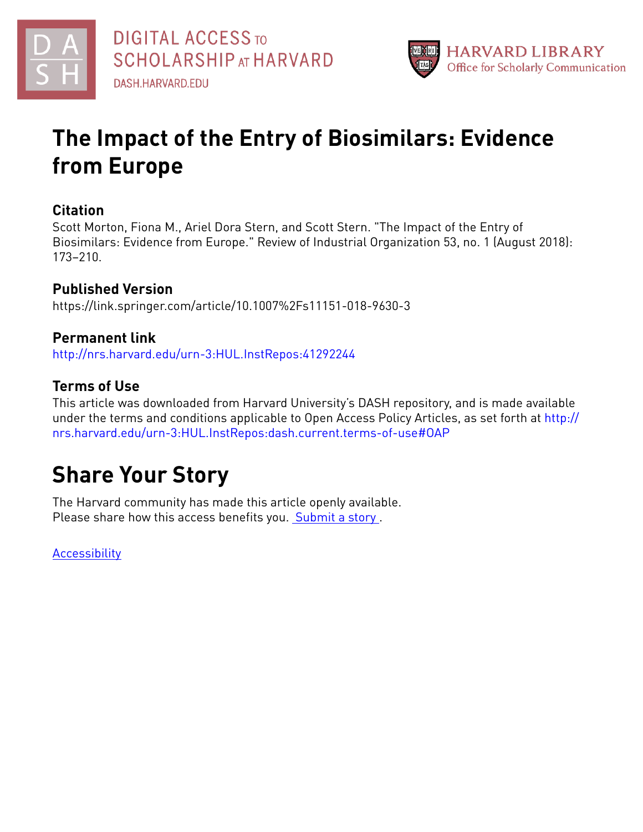



## **The Impact of the Entry of Biosimilars: Evidence from Europe**

### **Citation**

Scott Morton, Fiona M., Ariel Dora Stern, and Scott Stern. "The Impact of the Entry of Biosimilars: Evidence from Europe." Review of Industrial Organization 53, no. 1 (August 2018): 173–210.

## **Published Version**

https://link.springer.com/article/10.1007%2Fs11151-018-9630-3

## **Permanent link**

<http://nrs.harvard.edu/urn-3:HUL.InstRepos:41292244>

## **Terms of Use**

This article was downloaded from Harvard University's DASH repository, and is made available under the terms and conditions applicable to Open Access Policy Articles, as set forth at [http://](http://nrs.harvard.edu/urn-3:HUL.InstRepos:dash.current.terms-of-use#OAP) [nrs.harvard.edu/urn-3:HUL.InstRepos:dash.current.terms-of-use#OAP](http://nrs.harvard.edu/urn-3:HUL.InstRepos:dash.current.terms-of-use#OAP)

## **Share Your Story**

The Harvard community has made this article openly available. Please share how this access benefits you. [Submit](http://osc.hul.harvard.edu/dash/open-access-feedback?handle=&title=The%20Impact%20of%20the%20Entry%20of%20Biosimilars:%20Evidence%20from%20Europe&community=1/3345929&collection=1/3345930&owningCollection1/3345930&harvardAuthors=08bb6bbb6332cf84e131286f174f9d61&department) a story .

**[Accessibility](https://dash.harvard.edu/pages/accessibility)**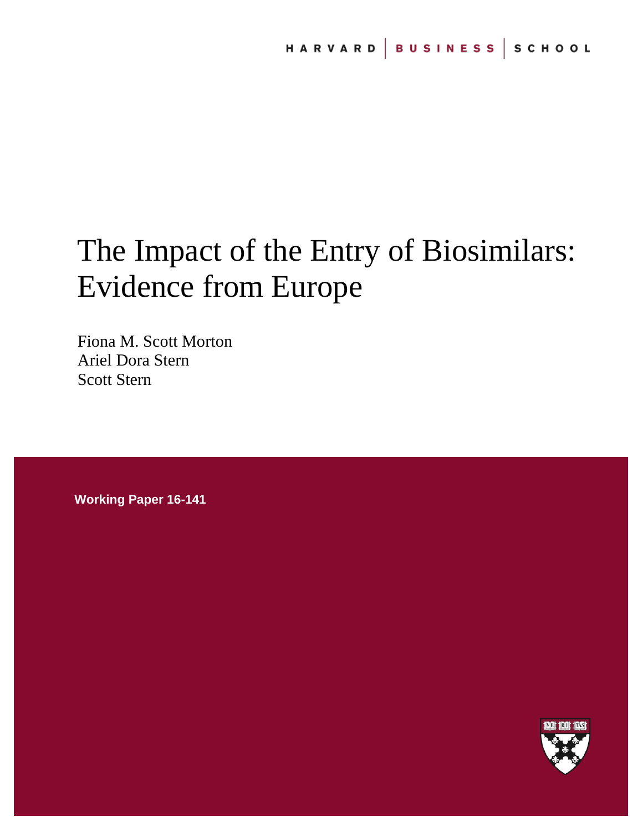# The Impact of the Entry of Biosimilars: Evidence from Europe

Fiona M. Scott Morton Ariel Dora Stern Scott Stern

**Working Paper 16-141**

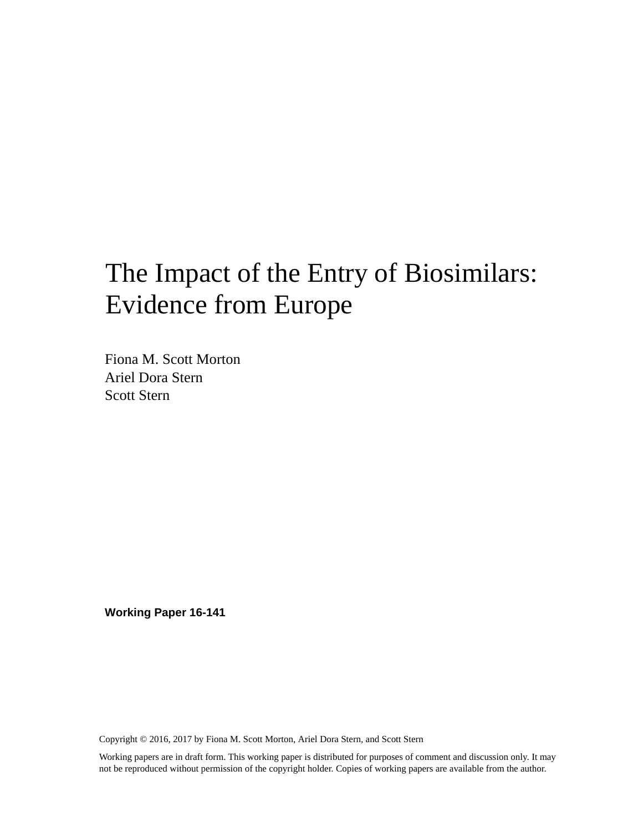## The Impact of the Entry of Biosimilars: Evidence from Europe

Fiona M. Scott Morton Ariel Dora Stern Scott Stern

**Working Paper 16-141**

Copyright © 2016, 2017 by Fiona M. Scott Morton, Ariel Dora Stern, and Scott Stern

Working papers are in draft form. This working paper is distributed for purposes of comment and discussion only. It may not be reproduced without permission of the copyright holder. Copies of working papers are available from the author.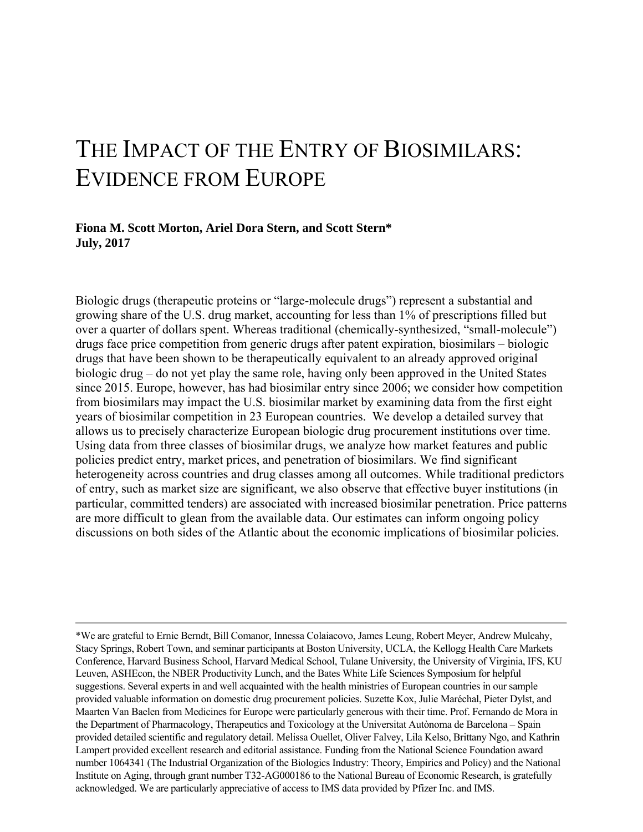## THE IMPACT OF THE ENTRY OF BIOSIMILARS: EVIDENCE FROM EUROPE

#### **Fiona M. Scott Morton, Ariel Dora Stern, and Scott Stern\* July, 2017**

Biologic drugs (therapeutic proteins or "large-molecule drugs") represent a substantial and growing share of the U.S. drug market, accounting for less than 1% of prescriptions filled but over a quarter of dollars spent. Whereas traditional (chemically-synthesized, "small-molecule") drugs face price competition from generic drugs after patent expiration, biosimilars – biologic drugs that have been shown to be therapeutically equivalent to an already approved original biologic drug – do not yet play the same role, having only been approved in the United States since 2015. Europe, however, has had biosimilar entry since 2006; we consider how competition from biosimilars may impact the U.S. biosimilar market by examining data from the first eight years of biosimilar competition in 23 European countries. We develop a detailed survey that allows us to precisely characterize European biologic drug procurement institutions over time. Using data from three classes of biosimilar drugs, we analyze how market features and public policies predict entry, market prices, and penetration of biosimilars. We find significant heterogeneity across countries and drug classes among all outcomes. While traditional predictors of entry, such as market size are significant, we also observe that effective buyer institutions (in particular, committed tenders) are associated with increased biosimilar penetration. Price patterns are more difficult to glean from the available data. Our estimates can inform ongoing policy discussions on both sides of the Atlantic about the economic implications of biosimilar policies.

<sup>\*</sup>We are grateful to Ernie Berndt, Bill Comanor, Innessa Colaiacovo, James Leung, Robert Meyer, Andrew Mulcahy, Stacy Springs, Robert Town, and seminar participants at Boston University, UCLA, the Kellogg Health Care Markets Conference, Harvard Business School, Harvard Medical School, Tulane University, the University of Virginia, IFS, KU Leuven, ASHEcon, the NBER Productivity Lunch, and the Bates White Life Sciences Symposium for helpful suggestions. Several experts in and well acquainted with the health ministries of European countries in our sample provided valuable information on domestic drug procurement policies. Suzette Kox, Julie Maréchal, Pieter Dylst, and Maarten Van Baelen from Medicines for Europe were particularly generous with their time. Prof. Fernando de Mora in the Department of Pharmacology, Therapeutics and Toxicology at the Universitat Autònoma de Barcelona – Spain provided detailed scientific and regulatory detail. Melissa Ouellet, Oliver Falvey, Lila Kelso, Brittany Ngo, and Kathrin Lampert provided excellent research and editorial assistance. Funding from the National Science Foundation award number 1064341 (The Industrial Organization of the Biologics Industry: Theory, Empirics and Policy) and the National Institute on Aging, through grant number T32-AG000186 to the National Bureau of Economic Research, is gratefully acknowledged. We are particularly appreciative of access to IMS data provided by Pfizer Inc. and IMS.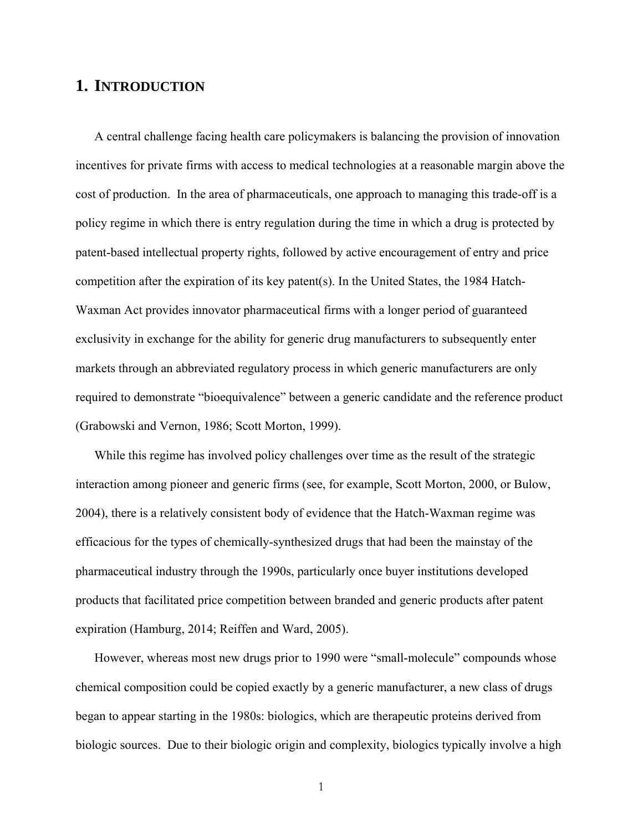### **1. INTRODUCTION**

A central challenge facing health care policymakers is balancing the provision of innovation incentives for private firms with access to medical technologies at a reasonable margin above the cost of production. In the area of pharmaceuticals, one approach to managing this trade-off is a policy regime in which there is entry regulation during the time in which a drug is protected by patent-based intellectual property rights, followed by active encouragement of entry and price competition after the expiration of its key patent(s). In the United States, the 1984 Hatch-Waxman Act provides innovator pharmaceutical firms with a longer period of guaranteed exclusivity in exchange for the ability for generic drug manufacturers to subsequently enter markets through an abbreviated regulatory process in which generic manufacturers are only required to demonstrate "bioequivalence" between a generic candidate and the reference product (Grabowski and Vernon, 1986; Scott Morton, 1999).

While this regime has involved policy challenges over time as the result of the strategic interaction among pioneer and generic firms (see, for example, Scott Morton, 2000, or Bulow, 2004), there is a relatively consistent body of evidence that the Hatch-Waxman regime was efficacious for the types of chemically-synthesized drugs that had been the mainstay of the pharmaceutical industry through the 1990s, particularly once buyer institutions developed products that facilitated price competition between branded and generic products after patent expiration (Hamburg, 2014; Reiffen and Ward, 2005).

However, whereas most new drugs prior to 1990 were "small-molecule" compounds whose chemical composition could be copied exactly by a generic manufacturer, a new class of drugs began to appear starting in the 1980s: biologics, which are therapeutic proteins derived from biologic sources. Due to their biologic origin and complexity, biologics typically involve a high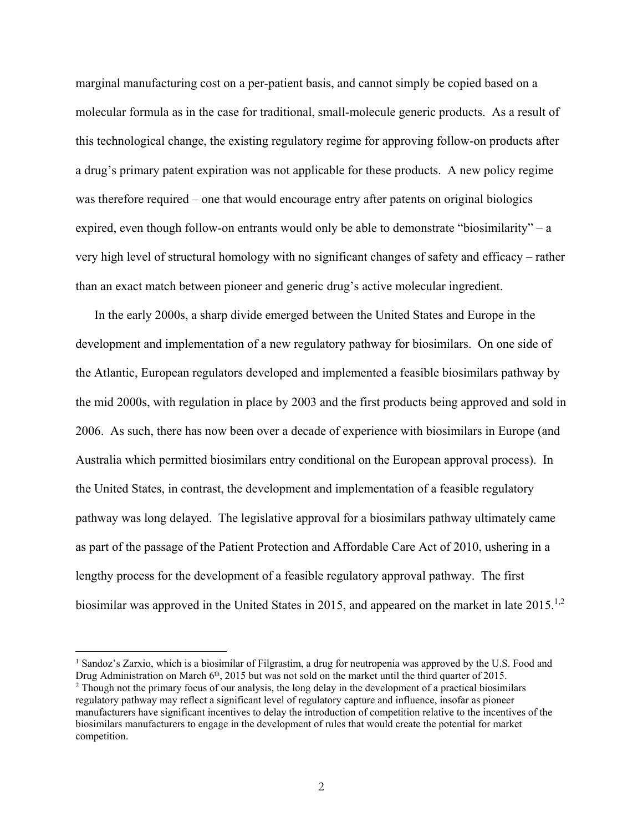marginal manufacturing cost on a per-patient basis, and cannot simply be copied based on a molecular formula as in the case for traditional, small-molecule generic products. As a result of this technological change, the existing regulatory regime for approving follow-on products after a drug's primary patent expiration was not applicable for these products. A new policy regime was therefore required – one that would encourage entry after patents on original biologics expired, even though follow-on entrants would only be able to demonstrate "biosimilarity" – a very high level of structural homology with no significant changes of safety and efficacy – rather than an exact match between pioneer and generic drug's active molecular ingredient.

In the early 2000s, a sharp divide emerged between the United States and Europe in the development and implementation of a new regulatory pathway for biosimilars. On one side of the Atlantic, European regulators developed and implemented a feasible biosimilars pathway by the mid 2000s, with regulation in place by 2003 and the first products being approved and sold in 2006. As such, there has now been over a decade of experience with biosimilars in Europe (and Australia which permitted biosimilars entry conditional on the European approval process). In the United States, in contrast, the development and implementation of a feasible regulatory pathway was long delayed. The legislative approval for a biosimilars pathway ultimately came as part of the passage of the Patient Protection and Affordable Care Act of 2010, ushering in a lengthy process for the development of a feasible regulatory approval pathway. The first biosimilar was approved in the United States in 2015, and appeared on the market in late  $2015$ <sup>1,2</sup>

-

<sup>&</sup>lt;sup>1</sup> Sandoz's Zarxio, which is a biosimilar of Filgrastim, a drug for neutropenia was approved by the U.S. Food and Drug Administration on March 6<sup>th</sup>, 2015 but was not sold on the market until the third quarter of 2015. <sup>2</sup> Though not the primary focus of our analysis, the long delay in the development of a practical biosimilars regulatory pathway may reflect a significant level of regulatory capture and influence, insofar as pioneer manufacturers have significant incentives to delay the introduction of competition relative to the incentives of the biosimilars manufacturers to engage in the development of rules that would create the potential for market competition.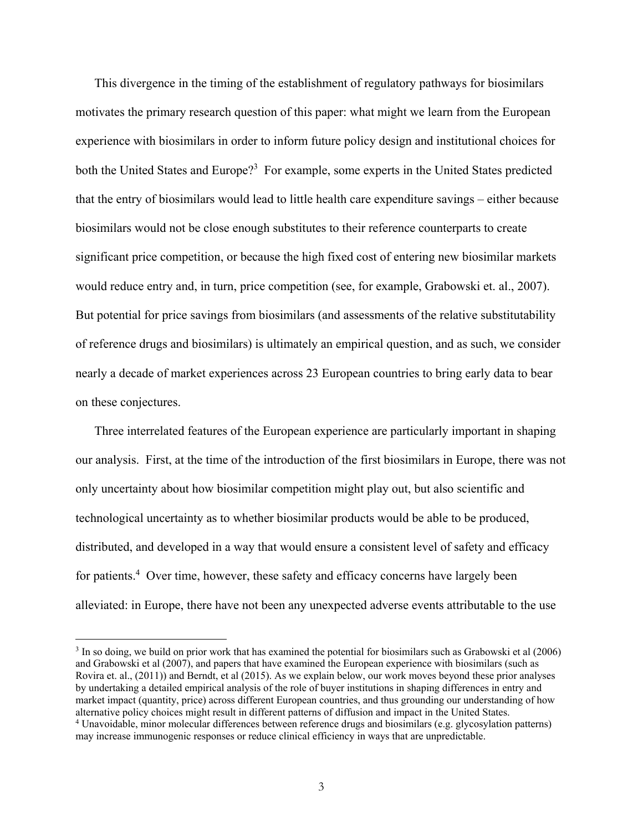This divergence in the timing of the establishment of regulatory pathways for biosimilars motivates the primary research question of this paper: what might we learn from the European experience with biosimilars in order to inform future policy design and institutional choices for both the United States and Europe?<sup>3</sup> For example, some experts in the United States predicted that the entry of biosimilars would lead to little health care expenditure savings – either because biosimilars would not be close enough substitutes to their reference counterparts to create significant price competition, or because the high fixed cost of entering new biosimilar markets would reduce entry and, in turn, price competition (see, for example, Grabowski et. al., 2007). But potential for price savings from biosimilars (and assessments of the relative substitutability of reference drugs and biosimilars) is ultimately an empirical question, and as such, we consider nearly a decade of market experiences across 23 European countries to bring early data to bear on these conjectures.

Three interrelated features of the European experience are particularly important in shaping our analysis. First, at the time of the introduction of the first biosimilars in Europe, there was not only uncertainty about how biosimilar competition might play out, but also scientific and technological uncertainty as to whether biosimilar products would be able to be produced, distributed, and developed in a way that would ensure a consistent level of safety and efficacy for patients.<sup>4</sup> Over time, however, these safety and efficacy concerns have largely been alleviated: in Europe, there have not been any unexpected adverse events attributable to the use

<sup>&</sup>lt;sup>3</sup> In so doing, we build on prior work that has examined the potential for biosimilars such as Grabowski et al (2006) and Grabowski et al (2007), and papers that have examined the European experience with biosimilars (such as Rovira et. al., (2011)) and Berndt, et al (2015). As we explain below, our work moves beyond these prior analyses by undertaking a detailed empirical analysis of the role of buyer institutions in shaping differences in entry and market impact (quantity, price) across different European countries, and thus grounding our understanding of how alternative policy choices might result in different patterns of diffusion and impact in the United States. 4 Unavoidable, minor molecular differences between reference drugs and biosimilars (e.g. glycosylation patterns) may increase immunogenic responses or reduce clinical efficiency in ways that are unpredictable.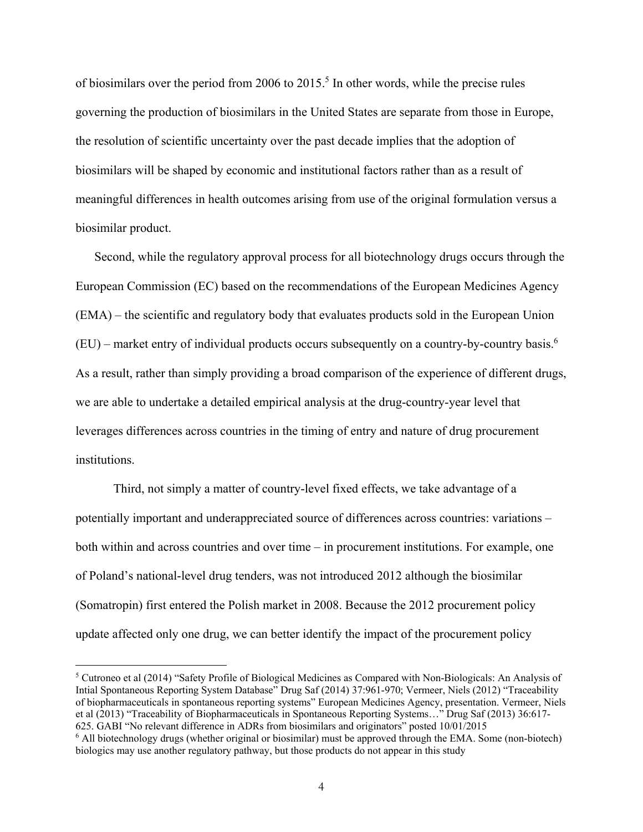of biosimilars over the period from 2006 to  $2015$ .<sup>5</sup> In other words, while the precise rules governing the production of biosimilars in the United States are separate from those in Europe, the resolution of scientific uncertainty over the past decade implies that the adoption of biosimilars will be shaped by economic and institutional factors rather than as a result of meaningful differences in health outcomes arising from use of the original formulation versus a biosimilar product.

Second, while the regulatory approval process for all biotechnology drugs occurs through the European Commission (EC) based on the recommendations of the European Medicines Agency (EMA) – the scientific and regulatory body that evaluates products sold in the European Union  $(EU)$  – market entry of individual products occurs subsequently on a country-by-country basis.<sup>6</sup> As a result, rather than simply providing a broad comparison of the experience of different drugs, we are able to undertake a detailed empirical analysis at the drug-country-year level that leverages differences across countries in the timing of entry and nature of drug procurement institutions.

Third, not simply a matter of country-level fixed effects, we take advantage of a potentially important and underappreciated source of differences across countries: variations – both within and across countries and over time – in procurement institutions. For example, one of Poland's national-level drug tenders, was not introduced 2012 although the biosimilar (Somatropin) first entered the Polish market in 2008. Because the 2012 procurement policy update affected only one drug, we can better identify the impact of the procurement policy

-

<sup>&</sup>lt;sup>5</sup> Cutroneo et al (2014) "Safety Profile of Biological Medicines as Compared with Non-Biologicals: An Analysis of Intial Spontaneous Reporting System Database" Drug Saf (2014) 37:961-970; Vermeer, Niels (2012) "Traceability of biopharmaceuticals in spontaneous reporting systems" European Medicines Agency, presentation. Vermeer, Niels et al (2013) "Traceability of Biopharmaceuticals in Spontaneous Reporting Systems…" Drug Saf (2013) 36:617- 625. GABI "No relevant difference in ADRs from biosimilars and originators" posted 10/01/2015

<sup>6</sup> All biotechnology drugs (whether original or biosimilar) must be approved through the EMA. Some (non-biotech) biologics may use another regulatory pathway, but those products do not appear in this study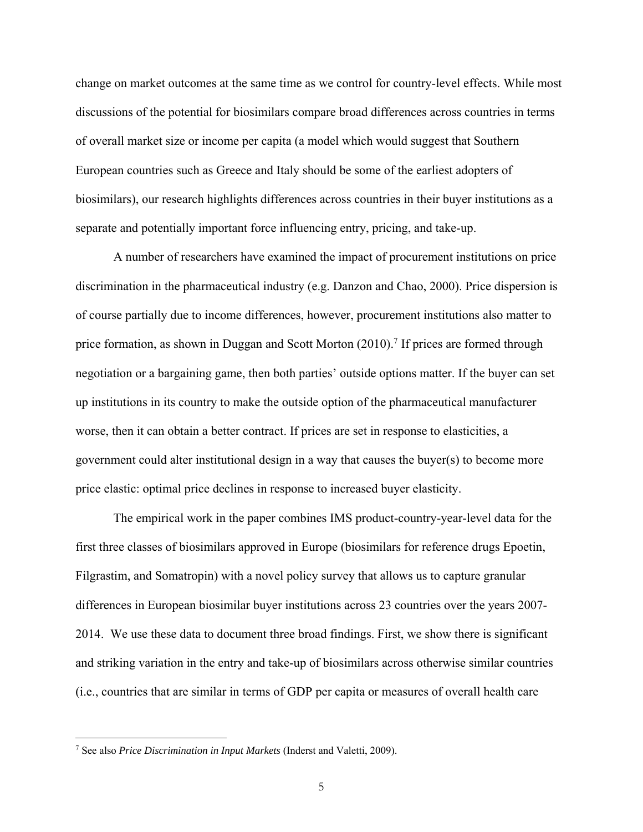change on market outcomes at the same time as we control for country-level effects. While most discussions of the potential for biosimilars compare broad differences across countries in terms of overall market size or income per capita (a model which would suggest that Southern European countries such as Greece and Italy should be some of the earliest adopters of biosimilars), our research highlights differences across countries in their buyer institutions as a separate and potentially important force influencing entry, pricing, and take-up.

A number of researchers have examined the impact of procurement institutions on price discrimination in the pharmaceutical industry (e.g. Danzon and Chao, 2000). Price dispersion is of course partially due to income differences, however, procurement institutions also matter to price formation, as shown in Duggan and Scott Morton (2010).<sup>7</sup> If prices are formed through negotiation or a bargaining game, then both parties' outside options matter. If the buyer can set up institutions in its country to make the outside option of the pharmaceutical manufacturer worse, then it can obtain a better contract. If prices are set in response to elasticities, a government could alter institutional design in a way that causes the buyer(s) to become more price elastic: optimal price declines in response to increased buyer elasticity.

The empirical work in the paper combines IMS product-country-year-level data for the first three classes of biosimilars approved in Europe (biosimilars for reference drugs Epoetin, Filgrastim, and Somatropin) with a novel policy survey that allows us to capture granular differences in European biosimilar buyer institutions across 23 countries over the years 2007- 2014. We use these data to document three broad findings. First, we show there is significant and striking variation in the entry and take-up of biosimilars across otherwise similar countries (i.e., countries that are similar in terms of GDP per capita or measures of overall health care

<sup>7</sup> See also *Price Discrimination in Input Markets* (Inderst and Valetti, 2009).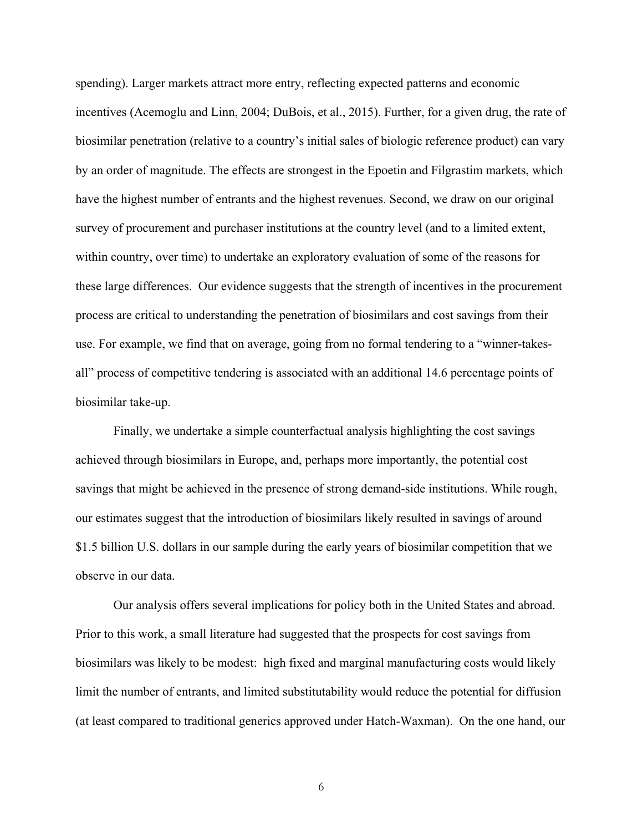spending). Larger markets attract more entry, reflecting expected patterns and economic incentives (Acemoglu and Linn, 2004; DuBois, et al., 2015). Further, for a given drug, the rate of biosimilar penetration (relative to a country's initial sales of biologic reference product) can vary by an order of magnitude. The effects are strongest in the Epoetin and Filgrastim markets, which have the highest number of entrants and the highest revenues. Second, we draw on our original survey of procurement and purchaser institutions at the country level (and to a limited extent, within country, over time) to undertake an exploratory evaluation of some of the reasons for these large differences. Our evidence suggests that the strength of incentives in the procurement process are critical to understanding the penetration of biosimilars and cost savings from their use. For example, we find that on average, going from no formal tendering to a "winner-takesall" process of competitive tendering is associated with an additional 14.6 percentage points of biosimilar take-up.

Finally, we undertake a simple counterfactual analysis highlighting the cost savings achieved through biosimilars in Europe, and, perhaps more importantly, the potential cost savings that might be achieved in the presence of strong demand-side institutions. While rough, our estimates suggest that the introduction of biosimilars likely resulted in savings of around \$1.5 billion U.S. dollars in our sample during the early years of biosimilar competition that we observe in our data.

Our analysis offers several implications for policy both in the United States and abroad. Prior to this work, a small literature had suggested that the prospects for cost savings from biosimilars was likely to be modest: high fixed and marginal manufacturing costs would likely limit the number of entrants, and limited substitutability would reduce the potential for diffusion (at least compared to traditional generics approved under Hatch-Waxman). On the one hand, our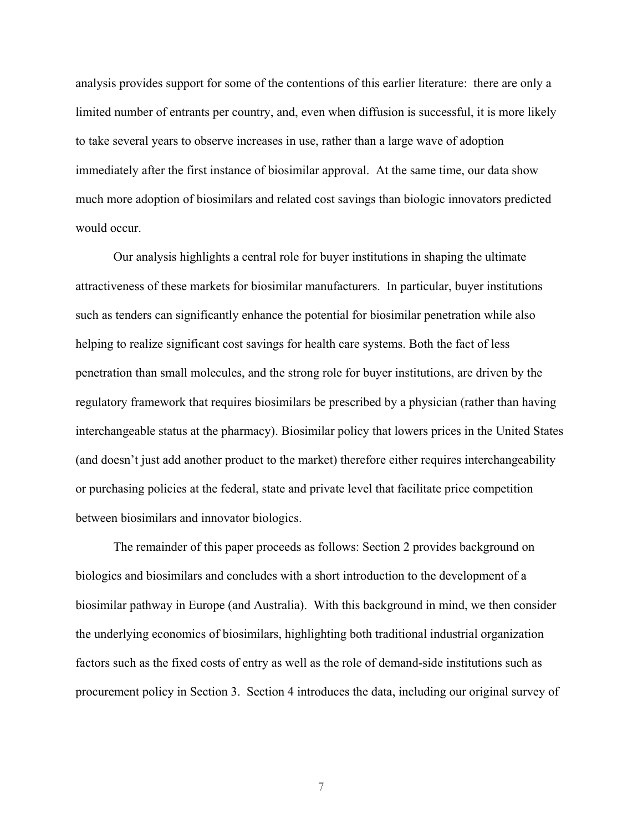analysis provides support for some of the contentions of this earlier literature: there are only a limited number of entrants per country, and, even when diffusion is successful, it is more likely to take several years to observe increases in use, rather than a large wave of adoption immediately after the first instance of biosimilar approval. At the same time, our data show much more adoption of biosimilars and related cost savings than biologic innovators predicted would occur.

Our analysis highlights a central role for buyer institutions in shaping the ultimate attractiveness of these markets for biosimilar manufacturers. In particular, buyer institutions such as tenders can significantly enhance the potential for biosimilar penetration while also helping to realize significant cost savings for health care systems. Both the fact of less penetration than small molecules, and the strong role for buyer institutions, are driven by the regulatory framework that requires biosimilars be prescribed by a physician (rather than having interchangeable status at the pharmacy). Biosimilar policy that lowers prices in the United States (and doesn't just add another product to the market) therefore either requires interchangeability or purchasing policies at the federal, state and private level that facilitate price competition between biosimilars and innovator biologics.

The remainder of this paper proceeds as follows: Section 2 provides background on biologics and biosimilars and concludes with a short introduction to the development of a biosimilar pathway in Europe (and Australia). With this background in mind, we then consider the underlying economics of biosimilars, highlighting both traditional industrial organization factors such as the fixed costs of entry as well as the role of demand-side institutions such as procurement policy in Section 3. Section 4 introduces the data, including our original survey of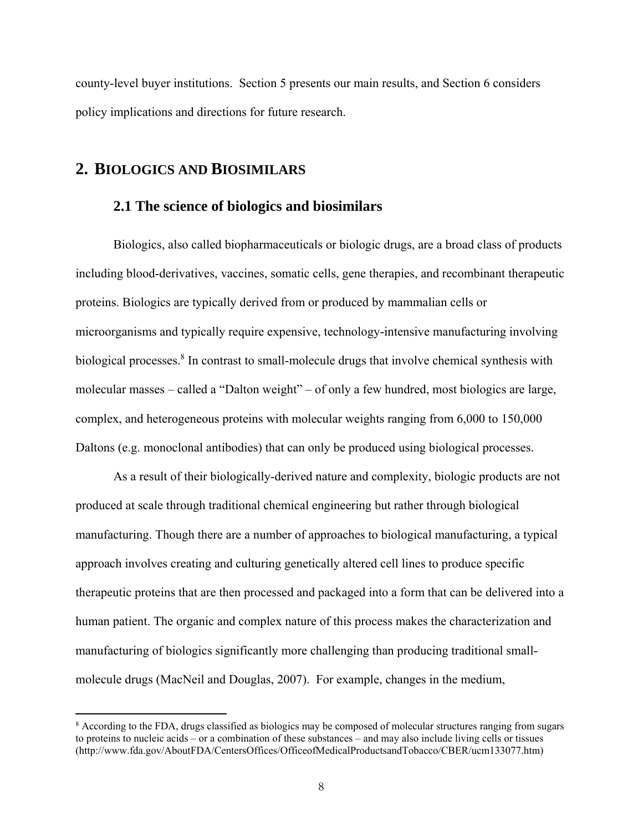county-level buyer institutions. Section 5 presents our main results, and Section 6 considers policy implications and directions for future research.

### **2. BIOLOGICS AND BIOSIMILARS**

 $\overline{a}$ 

#### **2.1 The science of biologics and biosimilars**

Biologics, also called biopharmaceuticals or biologic drugs, are a broad class of products including blood-derivatives, vaccines, somatic cells, gene therapies, and recombinant therapeutic proteins. Biologics are typically derived from or produced by mammalian cells or microorganisms and typically require expensive, technology-intensive manufacturing involving biological processes.<sup>8</sup> In contrast to small-molecule drugs that involve chemical synthesis with molecular masses – called a "Dalton weight" – of only a few hundred, most biologics are large, complex, and heterogeneous proteins with molecular weights ranging from 6,000 to 150,000 Daltons (e.g. monoclonal antibodies) that can only be produced using biological processes.

As a result of their biologically-derived nature and complexity, biologic products are not produced at scale through traditional chemical engineering but rather through biological manufacturing. Though there are a number of approaches to biological manufacturing, a typical approach involves creating and culturing genetically altered cell lines to produce specific therapeutic proteins that are then processed and packaged into a form that can be delivered into a human patient. The organic and complex nature of this process makes the characterization and manufacturing of biologics significantly more challenging than producing traditional smallmolecule drugs (MacNeil and Douglas, 2007). For example, changes in the medium,

<sup>&</sup>lt;sup>8</sup> According to the FDA, drugs classified as biologics may be composed of molecular structures ranging from sugars to proteins to nucleic acids – or a combination of these substances – and may also include living cells or tissues (http://www.fda.gov/AboutFDA/CentersOffices/OfficeofMedicalProductsandTobacco/CBER/ucm133077.htm)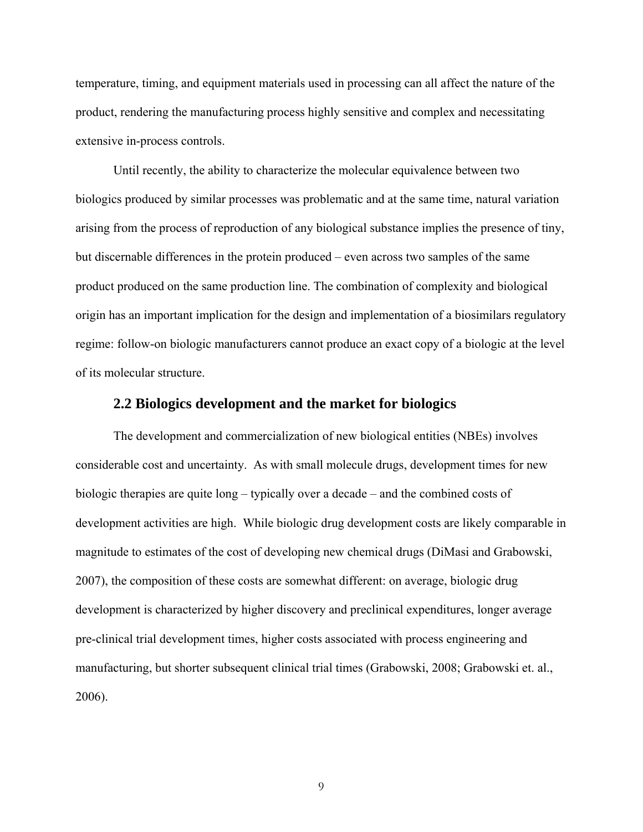temperature, timing, and equipment materials used in processing can all affect the nature of the product, rendering the manufacturing process highly sensitive and complex and necessitating extensive in-process controls.

Until recently, the ability to characterize the molecular equivalence between two biologics produced by similar processes was problematic and at the same time, natural variation arising from the process of reproduction of any biological substance implies the presence of tiny, but discernable differences in the protein produced – even across two samples of the same product produced on the same production line. The combination of complexity and biological origin has an important implication for the design and implementation of a biosimilars regulatory regime: follow-on biologic manufacturers cannot produce an exact copy of a biologic at the level of its molecular structure.

#### **2.2 Biologics development and the market for biologics**

The development and commercialization of new biological entities (NBEs) involves considerable cost and uncertainty. As with small molecule drugs, development times for new biologic therapies are quite long – typically over a decade – and the combined costs of development activities are high. While biologic drug development costs are likely comparable in magnitude to estimates of the cost of developing new chemical drugs (DiMasi and Grabowski, 2007), the composition of these costs are somewhat different: on average, biologic drug development is characterized by higher discovery and preclinical expenditures, longer average pre-clinical trial development times, higher costs associated with process engineering and manufacturing, but shorter subsequent clinical trial times (Grabowski, 2008; Grabowski et. al., 2006).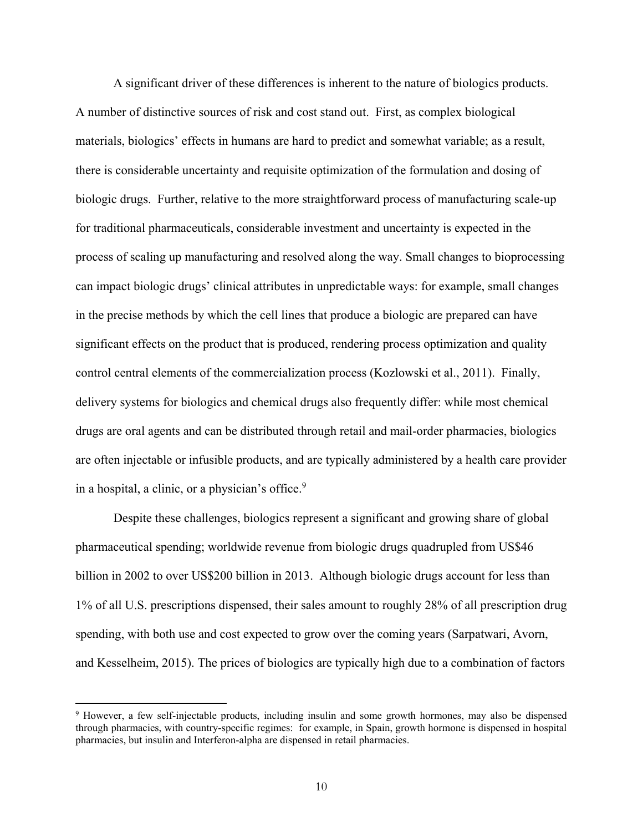A significant driver of these differences is inherent to the nature of biologics products. A number of distinctive sources of risk and cost stand out. First, as complex biological materials, biologics' effects in humans are hard to predict and somewhat variable; as a result, there is considerable uncertainty and requisite optimization of the formulation and dosing of biologic drugs. Further, relative to the more straightforward process of manufacturing scale-up for traditional pharmaceuticals, considerable investment and uncertainty is expected in the process of scaling up manufacturing and resolved along the way. Small changes to bioprocessing can impact biologic drugs' clinical attributes in unpredictable ways: for example, small changes in the precise methods by which the cell lines that produce a biologic are prepared can have significant effects on the product that is produced, rendering process optimization and quality control central elements of the commercialization process (Kozlowski et al., 2011). Finally, delivery systems for biologics and chemical drugs also frequently differ: while most chemical drugs are oral agents and can be distributed through retail and mail-order pharmacies, biologics are often injectable or infusible products, and are typically administered by a health care provider in a hospital, a clinic, or a physician's office.<sup>9</sup>

Despite these challenges, biologics represent a significant and growing share of global pharmaceutical spending; worldwide revenue from biologic drugs quadrupled from US\$46 billion in 2002 to over US\$200 billion in 2013. Although biologic drugs account for less than 1% of all U.S. prescriptions dispensed, their sales amount to roughly 28% of all prescription drug spending, with both use and cost expected to grow over the coming years (Sarpatwari, Avorn, and Kesselheim, 2015). The prices of biologics are typically high due to a combination of factors

<sup>9</sup> However, a few self-injectable products, including insulin and some growth hormones, may also be dispensed through pharmacies, with country-specific regimes: for example, in Spain, growth hormone is dispensed in hospital pharmacies, but insulin and Interferon-alpha are dispensed in retail pharmacies.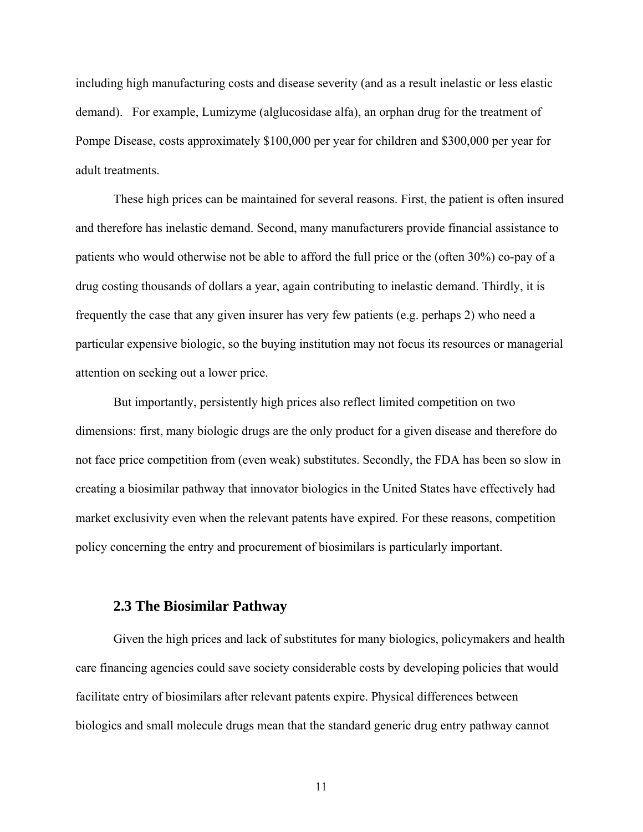including high manufacturing costs and disease severity (and as a result inelastic or less elastic demand). For example, Lumizyme (alglucosidase alfa), an orphan drug for the treatment of Pompe Disease, costs approximately \$100,000 per year for children and \$300,000 per year for adult treatments.

These high prices can be maintained for several reasons. First, the patient is often insured and therefore has inelastic demand. Second, many manufacturers provide financial assistance to patients who would otherwise not be able to afford the full price or the (often 30%) co-pay of a drug costing thousands of dollars a year, again contributing to inelastic demand. Thirdly, it is frequently the case that any given insurer has very few patients (e.g. perhaps 2) who need a particular expensive biologic, so the buying institution may not focus its resources or managerial attention on seeking out a lower price.

But importantly, persistently high prices also reflect limited competition on two dimensions: first, many biologic drugs are the only product for a given disease and therefore do not face price competition from (even weak) substitutes. Secondly, the FDA has been so slow in creating a biosimilar pathway that innovator biologics in the United States have effectively had market exclusivity even when the relevant patents have expired. For these reasons, competition policy concerning the entry and procurement of biosimilars is particularly important.

#### **2.3 The Biosimilar Pathway**

Given the high prices and lack of substitutes for many biologics, policymakers and health care financing agencies could save society considerable costs by developing policies that would facilitate entry of biosimilars after relevant patents expire. Physical differences between biologics and small molecule drugs mean that the standard generic drug entry pathway cannot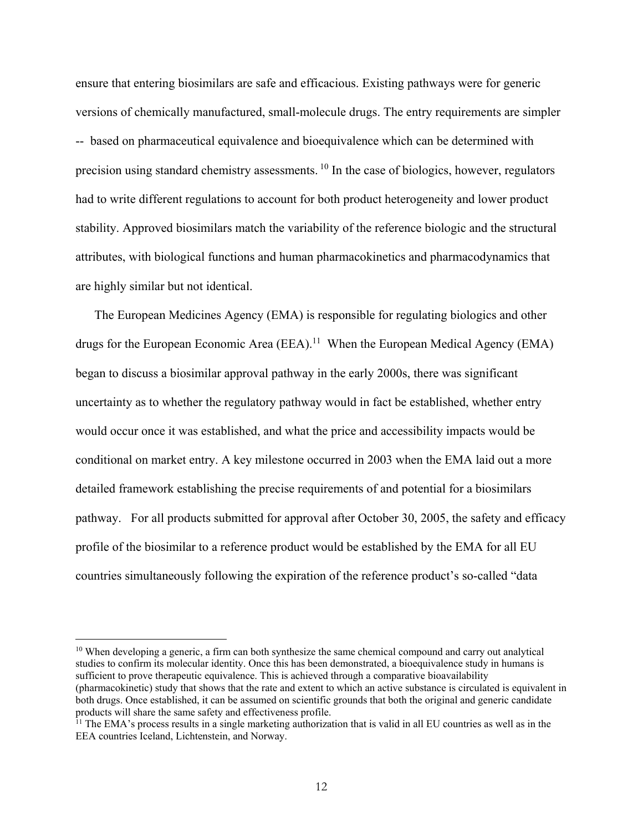ensure that entering biosimilars are safe and efficacious. Existing pathways were for generic versions of chemically manufactured, small-molecule drugs. The entry requirements are simpler -- based on pharmaceutical equivalence and bioequivalence which can be determined with precision using standard chemistry assessments. 10 In the case of biologics, however, regulators had to write different regulations to account for both product heterogeneity and lower product stability. Approved biosimilars match the variability of the reference biologic and the structural attributes, with biological functions and human pharmacokinetics and pharmacodynamics that are highly similar but not identical.

The European Medicines Agency (EMA) is responsible for regulating biologics and other drugs for the European Economic Area (EEA).<sup>11</sup> When the European Medical Agency (EMA) began to discuss a biosimilar approval pathway in the early 2000s, there was significant uncertainty as to whether the regulatory pathway would in fact be established, whether entry would occur once it was established, and what the price and accessibility impacts would be conditional on market entry. A key milestone occurred in 2003 when the EMA laid out a more detailed framework establishing the precise requirements of and potential for a biosimilars pathway. For all products submitted for approval after October 30, 2005, the safety and efficacy profile of the biosimilar to a reference product would be established by the EMA for all EU countries simultaneously following the expiration of the reference product's so-called "data

<sup>&</sup>lt;sup>10</sup> When developing a generic, a firm can both synthesize the same chemical compound and carry out analytical studies to confirm its molecular identity. Once this has been demonstrated, a bioequivalence study in humans is sufficient to prove therapeutic equivalence. This is achieved through a comparative bioavailability (pharmacokinetic) study that shows that the rate and extent to which an active substance is circulated is equivalent in both drugs. Once established, it can be assumed on scientific grounds that both the original and generic candidate products will share the same safety and effectiveness profile.

<sup>&</sup>lt;sup>11</sup> The EMA's process results in a single marketing authorization that is valid in all EU countries as well as in the EEA countries Iceland, Lichtenstein, and Norway.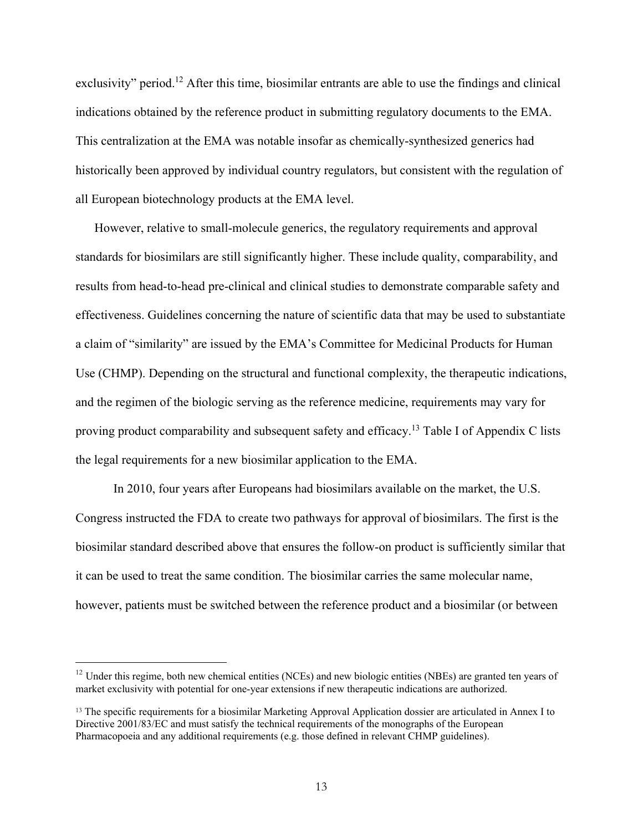exclusivity" period.<sup>12</sup> After this time, biosimilar entrants are able to use the findings and clinical indications obtained by the reference product in submitting regulatory documents to the EMA. This centralization at the EMA was notable insofar as chemically-synthesized generics had historically been approved by individual country regulators, but consistent with the regulation of all European biotechnology products at the EMA level.

However, relative to small-molecule generics, the regulatory requirements and approval standards for biosimilars are still significantly higher. These include quality, comparability, and results from head-to-head pre-clinical and clinical studies to demonstrate comparable safety and effectiveness. Guidelines concerning the nature of scientific data that may be used to substantiate a claim of "similarity" are issued by the EMA's Committee for Medicinal Products for Human Use (CHMP). Depending on the structural and functional complexity, the therapeutic indications, and the regimen of the biologic serving as the reference medicine, requirements may vary for proving product comparability and subsequent safety and efficacy.13 Table I of Appendix C lists the legal requirements for a new biosimilar application to the EMA.

In 2010, four years after Europeans had biosimilars available on the market, the U.S. Congress instructed the FDA to create two pathways for approval of biosimilars. The first is the biosimilar standard described above that ensures the follow-on product is sufficiently similar that it can be used to treat the same condition. The biosimilar carries the same molecular name, however, patients must be switched between the reference product and a biosimilar (or between

<sup>&</sup>lt;sup>12</sup> Under this regime, both new chemical entities (NCEs) and new biologic entities (NBEs) are granted ten years of market exclusivity with potential for one-year extensions if new therapeutic indications are authorized.

<sup>&</sup>lt;sup>13</sup> The specific requirements for a biosimilar Marketing Approval Application dossier are articulated in Annex I to Directive 2001/83/EC and must satisfy the technical requirements of the monographs of the European Pharmacopoeia and any additional requirements (e.g. those defined in relevant CHMP guidelines).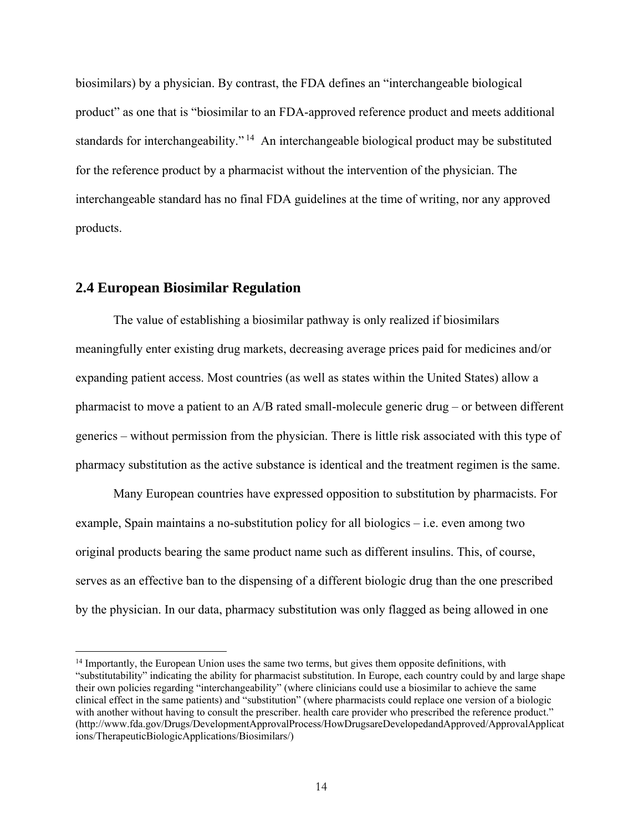biosimilars) by a physician. By contrast, the FDA defines an "interchangeable biological product" as one that is "biosimilar to an FDA-approved reference product and meets additional standards for interchangeability."<sup>14</sup> An interchangeable biological product may be substituted for the reference product by a pharmacist without the intervention of the physician. The interchangeable standard has no final FDA guidelines at the time of writing, nor any approved products.

#### **2.4 European Biosimilar Regulation**

-

The value of establishing a biosimilar pathway is only realized if biosimilars meaningfully enter existing drug markets, decreasing average prices paid for medicines and/or expanding patient access. Most countries (as well as states within the United States) allow a pharmacist to move a patient to an A/B rated small-molecule generic drug – or between different generics – without permission from the physician. There is little risk associated with this type of pharmacy substitution as the active substance is identical and the treatment regimen is the same.

Many European countries have expressed opposition to substitution by pharmacists. For example, Spain maintains a no-substitution policy for all biologics – i.e. even among two original products bearing the same product name such as different insulins. This, of course, serves as an effective ban to the dispensing of a different biologic drug than the one prescribed by the physician. In our data, pharmacy substitution was only flagged as being allowed in one

<sup>&</sup>lt;sup>14</sup> Importantly, the European Union uses the same two terms, but gives them opposite definitions, with "substitutability" indicating the ability for pharmacist substitution. In Europe, each country could by and large shape their own policies regarding "interchangeability" (where clinicians could use a biosimilar to achieve the same clinical effect in the same patients) and "substitution" (where pharmacists could replace one version of a biologic with another without having to consult the prescriber. health care provider who prescribed the reference product." (http://www.fda.gov/Drugs/DevelopmentApprovalProcess/HowDrugsareDevelopedandApproved/ApprovalApplicat ions/TherapeuticBiologicApplications/Biosimilars/)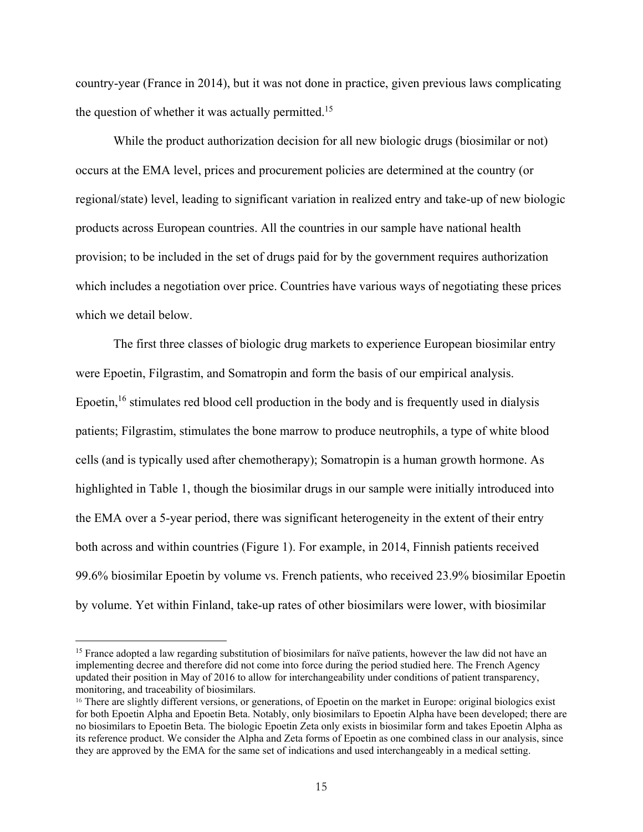country-year (France in 2014), but it was not done in practice, given previous laws complicating the question of whether it was actually permitted.<sup>15</sup>

While the product authorization decision for all new biologic drugs (biosimilar or not) occurs at the EMA level, prices and procurement policies are determined at the country (or regional/state) level, leading to significant variation in realized entry and take-up of new biologic products across European countries. All the countries in our sample have national health provision; to be included in the set of drugs paid for by the government requires authorization which includes a negotiation over price. Countries have various ways of negotiating these prices which we detail below.

The first three classes of biologic drug markets to experience European biosimilar entry were Epoetin, Filgrastim, and Somatropin and form the basis of our empirical analysis. Epoetin,<sup>16</sup> stimulates red blood cell production in the body and is frequently used in dialysis patients; Filgrastim, stimulates the bone marrow to produce neutrophils, a type of white blood cells (and is typically used after chemotherapy); Somatropin is a human growth hormone. As highlighted in Table 1, though the biosimilar drugs in our sample were initially introduced into the EMA over a 5-year period, there was significant heterogeneity in the extent of their entry both across and within countries (Figure 1). For example, in 2014, Finnish patients received 99.6% biosimilar Epoetin by volume vs. French patients, who received 23.9% biosimilar Epoetin by volume. Yet within Finland, take-up rates of other biosimilars were lower, with biosimilar

<u>.</u>

<sup>&</sup>lt;sup>15</sup> France adopted a law regarding substitution of biosimilars for naïve patients, however the law did not have an implementing decree and therefore did not come into force during the period studied here. The French Agency updated their position in May of 2016 to allow for interchangeability under conditions of patient transparency, monitoring, and traceability of biosimilars.

<sup>&</sup>lt;sup>16</sup> There are slightly different versions, or generations, of Epoetin on the market in Europe: original biologics exist for both Epoetin Alpha and Epoetin Beta. Notably, only biosimilars to Epoetin Alpha have been developed; there are no biosimilars to Epoetin Beta. The biologic Epoetin Zeta only exists in biosimilar form and takes Epoetin Alpha as its reference product. We consider the Alpha and Zeta forms of Epoetin as one combined class in our analysis, since they are approved by the EMA for the same set of indications and used interchangeably in a medical setting.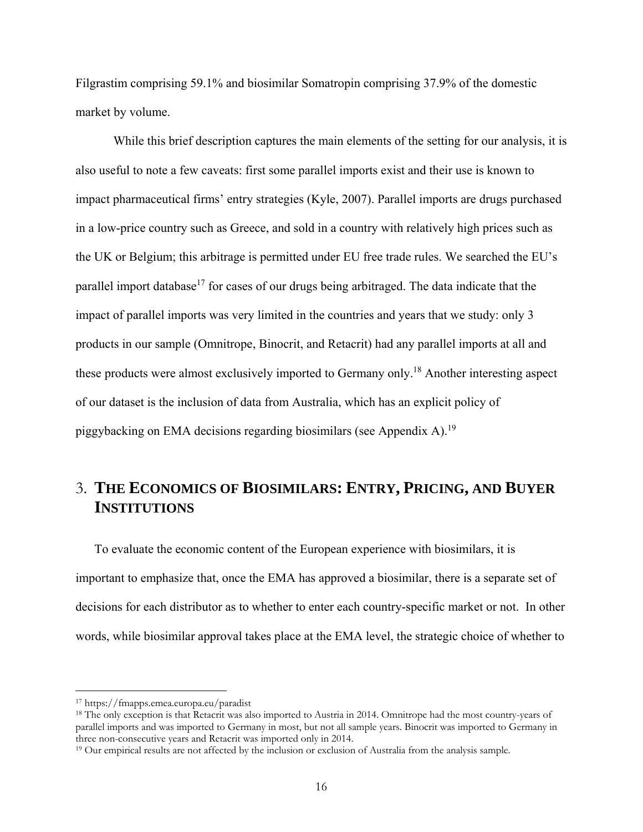Filgrastim comprising 59.1% and biosimilar Somatropin comprising 37.9% of the domestic market by volume.

While this brief description captures the main elements of the setting for our analysis, it is also useful to note a few caveats: first some parallel imports exist and their use is known to impact pharmaceutical firms' entry strategies (Kyle, 2007). Parallel imports are drugs purchased in a low-price country such as Greece, and sold in a country with relatively high prices such as the UK or Belgium; this arbitrage is permitted under EU free trade rules. We searched the EU's parallel import database<sup>17</sup> for cases of our drugs being arbitraged. The data indicate that the impact of parallel imports was very limited in the countries and years that we study: only 3 products in our sample (Omnitrope, Binocrit, and Retacrit) had any parallel imports at all and these products were almost exclusively imported to Germany only.<sup>18</sup> Another interesting aspect of our dataset is the inclusion of data from Australia, which has an explicit policy of piggybacking on EMA decisions regarding biosimilars (see Appendix A).19

## 3. **THE ECONOMICS OF BIOSIMILARS: ENTRY, PRICING, AND BUYER INSTITUTIONS**

To evaluate the economic content of the European experience with biosimilars, it is important to emphasize that, once the EMA has approved a biosimilar, there is a separate set of decisions for each distributor as to whether to enter each country-specific market or not. In other words, while biosimilar approval takes place at the EMA level, the strategic choice of whether to

<sup>&</sup>lt;sup>17</sup> https://fmapps.emea.europa.eu/paradist<br><sup>18</sup> The only exception is that Retacrit was also imported to Austria in 2014. Omnitrope had the most country-years of parallel imports and was imported to Germany in most, but not all sample years. Binocrit was imported to Germany in three non-consecutive years and Retacrit was imported only in 2014.<br><sup>19</sup> Our empirical results are not affected by the inclusion or exclusion of Australia from the analysis sample.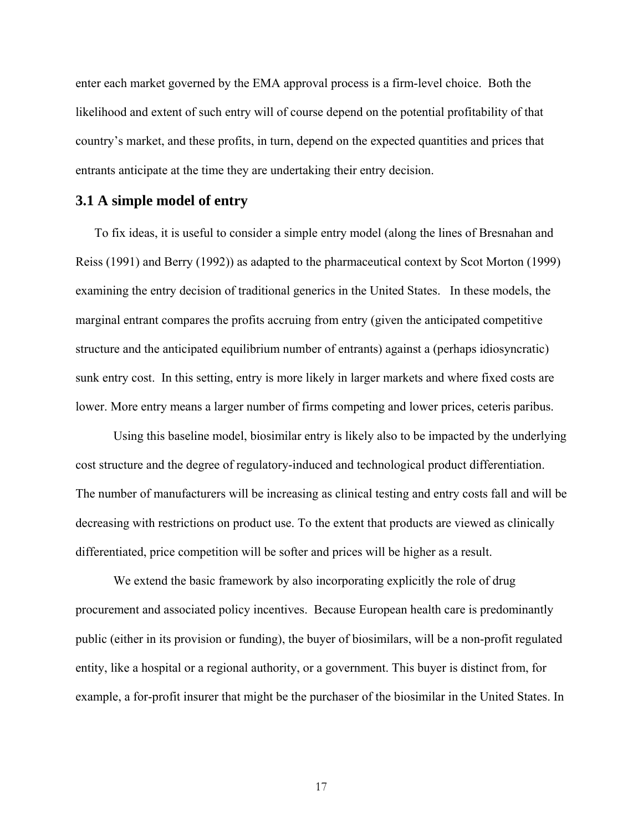enter each market governed by the EMA approval process is a firm-level choice. Both the likelihood and extent of such entry will of course depend on the potential profitability of that country's market, and these profits, in turn, depend on the expected quantities and prices that entrants anticipate at the time they are undertaking their entry decision.

#### **3.1 A simple model of entry**

To fix ideas, it is useful to consider a simple entry model (along the lines of Bresnahan and Reiss (1991) and Berry (1992)) as adapted to the pharmaceutical context by Scot Morton (1999) examining the entry decision of traditional generics in the United States. In these models, the marginal entrant compares the profits accruing from entry (given the anticipated competitive structure and the anticipated equilibrium number of entrants) against a (perhaps idiosyncratic) sunk entry cost. In this setting, entry is more likely in larger markets and where fixed costs are lower. More entry means a larger number of firms competing and lower prices, ceteris paribus.

Using this baseline model, biosimilar entry is likely also to be impacted by the underlying cost structure and the degree of regulatory-induced and technological product differentiation. The number of manufacturers will be increasing as clinical testing and entry costs fall and will be decreasing with restrictions on product use. To the extent that products are viewed as clinically differentiated, price competition will be softer and prices will be higher as a result.

We extend the basic framework by also incorporating explicitly the role of drug procurement and associated policy incentives. Because European health care is predominantly public (either in its provision or funding), the buyer of biosimilars, will be a non-profit regulated entity, like a hospital or a regional authority, or a government. This buyer is distinct from, for example, a for-profit insurer that might be the purchaser of the biosimilar in the United States. In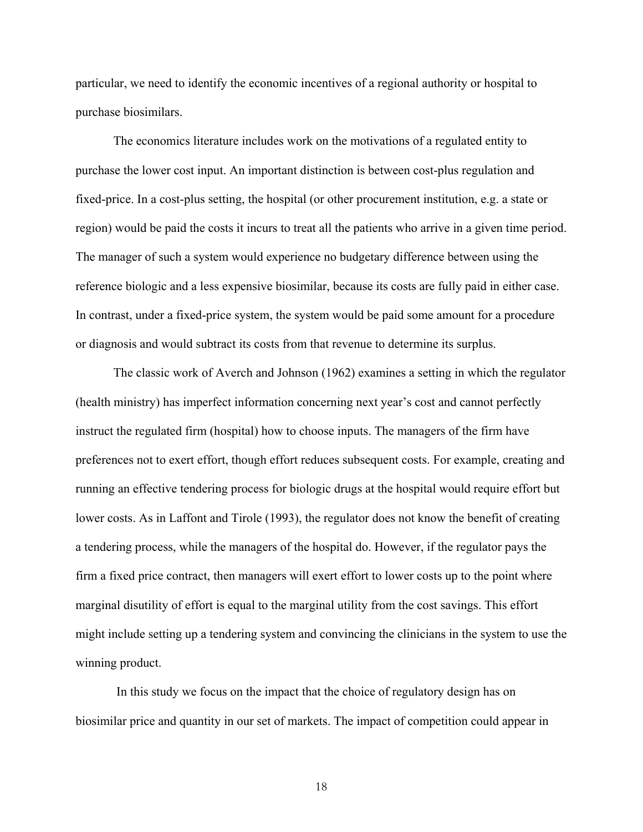particular, we need to identify the economic incentives of a regional authority or hospital to purchase biosimilars.

The economics literature includes work on the motivations of a regulated entity to purchase the lower cost input. An important distinction is between cost-plus regulation and fixed-price. In a cost-plus setting, the hospital (or other procurement institution, e.g. a state or region) would be paid the costs it incurs to treat all the patients who arrive in a given time period. The manager of such a system would experience no budgetary difference between using the reference biologic and a less expensive biosimilar, because its costs are fully paid in either case. In contrast, under a fixed-price system, the system would be paid some amount for a procedure or diagnosis and would subtract its costs from that revenue to determine its surplus.

The classic work of Averch and Johnson (1962) examines a setting in which the regulator (health ministry) has imperfect information concerning next year's cost and cannot perfectly instruct the regulated firm (hospital) how to choose inputs. The managers of the firm have preferences not to exert effort, though effort reduces subsequent costs. For example, creating and running an effective tendering process for biologic drugs at the hospital would require effort but lower costs. As in Laffont and Tirole (1993), the regulator does not know the benefit of creating a tendering process, while the managers of the hospital do. However, if the regulator pays the firm a fixed price contract, then managers will exert effort to lower costs up to the point where marginal disutility of effort is equal to the marginal utility from the cost savings. This effort might include setting up a tendering system and convincing the clinicians in the system to use the winning product.

 In this study we focus on the impact that the choice of regulatory design has on biosimilar price and quantity in our set of markets. The impact of competition could appear in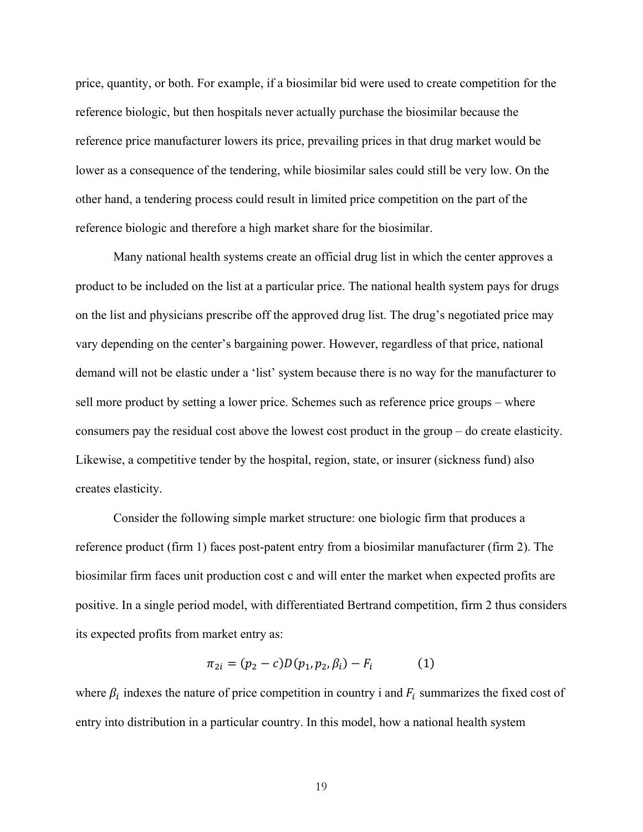price, quantity, or both. For example, if a biosimilar bid were used to create competition for the reference biologic, but then hospitals never actually purchase the biosimilar because the reference price manufacturer lowers its price, prevailing prices in that drug market would be lower as a consequence of the tendering, while biosimilar sales could still be very low. On the other hand, a tendering process could result in limited price competition on the part of the reference biologic and therefore a high market share for the biosimilar.

Many national health systems create an official drug list in which the center approves a product to be included on the list at a particular price. The national health system pays for drugs on the list and physicians prescribe off the approved drug list. The drug's negotiated price may vary depending on the center's bargaining power. However, regardless of that price, national demand will not be elastic under a 'list' system because there is no way for the manufacturer to sell more product by setting a lower price. Schemes such as reference price groups – where consumers pay the residual cost above the lowest cost product in the group – do create elasticity. Likewise, a competitive tender by the hospital, region, state, or insurer (sickness fund) also creates elasticity.

Consider the following simple market structure: one biologic firm that produces a reference product (firm 1) faces post-patent entry from a biosimilar manufacturer (firm 2). The biosimilar firm faces unit production cost c and will enter the market when expected profits are positive. In a single period model, with differentiated Bertrand competition, firm 2 thus considers its expected profits from market entry as:

$$
\pi_{2i} = (p_2 - c)D(p_1, p_2, \beta_i) - F_i \tag{1}
$$

where  $\beta_i$  indexes the nature of price competition in country i and  $F_i$  summarizes the fixed cost of entry into distribution in a particular country. In this model, how a national health system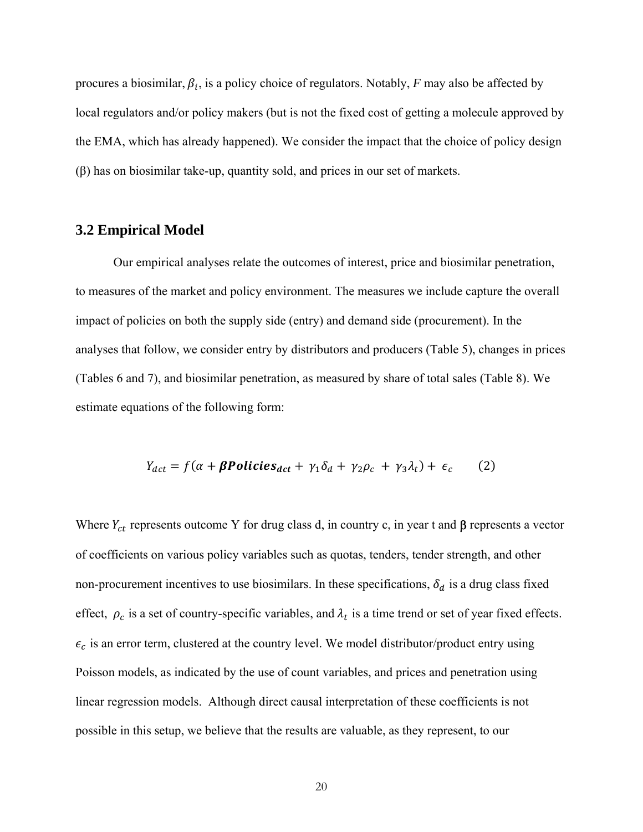procures a biosimilar,  $\beta_i$ , is a policy choice of regulators. Notably, *F* may also be affected by local regulators and/or policy makers (but is not the fixed cost of getting a molecule approved by the EMA, which has already happened). We consider the impact that the choice of policy design (β) has on biosimilar take-up, quantity sold, and prices in our set of markets.

#### **3.2 Empirical Model**

Our empirical analyses relate the outcomes of interest, price and biosimilar penetration, to measures of the market and policy environment. The measures we include capture the overall impact of policies on both the supply side (entry) and demand side (procurement). In the analyses that follow, we consider entry by distributors and producers (Table 5), changes in prices (Tables 6 and 7), and biosimilar penetration, as measured by share of total sales (Table 8). We estimate equations of the following form:

$$
Y_{dct} = f(\alpha + \beta \text{Politics}_{dct} + \gamma_1 \delta_d + \gamma_2 \rho_c + \gamma_3 \lambda_t) + \epsilon_c \tag{2}
$$

Where  $Y_{ct}$  represents outcome Y for drug class d, in country c, in year t and  $\beta$  represents a vector of coefficients on various policy variables such as quotas, tenders, tender strength, and other non-procurement incentives to use biosimilars. In these specifications,  $\delta_d$  is a drug class fixed effect,  $\rho_c$  is a set of country-specific variables, and  $\lambda_t$  is a time trend or set of year fixed effects.  $\epsilon_c$  is an error term, clustered at the country level. We model distributor/product entry using Poisson models, as indicated by the use of count variables, and prices and penetration using linear regression models. Although direct causal interpretation of these coefficients is not possible in this setup, we believe that the results are valuable, as they represent, to our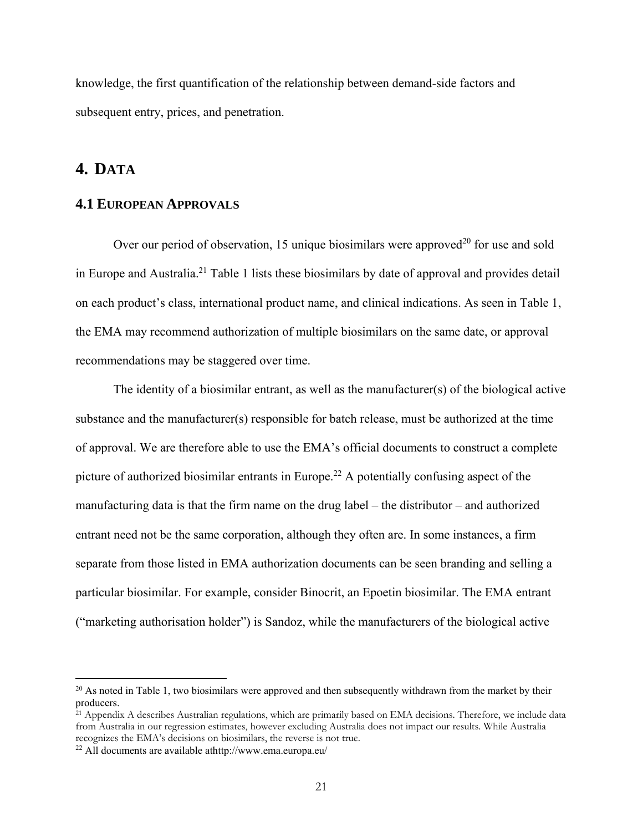knowledge, the first quantification of the relationship between demand-side factors and subsequent entry, prices, and penetration.

### **4. DATA**

 $\overline{a}$ 

#### **4.1 EUROPEAN APPROVALS**

Over our period of observation, 15 unique biosimilars were approved<sup>20</sup> for use and sold in Europe and Australia.21 Table 1 lists these biosimilars by date of approval and provides detail on each product's class, international product name, and clinical indications. As seen in Table 1, the EMA may recommend authorization of multiple biosimilars on the same date, or approval recommendations may be staggered over time.

The identity of a biosimilar entrant, as well as the manufacturer(s) of the biological active substance and the manufacturer(s) responsible for batch release, must be authorized at the time of approval. We are therefore able to use the EMA's official documents to construct a complete picture of authorized biosimilar entrants in Europe.<sup>22</sup> A potentially confusing aspect of the manufacturing data is that the firm name on the drug label – the distributor – and authorized entrant need not be the same corporation, although they often are. In some instances, a firm separate from those listed in EMA authorization documents can be seen branding and selling a particular biosimilar. For example, consider Binocrit, an Epoetin biosimilar. The EMA entrant ("marketing authorisation holder") is Sandoz, while the manufacturers of the biological active

<sup>&</sup>lt;sup>20</sup> As noted in Table 1, two biosimilars were approved and then subsequently withdrawn from the market by their producers.

<sup>&</sup>lt;sup>21</sup> Appendix A describes Australian regulations, which are primarily based on EMA decisions. Therefore, we include data from Australia in our regression estimates, however excluding Australia does not impact our results. While Australia recognizes the EMA's decisions on biosimilars, the reverse is not true.

<sup>22</sup> All documents are available athttp://www.ema.europa.eu/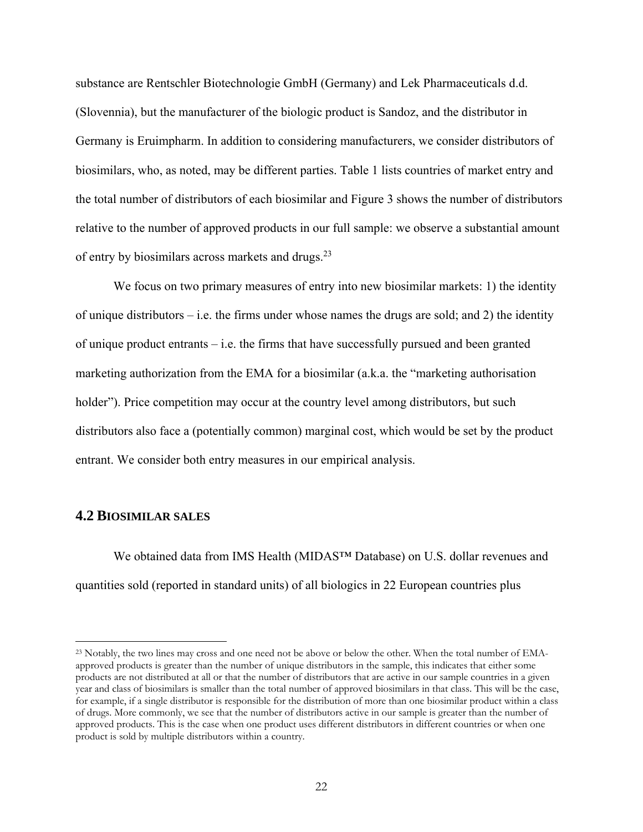substance are Rentschler Biotechnologie GmbH (Germany) and Lek Pharmaceuticals d.d. (Slovennia), but the manufacturer of the biologic product is Sandoz, and the distributor in Germany is Eruimpharm. In addition to considering manufacturers, we consider distributors of biosimilars, who, as noted, may be different parties. Table 1 lists countries of market entry and the total number of distributors of each biosimilar and Figure 3 shows the number of distributors relative to the number of approved products in our full sample: we observe a substantial amount of entry by biosimilars across markets and drugs.<sup>23</sup>

We focus on two primary measures of entry into new biosimilar markets: 1) the identity of unique distributors  $-$  i.e. the firms under whose names the drugs are sold; and 2) the identity of unique product entrants – i.e. the firms that have successfully pursued and been granted marketing authorization from the EMA for a biosimilar (a.k.a. the "marketing authorisation holder"). Price competition may occur at the country level among distributors, but such distributors also face a (potentially common) marginal cost, which would be set by the product entrant. We consider both entry measures in our empirical analysis.

#### **4.2 BIOSIMILAR SALES**

 $\overline{a}$ 

We obtained data from IMS Health (MIDAS™ Database) on U.S. dollar revenues and quantities sold (reported in standard units) of all biologics in 22 European countries plus

<sup>&</sup>lt;sup>23</sup> Notably, the two lines may cross and one need not be above or below the other. When the total number of EMAapproved products is greater than the number of unique distributors in the sample, this indicates that either some products are not distributed at all or that the number of distributors that are active in our sample countries in a given year and class of biosimilars is smaller than the total number of approved biosimilars in that class. This will be the case, for example, if a single distributor is responsible for the distribution of more than one biosimilar product within a class of drugs. More commonly, we see that the number of distributors active in our sample is greater than the number of approved products. This is the case when one product uses different distributors in different countries or when one product is sold by multiple distributors within a country.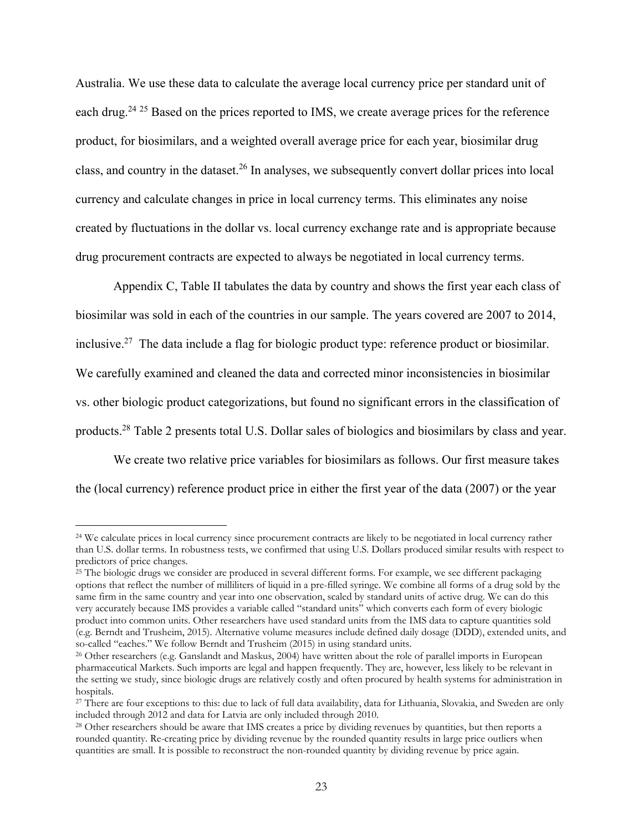Australia. We use these data to calculate the average local currency price per standard unit of each drug.<sup>24 25</sup> Based on the prices reported to IMS, we create average prices for the reference product, for biosimilars, and a weighted overall average price for each year, biosimilar drug class, and country in the dataset.26 In analyses, we subsequently convert dollar prices into local currency and calculate changes in price in local currency terms. This eliminates any noise created by fluctuations in the dollar vs. local currency exchange rate and is appropriate because drug procurement contracts are expected to always be negotiated in local currency terms.

Appendix C, Table II tabulates the data by country and shows the first year each class of biosimilar was sold in each of the countries in our sample. The years covered are 2007 to 2014, inclusive.27 The data include a flag for biologic product type: reference product or biosimilar. We carefully examined and cleaned the data and corrected minor inconsistencies in biosimilar vs. other biologic product categorizations, but found no significant errors in the classification of products.28 Table 2 presents total U.S. Dollar sales of biologics and biosimilars by class and year.

We create two relative price variables for biosimilars as follows. Our first measure takes the (local currency) reference product price in either the first year of the data (2007) or the year

<sup>&</sup>lt;sup>24</sup> We calculate prices in local currency since procurement contracts are likely to be negotiated in local currency rather than U.S. dollar terms. In robustness tests, we confirmed that using U.S. Dollars produced similar results with respect to predictors of price changes.

 $25$  The biologic drugs we consider are produced in several different forms. For example, we see different packaging options that reflect the number of milliliters of liquid in a pre-filled syringe. We combine all forms of a drug sold by the same firm in the same country and year into one observation, scaled by standard units of active drug. We can do this very accurately because IMS provides a variable called "standard units" which converts each form of every biologic product into common units. Other researchers have used standard units from the IMS data to capture quantities sold (e.g. Berndt and Trusheim, 2015). Alternative volume measures include defined daily dosage (DDD), extended units, and

 $26$  Other researchers (e.g. Ganslandt and Maskus, 2004) have written about the role of parallel imports in European pharmaceutical Markets. Such imports are legal and happen frequently. They are, however, less likely to be relevant in the setting we study, since biologic drugs are relatively costly and often procured by health systems for administration in hospitals.

<sup>&</sup>lt;sup>27</sup> There are four exceptions to this: due to lack of full data availability, data for Lithuania, Slovakia, and Sweden are only included through 2010.

<sup>&</sup>lt;sup>28</sup> Other researchers should be aware that IMS creates a price by dividing revenues by quantities, but then reports a rounded quantity. Re-creating price by dividing revenue by the rounded quantity results in large price outliers when quantities are small. It is possible to reconstruct the non-rounded quantity by dividing revenue by price again.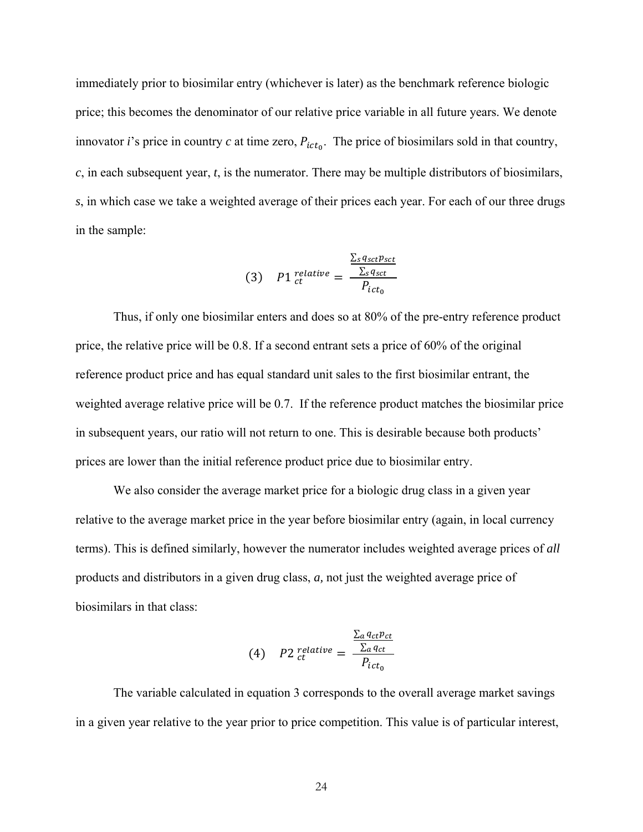immediately prior to biosimilar entry (whichever is later) as the benchmark reference biologic price; this becomes the denominator of our relative price variable in all future years. We denote innovator *i*'s price in country *c* at time zero,  $P_{ict_0}$ . The price of biosimilars sold in that country, *c*, in each subsequent year, *t*, is the numerator. There may be multiple distributors of biosimilars, *s*, in which case we take a weighted average of their prices each year. For each of our three drugs in the sample:

ሺ3ሻ ܲ1 ௧ ௧௩ ൌ ∑ೞ ೞೞ ∑ೞ ೞ ܲ௧బ

 Thus, if only one biosimilar enters and does so at 80% of the pre-entry reference product price, the relative price will be 0.8. If a second entrant sets a price of 60% of the original reference product price and has equal standard unit sales to the first biosimilar entrant, the weighted average relative price will be 0.7. If the reference product matches the biosimilar price in subsequent years, our ratio will not return to one. This is desirable because both products' prices are lower than the initial reference product price due to biosimilar entry.

We also consider the average market price for a biologic drug class in a given year relative to the average market price in the year before biosimilar entry (again, in local currency terms). This is defined similarly, however the numerator includes weighted average prices of *all* products and distributors in a given drug class, *a,* not just the weighted average price of biosimilars in that class:

(4) 
$$
P2 \text{ relative } = \frac{\frac{\sum_{a} q_{ct} p_{ct}}{\sum_{a} q_{ct}}}{P_{ict_0}}
$$

The variable calculated in equation 3 corresponds to the overall average market savings in a given year relative to the year prior to price competition. This value is of particular interest,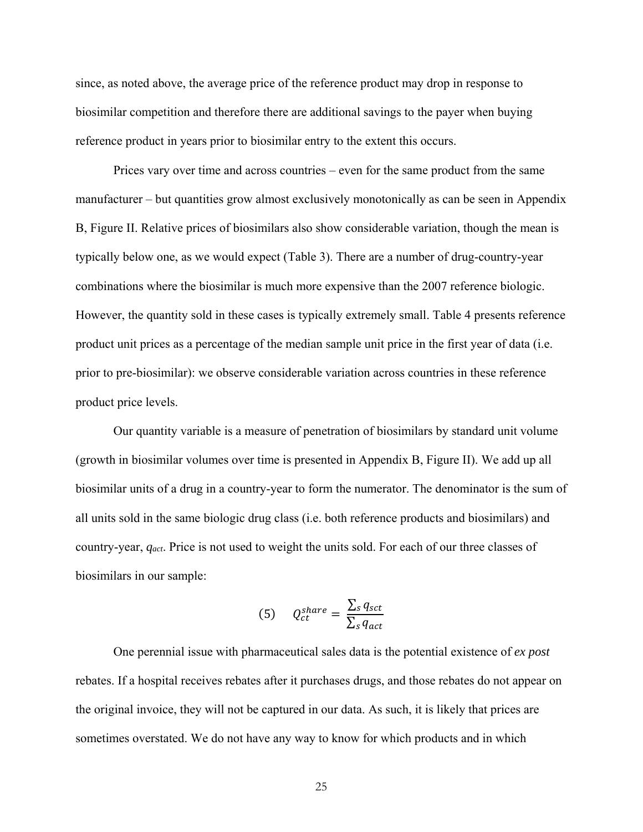since, as noted above, the average price of the reference product may drop in response to biosimilar competition and therefore there are additional savings to the payer when buying reference product in years prior to biosimilar entry to the extent this occurs.

Prices vary over time and across countries – even for the same product from the same manufacturer – but quantities grow almost exclusively monotonically as can be seen in Appendix B, Figure II. Relative prices of biosimilars also show considerable variation, though the mean is typically below one, as we would expect (Table 3). There are a number of drug-country-year combinations where the biosimilar is much more expensive than the 2007 reference biologic. However, the quantity sold in these cases is typically extremely small. Table 4 presents reference product unit prices as a percentage of the median sample unit price in the first year of data (i.e. prior to pre-biosimilar): we observe considerable variation across countries in these reference product price levels.

Our quantity variable is a measure of penetration of biosimilars by standard unit volume (growth in biosimilar volumes over time is presented in Appendix B, Figure II). We add up all biosimilar units of a drug in a country-year to form the numerator. The denominator is the sum of all units sold in the same biologic drug class (i.e. both reference products and biosimilars) and country-year, *qact*. Price is not used to weight the units sold. For each of our three classes of biosimilars in our sample:

(5) 
$$
Q_{ct}^{share} = \frac{\sum_s q_{sct}}{\sum_s q_{act}}
$$

One perennial issue with pharmaceutical sales data is the potential existence of *ex post* rebates. If a hospital receives rebates after it purchases drugs, and those rebates do not appear on the original invoice, they will not be captured in our data. As such, it is likely that prices are sometimes overstated. We do not have any way to know for which products and in which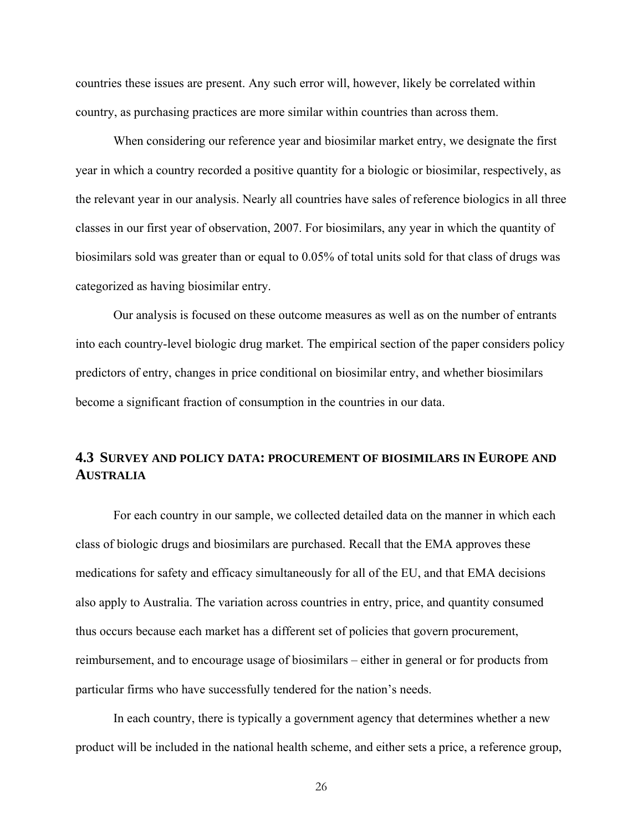countries these issues are present. Any such error will, however, likely be correlated within country, as purchasing practices are more similar within countries than across them.

When considering our reference year and biosimilar market entry, we designate the first year in which a country recorded a positive quantity for a biologic or biosimilar, respectively, as the relevant year in our analysis. Nearly all countries have sales of reference biologics in all three classes in our first year of observation, 2007. For biosimilars, any year in which the quantity of biosimilars sold was greater than or equal to 0.05% of total units sold for that class of drugs was categorized as having biosimilar entry.

Our analysis is focused on these outcome measures as well as on the number of entrants into each country-level biologic drug market. The empirical section of the paper considers policy predictors of entry, changes in price conditional on biosimilar entry, and whether biosimilars become a significant fraction of consumption in the countries in our data.

#### **4.3 SURVEY AND POLICY DATA: PROCUREMENT OF BIOSIMILARS IN EUROPE AND AUSTRALIA**

For each country in our sample, we collected detailed data on the manner in which each class of biologic drugs and biosimilars are purchased. Recall that the EMA approves these medications for safety and efficacy simultaneously for all of the EU, and that EMA decisions also apply to Australia. The variation across countries in entry, price, and quantity consumed thus occurs because each market has a different set of policies that govern procurement, reimbursement, and to encourage usage of biosimilars – either in general or for products from particular firms who have successfully tendered for the nation's needs.

In each country, there is typically a government agency that determines whether a new product will be included in the national health scheme, and either sets a price, a reference group,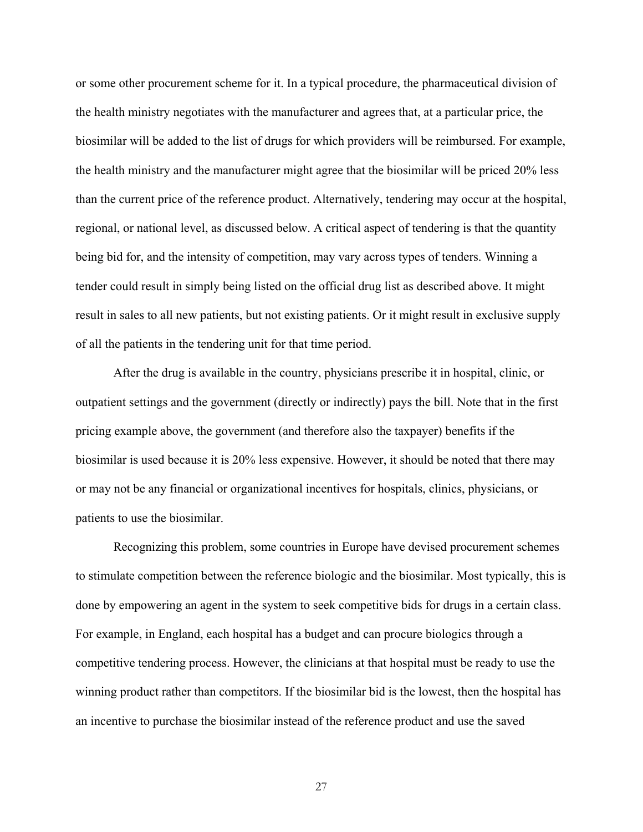or some other procurement scheme for it. In a typical procedure, the pharmaceutical division of the health ministry negotiates with the manufacturer and agrees that, at a particular price, the biosimilar will be added to the list of drugs for which providers will be reimbursed. For example, the health ministry and the manufacturer might agree that the biosimilar will be priced 20% less than the current price of the reference product. Alternatively, tendering may occur at the hospital, regional, or national level, as discussed below. A critical aspect of tendering is that the quantity being bid for, and the intensity of competition, may vary across types of tenders. Winning a tender could result in simply being listed on the official drug list as described above. It might result in sales to all new patients, but not existing patients. Or it might result in exclusive supply of all the patients in the tendering unit for that time period.

After the drug is available in the country, physicians prescribe it in hospital, clinic, or outpatient settings and the government (directly or indirectly) pays the bill. Note that in the first pricing example above, the government (and therefore also the taxpayer) benefits if the biosimilar is used because it is 20% less expensive. However, it should be noted that there may or may not be any financial or organizational incentives for hospitals, clinics, physicians, or patients to use the biosimilar.

Recognizing this problem, some countries in Europe have devised procurement schemes to stimulate competition between the reference biologic and the biosimilar. Most typically, this is done by empowering an agent in the system to seek competitive bids for drugs in a certain class. For example, in England, each hospital has a budget and can procure biologics through a competitive tendering process. However, the clinicians at that hospital must be ready to use the winning product rather than competitors. If the biosimilar bid is the lowest, then the hospital has an incentive to purchase the biosimilar instead of the reference product and use the saved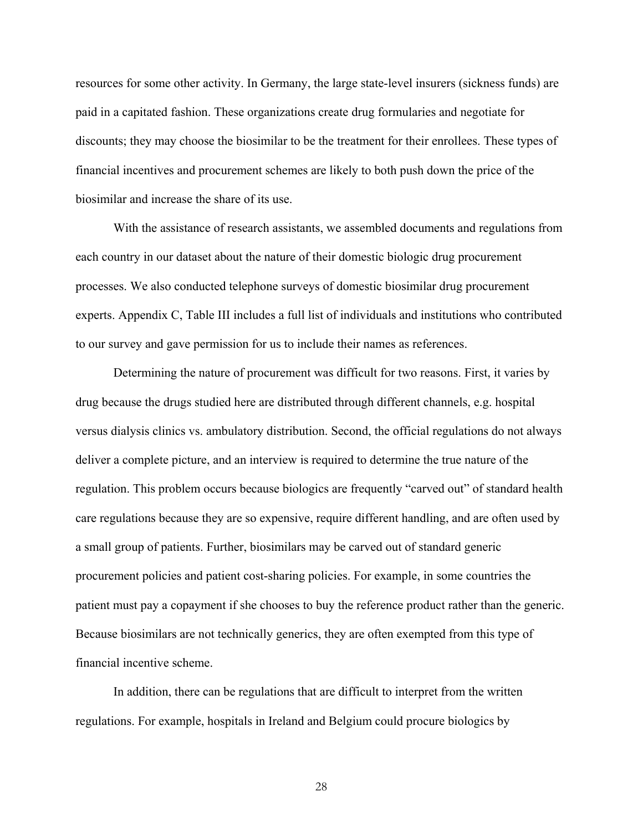resources for some other activity. In Germany, the large state-level insurers (sickness funds) are paid in a capitated fashion. These organizations create drug formularies and negotiate for discounts; they may choose the biosimilar to be the treatment for their enrollees. These types of financial incentives and procurement schemes are likely to both push down the price of the biosimilar and increase the share of its use.

With the assistance of research assistants, we assembled documents and regulations from each country in our dataset about the nature of their domestic biologic drug procurement processes. We also conducted telephone surveys of domestic biosimilar drug procurement experts. Appendix C, Table III includes a full list of individuals and institutions who contributed to our survey and gave permission for us to include their names as references.

Determining the nature of procurement was difficult for two reasons. First, it varies by drug because the drugs studied here are distributed through different channels, e.g. hospital versus dialysis clinics vs. ambulatory distribution. Second, the official regulations do not always deliver a complete picture, and an interview is required to determine the true nature of the regulation. This problem occurs because biologics are frequently "carved out" of standard health care regulations because they are so expensive, require different handling, and are often used by a small group of patients. Further, biosimilars may be carved out of standard generic procurement policies and patient cost-sharing policies. For example, in some countries the patient must pay a copayment if she chooses to buy the reference product rather than the generic. Because biosimilars are not technically generics, they are often exempted from this type of financial incentive scheme.

In addition, there can be regulations that are difficult to interpret from the written regulations. For example, hospitals in Ireland and Belgium could procure biologics by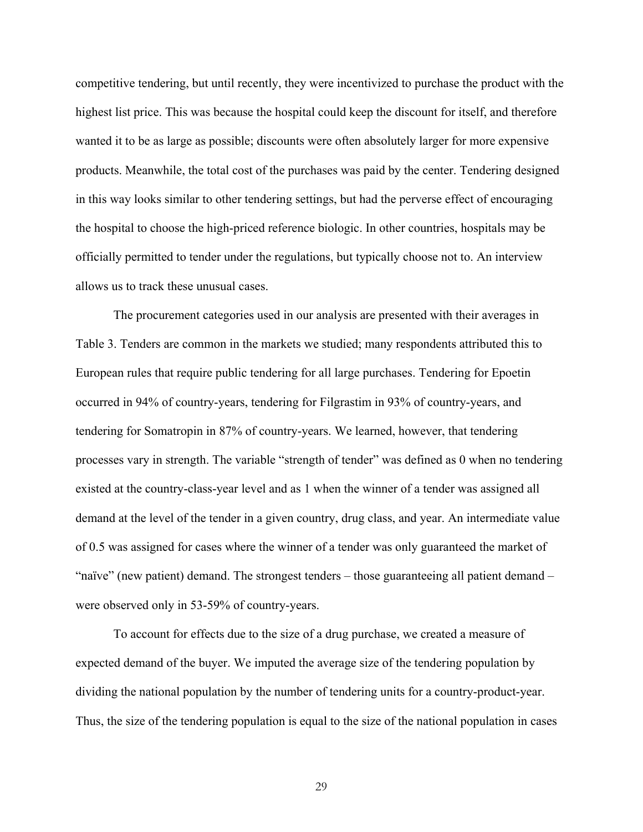competitive tendering, but until recently, they were incentivized to purchase the product with the highest list price. This was because the hospital could keep the discount for itself, and therefore wanted it to be as large as possible; discounts were often absolutely larger for more expensive products. Meanwhile, the total cost of the purchases was paid by the center. Tendering designed in this way looks similar to other tendering settings, but had the perverse effect of encouraging the hospital to choose the high-priced reference biologic. In other countries, hospitals may be officially permitted to tender under the regulations, but typically choose not to. An interview allows us to track these unusual cases.

The procurement categories used in our analysis are presented with their averages in Table 3. Tenders are common in the markets we studied; many respondents attributed this to European rules that require public tendering for all large purchases. Tendering for Epoetin occurred in 94% of country-years, tendering for Filgrastim in 93% of country-years, and tendering for Somatropin in 87% of country-years. We learned, however, that tendering processes vary in strength. The variable "strength of tender" was defined as 0 when no tendering existed at the country-class-year level and as 1 when the winner of a tender was assigned all demand at the level of the tender in a given country, drug class, and year. An intermediate value of 0.5 was assigned for cases where the winner of a tender was only guaranteed the market of "naïve" (new patient) demand. The strongest tenders – those guaranteeing all patient demand – were observed only in 53-59% of country-years.

To account for effects due to the size of a drug purchase, we created a measure of expected demand of the buyer. We imputed the average size of the tendering population by dividing the national population by the number of tendering units for a country-product-year. Thus, the size of the tendering population is equal to the size of the national population in cases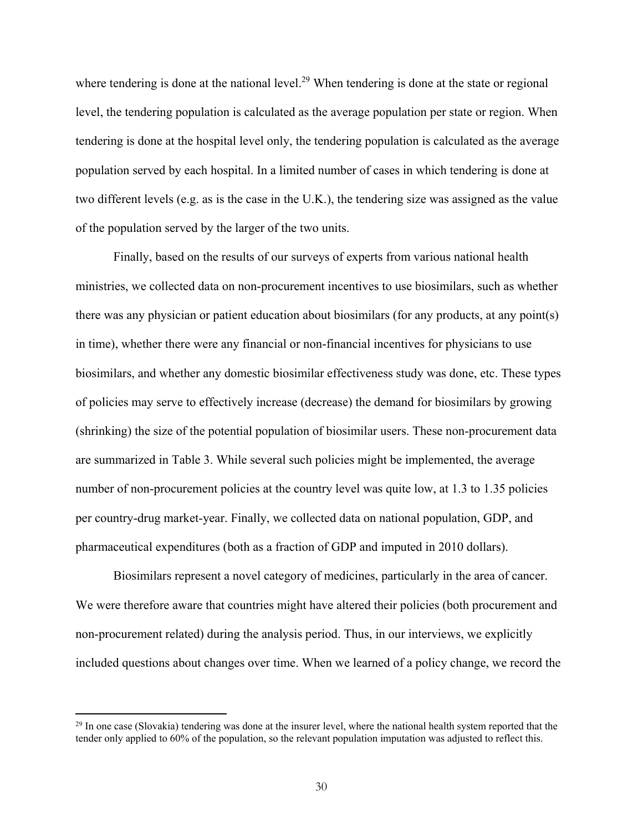where tendering is done at the national level.<sup>29</sup> When tendering is done at the state or regional level, the tendering population is calculated as the average population per state or region. When tendering is done at the hospital level only, the tendering population is calculated as the average population served by each hospital. In a limited number of cases in which tendering is done at two different levels (e.g. as is the case in the U.K.), the tendering size was assigned as the value of the population served by the larger of the two units.

Finally, based on the results of our surveys of experts from various national health ministries, we collected data on non-procurement incentives to use biosimilars, such as whether there was any physician or patient education about biosimilars (for any products, at any point(s) in time), whether there were any financial or non-financial incentives for physicians to use biosimilars, and whether any domestic biosimilar effectiveness study was done, etc. These types of policies may serve to effectively increase (decrease) the demand for biosimilars by growing (shrinking) the size of the potential population of biosimilar users. These non-procurement data are summarized in Table 3. While several such policies might be implemented, the average number of non-procurement policies at the country level was quite low, at 1.3 to 1.35 policies per country-drug market-year. Finally, we collected data on national population, GDP, and pharmaceutical expenditures (both as a fraction of GDP and imputed in 2010 dollars).

Biosimilars represent a novel category of medicines, particularly in the area of cancer. We were therefore aware that countries might have altered their policies (both procurement and non-procurement related) during the analysis period. Thus, in our interviews, we explicitly included questions about changes over time. When we learned of a policy change, we record the

 $29$  In one case (Slovakia) tendering was done at the insurer level, where the national health system reported that the tender only applied to 60% of the population, so the relevant population imputation was adjusted to reflect this.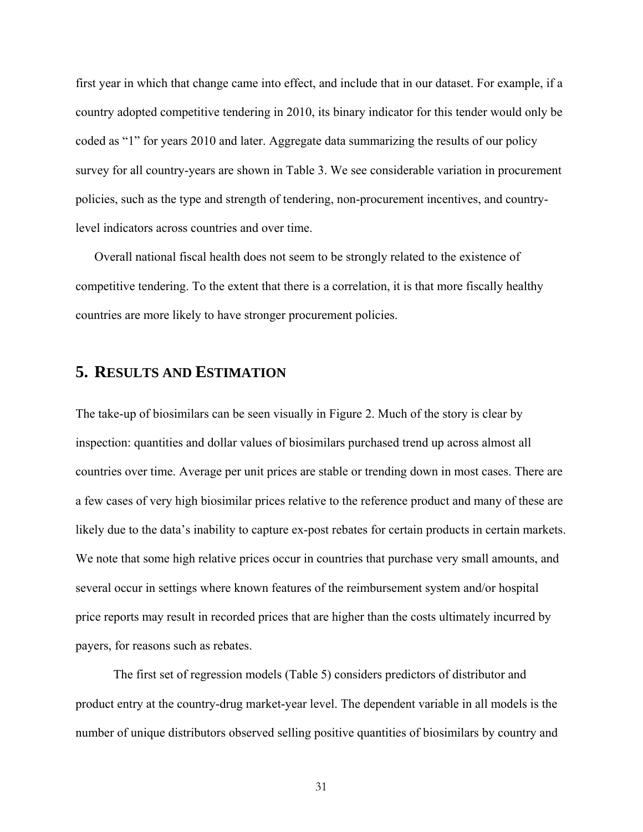first year in which that change came into effect, and include that in our dataset. For example, if a country adopted competitive tendering in 2010, its binary indicator for this tender would only be coded as "1" for years 2010 and later. Aggregate data summarizing the results of our policy survey for all country-years are shown in Table 3. We see considerable variation in procurement policies, such as the type and strength of tendering, non-procurement incentives, and countrylevel indicators across countries and over time.

Overall national fiscal health does not seem to be strongly related to the existence of competitive tendering. To the extent that there is a correlation, it is that more fiscally healthy countries are more likely to have stronger procurement policies.

#### **5. RESULTS AND ESTIMATION**

The take-up of biosimilars can be seen visually in Figure 2. Much of the story is clear by inspection: quantities and dollar values of biosimilars purchased trend up across almost all countries over time. Average per unit prices are stable or trending down in most cases. There are a few cases of very high biosimilar prices relative to the reference product and many of these are likely due to the data's inability to capture ex-post rebates for certain products in certain markets. We note that some high relative prices occur in countries that purchase very small amounts, and several occur in settings where known features of the reimbursement system and/or hospital price reports may result in recorded prices that are higher than the costs ultimately incurred by payers, for reasons such as rebates.

 The first set of regression models (Table 5) considers predictors of distributor and product entry at the country-drug market-year level. The dependent variable in all models is the number of unique distributors observed selling positive quantities of biosimilars by country and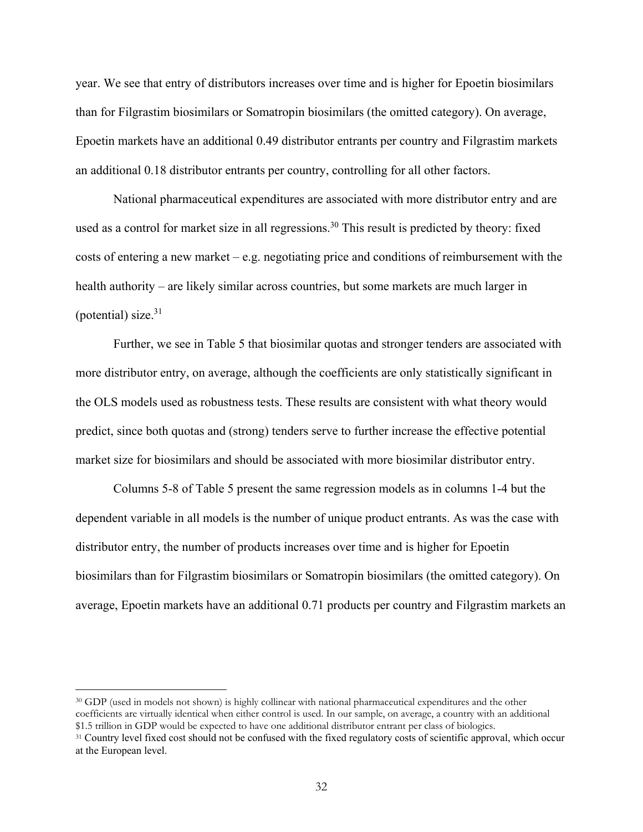year. We see that entry of distributors increases over time and is higher for Epoetin biosimilars than for Filgrastim biosimilars or Somatropin biosimilars (the omitted category). On average, Epoetin markets have an additional 0.49 distributor entrants per country and Filgrastim markets an additional 0.18 distributor entrants per country, controlling for all other factors.

National pharmaceutical expenditures are associated with more distributor entry and are used as a control for market size in all regressions.<sup>30</sup> This result is predicted by theory: fixed costs of entering a new market – e.g. negotiating price and conditions of reimbursement with the health authority – are likely similar across countries, but some markets are much larger in (potential) size. $31$ 

Further, we see in Table 5 that biosimilar quotas and stronger tenders are associated with more distributor entry, on average, although the coefficients are only statistically significant in the OLS models used as robustness tests. These results are consistent with what theory would predict, since both quotas and (strong) tenders serve to further increase the effective potential market size for biosimilars and should be associated with more biosimilar distributor entry.

 Columns 5-8 of Table 5 present the same regression models as in columns 1-4 but the dependent variable in all models is the number of unique product entrants. As was the case with distributor entry, the number of products increases over time and is higher for Epoetin biosimilars than for Filgrastim biosimilars or Somatropin biosimilars (the omitted category). On average, Epoetin markets have an additional 0.71 products per country and Filgrastim markets an

-

<sup>30</sup> GDP (used in models not shown) is highly collinear with national pharmaceutical expenditures and the other coefficients are virtually identical when either control is used. In our sample, on average, a country with an additional

<sup>&</sup>lt;sup>31</sup> Country level fixed cost should not be confused with the fixed regulatory costs of scientific approval, which occur at the European level.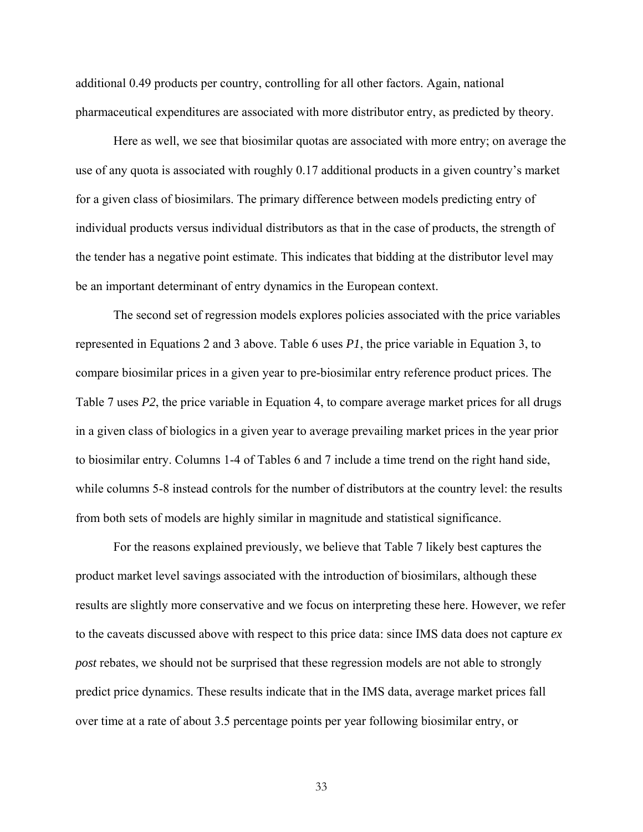additional 0.49 products per country, controlling for all other factors. Again, national pharmaceutical expenditures are associated with more distributor entry, as predicted by theory.

Here as well, we see that biosimilar quotas are associated with more entry; on average the use of any quota is associated with roughly 0.17 additional products in a given country's market for a given class of biosimilars. The primary difference between models predicting entry of individual products versus individual distributors as that in the case of products, the strength of the tender has a negative point estimate. This indicates that bidding at the distributor level may be an important determinant of entry dynamics in the European context.

 The second set of regression models explores policies associated with the price variables represented in Equations 2 and 3 above. Table 6 uses *P1*, the price variable in Equation 3, to compare biosimilar prices in a given year to pre-biosimilar entry reference product prices. The Table 7 uses *P2*, the price variable in Equation 4, to compare average market prices for all drugs in a given class of biologics in a given year to average prevailing market prices in the year prior to biosimilar entry. Columns 1-4 of Tables 6 and 7 include a time trend on the right hand side, while columns 5-8 instead controls for the number of distributors at the country level: the results from both sets of models are highly similar in magnitude and statistical significance.

For the reasons explained previously, we believe that Table 7 likely best captures the product market level savings associated with the introduction of biosimilars, although these results are slightly more conservative and we focus on interpreting these here. However, we refer to the caveats discussed above with respect to this price data: since IMS data does not capture *ex post* rebates, we should not be surprised that these regression models are not able to strongly predict price dynamics. These results indicate that in the IMS data, average market prices fall over time at a rate of about 3.5 percentage points per year following biosimilar entry, or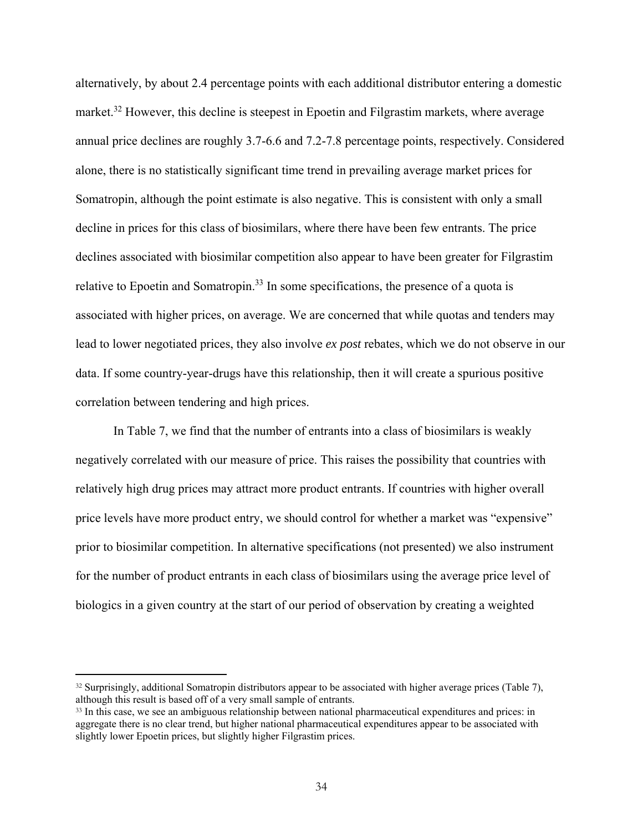alternatively, by about 2.4 percentage points with each additional distributor entering a domestic market.<sup>32</sup> However, this decline is steepest in Epoetin and Filgrastim markets, where average annual price declines are roughly 3.7-6.6 and 7.2-7.8 percentage points, respectively. Considered alone, there is no statistically significant time trend in prevailing average market prices for Somatropin, although the point estimate is also negative. This is consistent with only a small decline in prices for this class of biosimilars, where there have been few entrants. The price declines associated with biosimilar competition also appear to have been greater for Filgrastim relative to Epoetin and Somatropin.<sup>33</sup> In some specifications, the presence of a quota is associated with higher prices, on average. We are concerned that while quotas and tenders may lead to lower negotiated prices, they also involve *ex post* rebates, which we do not observe in our data. If some country-year-drugs have this relationship, then it will create a spurious positive correlation between tendering and high prices.

In Table 7, we find that the number of entrants into a class of biosimilars is weakly negatively correlated with our measure of price. This raises the possibility that countries with relatively high drug prices may attract more product entrants. If countries with higher overall price levels have more product entry, we should control for whether a market was "expensive" prior to biosimilar competition. In alternative specifications (not presented) we also instrument for the number of product entrants in each class of biosimilars using the average price level of biologics in a given country at the start of our period of observation by creating a weighted

 $\overline{a}$ 

<sup>32</sup> Surprisingly, additional Somatropin distributors appear to be associated with higher average prices (Table 7), although this result is based off of a very small sample of entrants.

<sup>&</sup>lt;sup>33</sup> In this case, we see an ambiguous relationship between national pharmaceutical expenditures and prices: in aggregate there is no clear trend, but higher national pharmaceutical expenditures appear to be associated with slightly lower Epoetin prices, but slightly higher Filgrastim prices.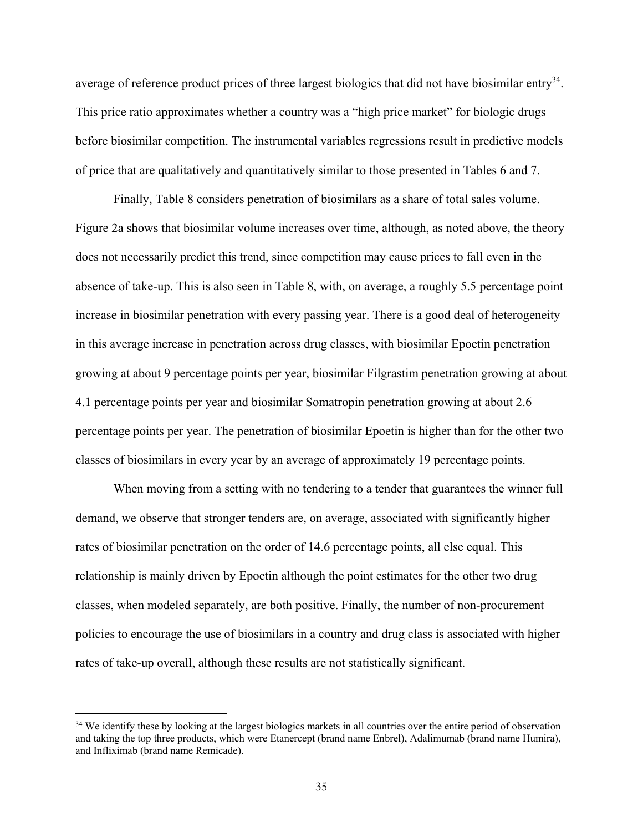average of reference product prices of three largest biologics that did not have biosimilar entry<sup>34</sup>. This price ratio approximates whether a country was a "high price market" for biologic drugs before biosimilar competition. The instrumental variables regressions result in predictive models of price that are qualitatively and quantitatively similar to those presented in Tables 6 and 7.

 Finally, Table 8 considers penetration of biosimilars as a share of total sales volume. Figure 2a shows that biosimilar volume increases over time, although, as noted above, the theory does not necessarily predict this trend, since competition may cause prices to fall even in the absence of take-up. This is also seen in Table 8, with, on average, a roughly 5.5 percentage point increase in biosimilar penetration with every passing year. There is a good deal of heterogeneity in this average increase in penetration across drug classes, with biosimilar Epoetin penetration growing at about 9 percentage points per year, biosimilar Filgrastim penetration growing at about 4.1 percentage points per year and biosimilar Somatropin penetration growing at about 2.6 percentage points per year. The penetration of biosimilar Epoetin is higher than for the other two classes of biosimilars in every year by an average of approximately 19 percentage points.

When moving from a setting with no tendering to a tender that guarantees the winner full demand, we observe that stronger tenders are, on average, associated with significantly higher rates of biosimilar penetration on the order of 14.6 percentage points, all else equal. This relationship is mainly driven by Epoetin although the point estimates for the other two drug classes, when modeled separately, are both positive. Finally, the number of non-procurement policies to encourage the use of biosimilars in a country and drug class is associated with higher rates of take-up overall, although these results are not statistically significant.

-

<sup>&</sup>lt;sup>34</sup> We identify these by looking at the largest biologics markets in all countries over the entire period of observation and taking the top three products, which were Etanercept (brand name Enbrel), Adalimumab (brand name Humira), and Infliximab (brand name Remicade).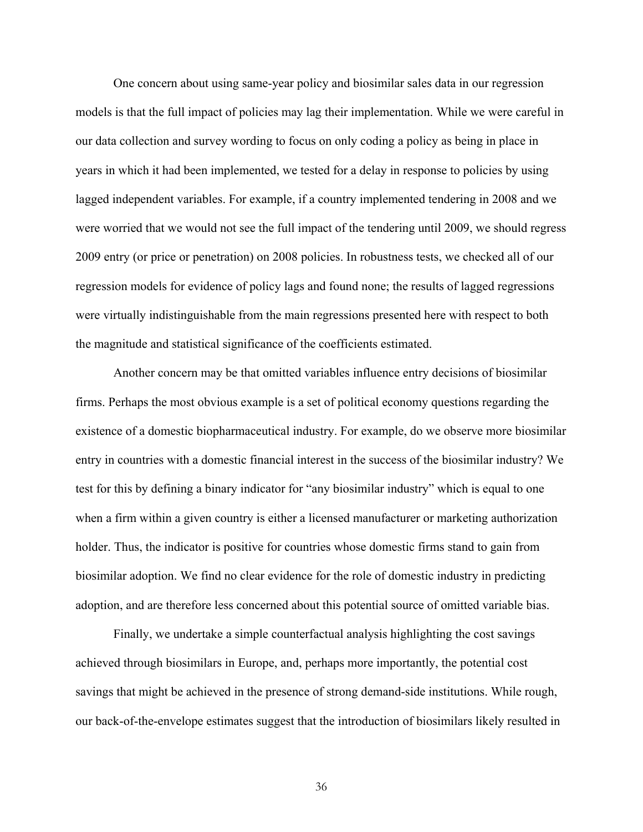One concern about using same-year policy and biosimilar sales data in our regression models is that the full impact of policies may lag their implementation. While we were careful in our data collection and survey wording to focus on only coding a policy as being in place in years in which it had been implemented, we tested for a delay in response to policies by using lagged independent variables. For example, if a country implemented tendering in 2008 and we were worried that we would not see the full impact of the tendering until 2009, we should regress 2009 entry (or price or penetration) on 2008 policies. In robustness tests, we checked all of our regression models for evidence of policy lags and found none; the results of lagged regressions were virtually indistinguishable from the main regressions presented here with respect to both the magnitude and statistical significance of the coefficients estimated.

Another concern may be that omitted variables influence entry decisions of biosimilar firms. Perhaps the most obvious example is a set of political economy questions regarding the existence of a domestic biopharmaceutical industry. For example, do we observe more biosimilar entry in countries with a domestic financial interest in the success of the biosimilar industry? We test for this by defining a binary indicator for "any biosimilar industry" which is equal to one when a firm within a given country is either a licensed manufacturer or marketing authorization holder. Thus, the indicator is positive for countries whose domestic firms stand to gain from biosimilar adoption. We find no clear evidence for the role of domestic industry in predicting adoption, and are therefore less concerned about this potential source of omitted variable bias.

Finally, we undertake a simple counterfactual analysis highlighting the cost savings achieved through biosimilars in Europe, and, perhaps more importantly, the potential cost savings that might be achieved in the presence of strong demand-side institutions. While rough, our back-of-the-envelope estimates suggest that the introduction of biosimilars likely resulted in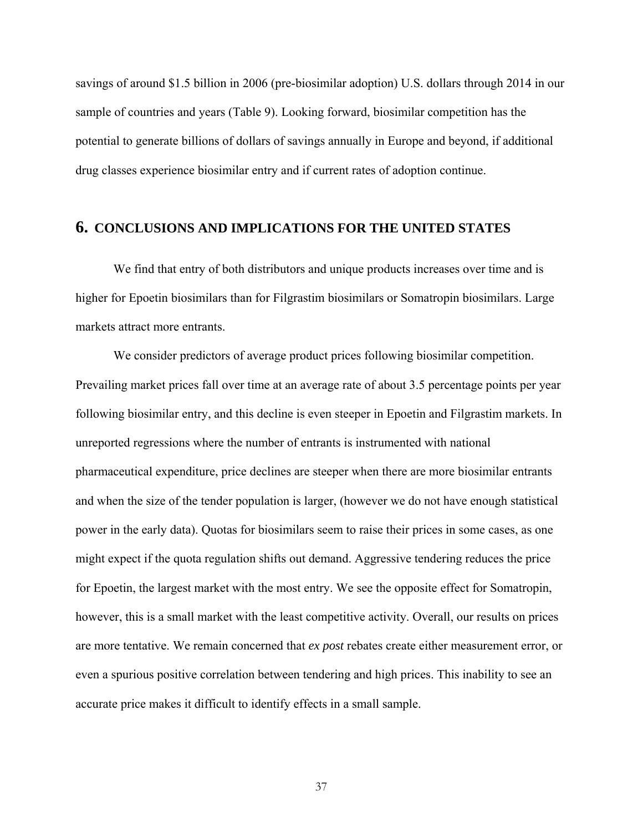savings of around \$1.5 billion in 2006 (pre-biosimilar adoption) U.S. dollars through 2014 in our sample of countries and years (Table 9). Looking forward, biosimilar competition has the potential to generate billions of dollars of savings annually in Europe and beyond, if additional drug classes experience biosimilar entry and if current rates of adoption continue.

## **6. CONCLUSIONS AND IMPLICATIONS FOR THE UNITED STATES**

We find that entry of both distributors and unique products increases over time and is higher for Epoetin biosimilars than for Filgrastim biosimilars or Somatropin biosimilars. Large markets attract more entrants.

We consider predictors of average product prices following biosimilar competition. Prevailing market prices fall over time at an average rate of about 3.5 percentage points per year following biosimilar entry, and this decline is even steeper in Epoetin and Filgrastim markets. In unreported regressions where the number of entrants is instrumented with national pharmaceutical expenditure, price declines are steeper when there are more biosimilar entrants and when the size of the tender population is larger, (however we do not have enough statistical power in the early data). Quotas for biosimilars seem to raise their prices in some cases, as one might expect if the quota regulation shifts out demand. Aggressive tendering reduces the price for Epoetin, the largest market with the most entry. We see the opposite effect for Somatropin, however, this is a small market with the least competitive activity. Overall, our results on prices are more tentative. We remain concerned that *ex post* rebates create either measurement error, or even a spurious positive correlation between tendering and high prices. This inability to see an accurate price makes it difficult to identify effects in a small sample.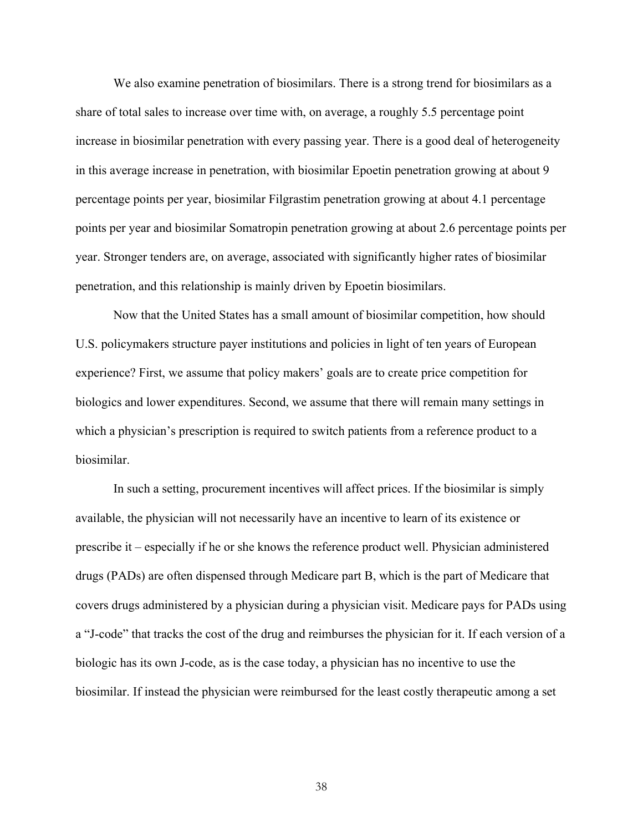We also examine penetration of biosimilars. There is a strong trend for biosimilars as a share of total sales to increase over time with, on average, a roughly 5.5 percentage point increase in biosimilar penetration with every passing year. There is a good deal of heterogeneity in this average increase in penetration, with biosimilar Epoetin penetration growing at about 9 percentage points per year, biosimilar Filgrastim penetration growing at about 4.1 percentage points per year and biosimilar Somatropin penetration growing at about 2.6 percentage points per year. Stronger tenders are, on average, associated with significantly higher rates of biosimilar penetration, and this relationship is mainly driven by Epoetin biosimilars.

Now that the United States has a small amount of biosimilar competition, how should U.S. policymakers structure payer institutions and policies in light of ten years of European experience? First, we assume that policy makers' goals are to create price competition for biologics and lower expenditures. Second, we assume that there will remain many settings in which a physician's prescription is required to switch patients from a reference product to a biosimilar.

In such a setting, procurement incentives will affect prices. If the biosimilar is simply available, the physician will not necessarily have an incentive to learn of its existence or prescribe it – especially if he or she knows the reference product well. Physician administered drugs (PADs) are often dispensed through Medicare part B, which is the part of Medicare that covers drugs administered by a physician during a physician visit. Medicare pays for PADs using a "J-code" that tracks the cost of the drug and reimburses the physician for it. If each version of a biologic has its own J-code, as is the case today, a physician has no incentive to use the biosimilar. If instead the physician were reimbursed for the least costly therapeutic among a set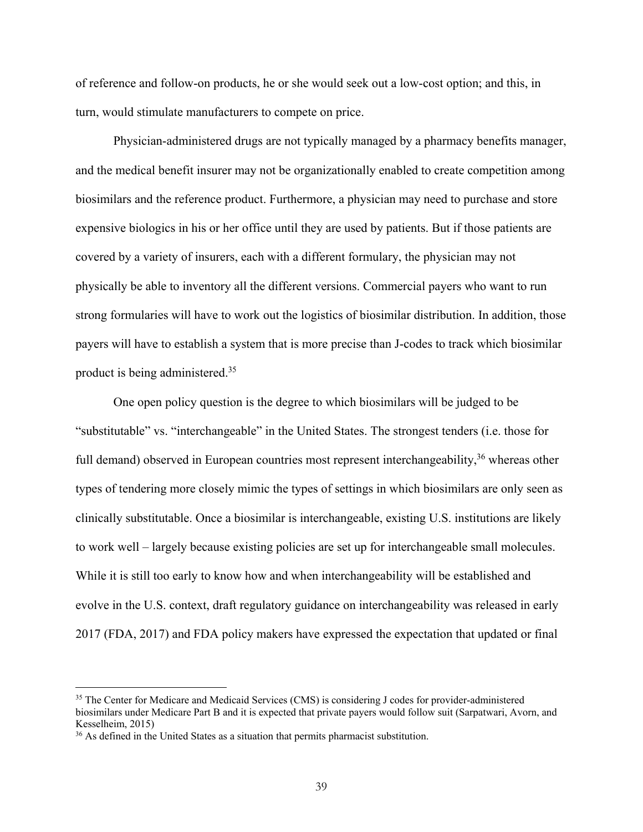of reference and follow-on products, he or she would seek out a low-cost option; and this, in turn, would stimulate manufacturers to compete on price.

Physician-administered drugs are not typically managed by a pharmacy benefits manager, and the medical benefit insurer may not be organizationally enabled to create competition among biosimilars and the reference product. Furthermore, a physician may need to purchase and store expensive biologics in his or her office until they are used by patients. But if those patients are covered by a variety of insurers, each with a different formulary, the physician may not physically be able to inventory all the different versions. Commercial payers who want to run strong formularies will have to work out the logistics of biosimilar distribution. In addition, those payers will have to establish a system that is more precise than J-codes to track which biosimilar product is being administered.35

One open policy question is the degree to which biosimilars will be judged to be "substitutable" vs. "interchangeable" in the United States. The strongest tenders (i.e. those for full demand) observed in European countries most represent interchangeability,<sup>36</sup> whereas other types of tendering more closely mimic the types of settings in which biosimilars are only seen as clinically substitutable. Once a biosimilar is interchangeable, existing U.S. institutions are likely to work well – largely because existing policies are set up for interchangeable small molecules. While it is still too early to know how and when interchangeability will be established and evolve in the U.S. context, draft regulatory guidance on interchangeability was released in early 2017 (FDA, 2017) and FDA policy makers have expressed the expectation that updated or final

 $\overline{a}$ 

<sup>&</sup>lt;sup>35</sup> The Center for Medicare and Medicaid Services (CMS) is considering J codes for provider-administered biosimilars under Medicare Part B and it is expected that private payers would follow suit (Sarpatwari, Avorn, and Kesselheim, 2015)

<sup>&</sup>lt;sup>36</sup> As defined in the United States as a situation that permits pharmacist substitution.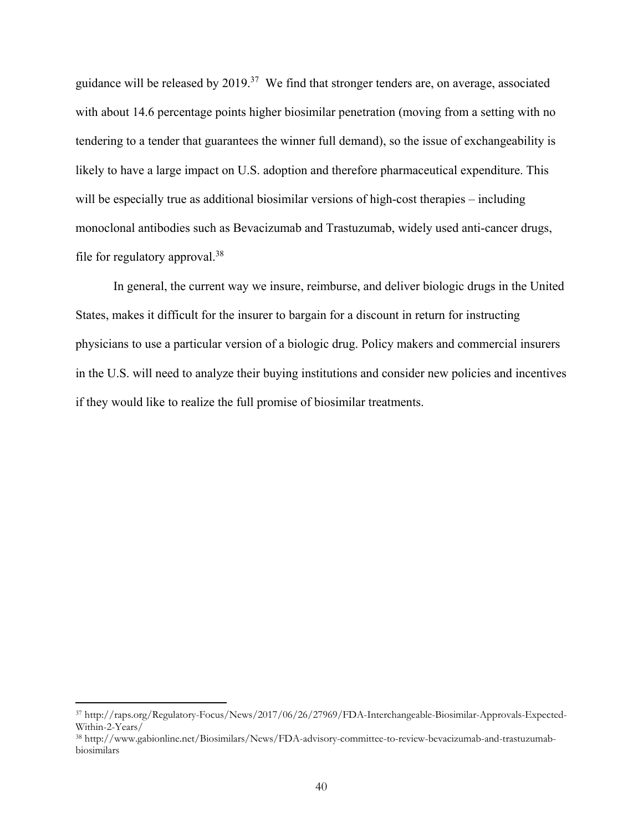guidance will be released by  $2019$ .<sup>37</sup> We find that stronger tenders are, on average, associated with about 14.6 percentage points higher biosimilar penetration (moving from a setting with no tendering to a tender that guarantees the winner full demand), so the issue of exchangeability is likely to have a large impact on U.S. adoption and therefore pharmaceutical expenditure. This will be especially true as additional biosimilar versions of high-cost therapies – including monoclonal antibodies such as Bevacizumab and Trastuzumab, widely used anti-cancer drugs, file for regulatory approval.<sup>38</sup>

In general, the current way we insure, reimburse, and deliver biologic drugs in the United States, makes it difficult for the insurer to bargain for a discount in return for instructing physicians to use a particular version of a biologic drug. Policy makers and commercial insurers in the U.S. will need to analyze their buying institutions and consider new policies and incentives if they would like to realize the full promise of biosimilar treatments.

 $\overline{a}$ 

<sup>37</sup> http://raps.org/Regulatory-Focus/News/2017/06/26/27969/FDA-Interchangeable-Biosimilar-Approvals-Expected-Within-2-Years/

<sup>38</sup> http://www.gabionline.net/Biosimilars/News/FDA-advisory-committee-to-review-bevacizumab-and-trastuzumabbiosimilars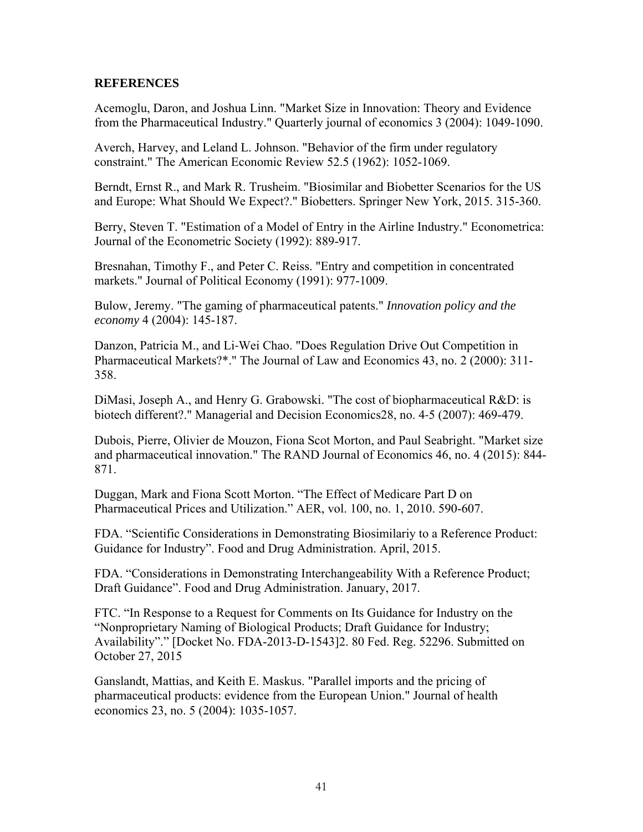#### **REFERENCES**

Acemoglu, Daron, and Joshua Linn. "Market Size in Innovation: Theory and Evidence from the Pharmaceutical Industry." Quarterly journal of economics 3 (2004): 1049-1090.

Averch, Harvey, and Leland L. Johnson. "Behavior of the firm under regulatory constraint." The American Economic Review 52.5 (1962): 1052-1069.

Berndt, Ernst R., and Mark R. Trusheim. "Biosimilar and Biobetter Scenarios for the US and Europe: What Should We Expect?." Biobetters. Springer New York, 2015. 315-360.

Berry, Steven T. "Estimation of a Model of Entry in the Airline Industry." Econometrica: Journal of the Econometric Society (1992): 889-917.

Bresnahan, Timothy F., and Peter C. Reiss. "Entry and competition in concentrated markets." Journal of Political Economy (1991): 977-1009.

Bulow, Jeremy. "The gaming of pharmaceutical patents." *Innovation policy and the economy* 4 (2004): 145-187.

Danzon, Patricia M., and Li‐Wei Chao. "Does Regulation Drive Out Competition in Pharmaceutical Markets?\*." The Journal of Law and Economics 43, no. 2 (2000): 311- 358.

DiMasi, Joseph A., and Henry G. Grabowski. "The cost of biopharmaceutical R&D: is biotech different?." Managerial and Decision Economics28, no. 4‐5 (2007): 469-479.

Dubois, Pierre, Olivier de Mouzon, Fiona Scot Morton, and Paul Seabright. "Market size and pharmaceutical innovation." The RAND Journal of Economics 46, no. 4 (2015): 844- 871.

Duggan, Mark and Fiona Scott Morton. "The Effect of Medicare Part D on Pharmaceutical Prices and Utilization." AER, vol. 100, no. 1, 2010. 590-607.

FDA. "Scientific Considerations in Demonstrating Biosimilariy to a Reference Product: Guidance for Industry". Food and Drug Administration. April, 2015.

FDA. "Considerations in Demonstrating Interchangeability With a Reference Product; Draft Guidance". Food and Drug Administration. January, 2017.

FTC. "In Response to a Request for Comments on Its Guidance for Industry on the "Nonproprietary Naming of Biological Products; Draft Guidance for Industry; Availability"." [Docket No. FDA-2013-D-1543]2. 80 Fed. Reg. 52296. Submitted on October 27, 2015

Ganslandt, Mattias, and Keith E. Maskus. "Parallel imports and the pricing of pharmaceutical products: evidence from the European Union." Journal of health economics 23, no. 5 (2004): 1035-1057.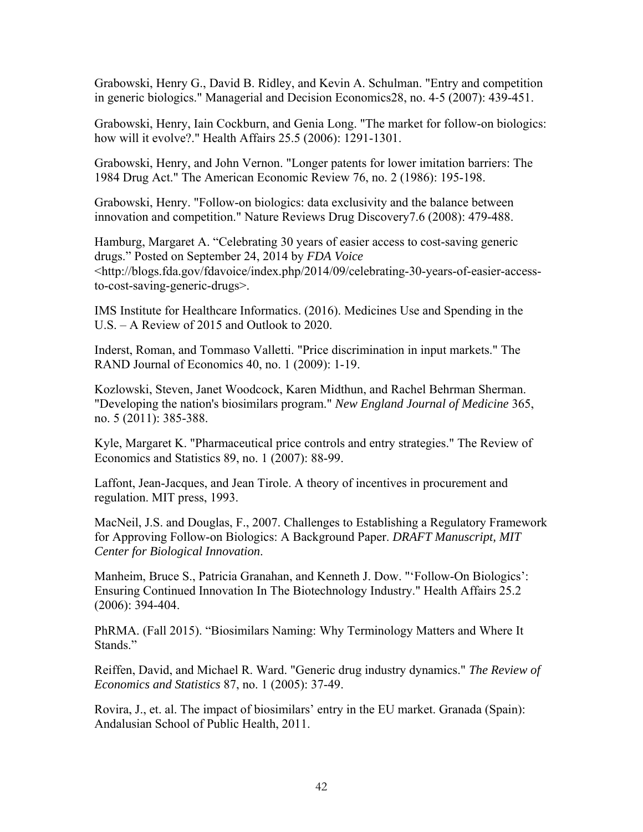Grabowski, Henry G., David B. Ridley, and Kevin A. Schulman. "Entry and competition in generic biologics." Managerial and Decision Economics28, no. 4‐5 (2007): 439-451.

Grabowski, Henry, Iain Cockburn, and Genia Long. "The market for follow-on biologics: how will it evolve?." Health Affairs 25.5 (2006): 1291-1301.

Grabowski, Henry, and John Vernon. "Longer patents for lower imitation barriers: The 1984 Drug Act." The American Economic Review 76, no. 2 (1986): 195-198.

Grabowski, Henry. "Follow-on biologics: data exclusivity and the balance between innovation and competition." Nature Reviews Drug Discovery7.6 (2008): 479-488.

Hamburg, Margaret A. "Celebrating 30 years of easier access to cost-saving generic drugs." Posted on September 24, 2014 by *FDA Voice* <http://blogs.fda.gov/fdavoice/index.php/2014/09/celebrating-30-years-of-easier-accessto-cost-saving-generic-drugs>.

IMS Institute for Healthcare Informatics. (2016). Medicines Use and Spending in the U.S. – A Review of 2015 and Outlook to 2020.

Inderst, Roman, and Tommaso Valletti. "Price discrimination in input markets." The RAND Journal of Economics 40, no. 1 (2009): 1-19.

Kozlowski, Steven, Janet Woodcock, Karen Midthun, and Rachel Behrman Sherman. "Developing the nation's biosimilars program." *New England Journal of Medicine* 365, no. 5 (2011): 385-388.

Kyle, Margaret K. "Pharmaceutical price controls and entry strategies." The Review of Economics and Statistics 89, no. 1 (2007): 88-99.

Laffont, Jean-Jacques, and Jean Tirole. A theory of incentives in procurement and regulation. MIT press, 1993.

MacNeil, J.S. and Douglas, F., 2007. Challenges to Establishing a Regulatory Framework for Approving Follow-on Biologics: A Background Paper. *DRAFT Manuscript, MIT Center for Biological Innovation*.

Manheim, Bruce S., Patricia Granahan, and Kenneth J. Dow. "'Follow-On Biologics': Ensuring Continued Innovation In The Biotechnology Industry." Health Affairs 25.2 (2006): 394-404.

PhRMA. (Fall 2015). "Biosimilars Naming: Why Terminology Matters and Where It Stands."

Reiffen, David, and Michael R. Ward. "Generic drug industry dynamics." *The Review of Economics and Statistics* 87, no. 1 (2005): 37-49.

Rovira, J., et. al. The impact of biosimilars' entry in the EU market. Granada (Spain): Andalusian School of Public Health, 2011.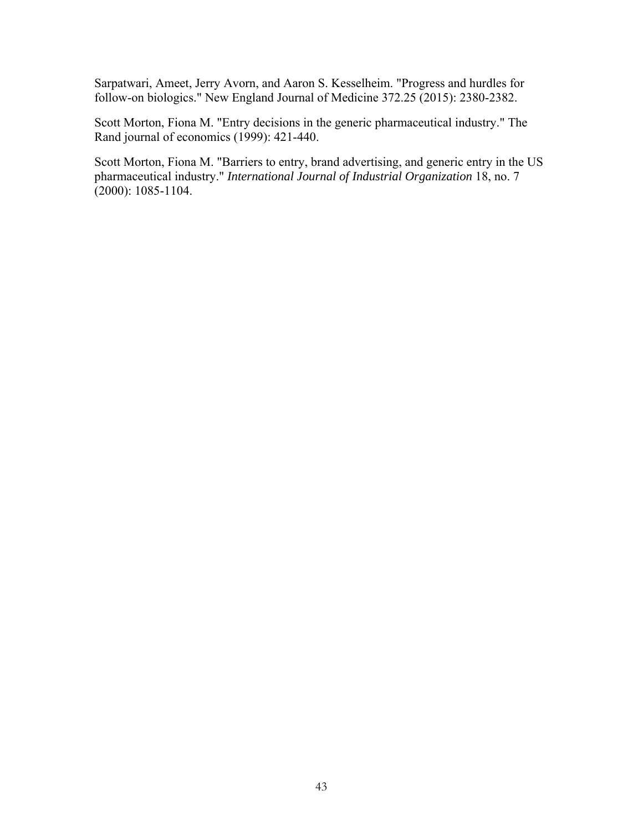Sarpatwari, Ameet, Jerry Avorn, and Aaron S. Kesselheim. "Progress and hurdles for follow-on biologics." New England Journal of Medicine 372.25 (2015): 2380-2382.

Scott Morton, Fiona M. "Entry decisions in the generic pharmaceutical industry." The Rand journal of economics (1999): 421-440.

Scott Morton, Fiona M. "Barriers to entry, brand advertising, and generic entry in the US pharmaceutical industry." *International Journal of Industrial Organization* 18, no. 7  $(2000): 1085 - 1104.$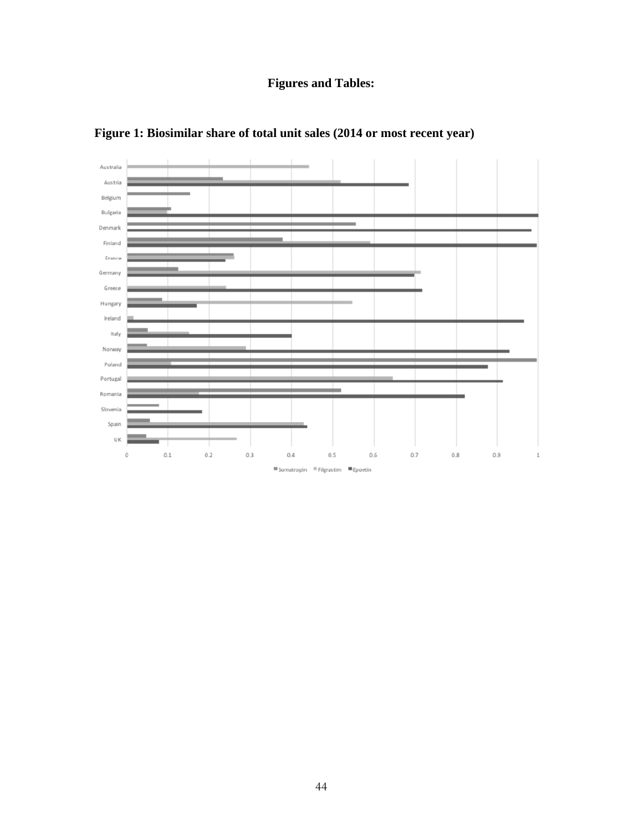## **Figures and Tables:**



**Figure 1: Biosimilar share of total unit sales (2014 or most recent year)**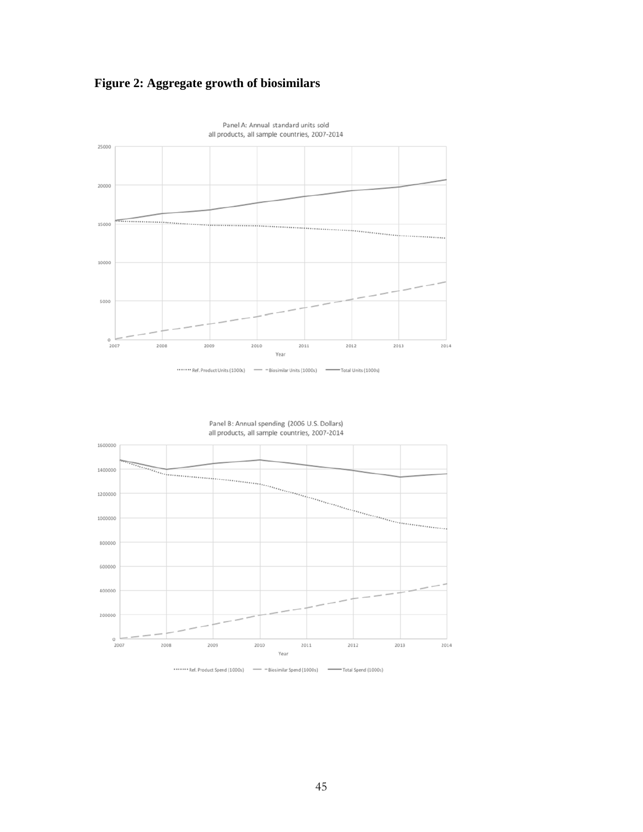





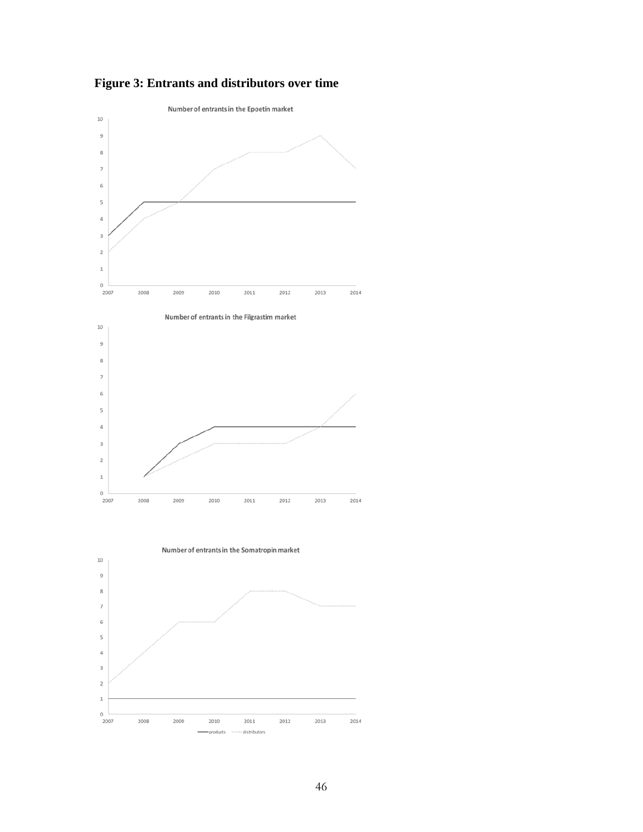

 $\circ$ 

products .....

· distributors

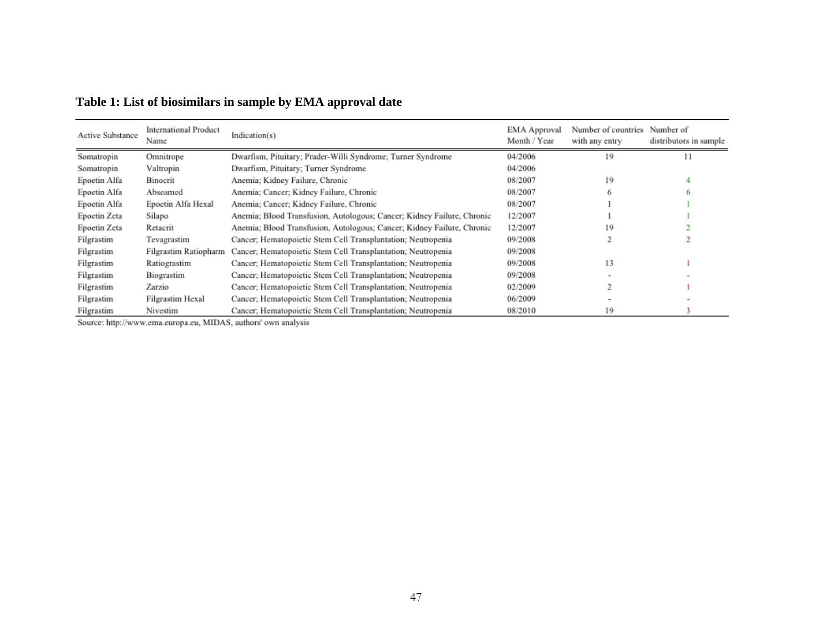| Active Substance | <b>International Product</b><br>Name | Indication(s)                                                          | EMA Approval<br>Month / Year | Number of countries Number of<br>with any entry | distributors in sample |
|------------------|--------------------------------------|------------------------------------------------------------------------|------------------------------|-------------------------------------------------|------------------------|
| Somatropin       | Omnitrope                            | Dwarfism, Pituitary; Prader-Willi Syndrome; Turner Syndrome            | 04/2006                      | 19                                              | 11                     |
| Somatropin       | Valtropin                            | Dwarfism, Pituitary; Turner Syndrome                                   | 04/2006                      |                                                 |                        |
| Epoetin Alfa     | Binocrit                             | Anemia; Kidney Failure, Chronic                                        | 08/2007                      | 19                                              |                        |
| Epoetin Alfa     | Abseamed                             | Anemia; Cancer; Kidney Failure, Chronic                                | 08/2007                      |                                                 |                        |
| Epoetin Alfa     | Epoetin Alfa Hexal                   | Anemia; Cancer; Kidney Failure, Chronic                                | 08/2007                      |                                                 |                        |
| Epoetin Zeta     | Silapo                               | Anemia; Blood Transfusion, Autologous; Cancer; Kidney Failure, Chronic | 12/2007                      |                                                 |                        |
| Epoetin Zeta     | Retacrit                             | Anemia; Blood Transfusion, Autologous; Cancer; Kidney Failure, Chronic | 12/2007                      | 19                                              |                        |
| Filgrastim       | Tevagrastim                          | Cancer; Hematopoietic Stem Cell Transplantation; Neutropenia           | 09/2008                      |                                                 |                        |
| Filgrastim       | Filgrastim Ratiopharm                | Cancer; Hematopoietic Stem Cell Transplantation; Neutropenia           | 09/2008                      |                                                 |                        |
| Filgrastim       | Ratiograstim                         | Cancer; Hematopoietic Stem Cell Transplantation; Neutropenia           | 09/2008                      | 13                                              |                        |
| Filgrastim       | Biograstim                           | Cancer; Hematopoietic Stem Cell Transplantation; Neutropenia           | 09/2008                      |                                                 |                        |
| Filgrastim       | Zarzio                               | Cancer; Hematopoietic Stem Cell Transplantation; Neutropenia           | 02/2009                      |                                                 |                        |
| Filgrastim       | Filgrastim Hexal                     | Cancer; Hematopoietic Stem Cell Transplantation; Neutropenia           | 06/2009                      |                                                 |                        |
| Filgrastim       | Nivestim                             | Cancer; Hematopoietic Stem Cell Transplantation; Neutropenia           | 08/2010                      | 19                                              |                        |

## **Table 1: List of biosimilars in sample by EMA approval date**

Source: http://www.ema.europa.eu, MIDAS, authors' own analysis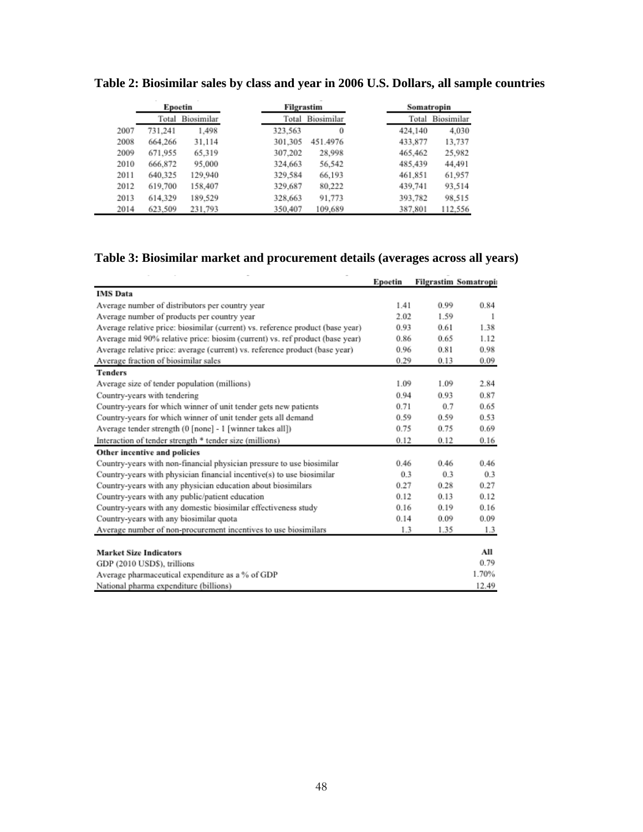|      | Epoetin |            | Filgrastim |                  | Somatropin |            |  |
|------|---------|------------|------------|------------------|------------|------------|--|
|      | Total   | Biosimilar |            | Total Biosimilar | Total      | Biosimilar |  |
| 2007 | 731,241 | 1,498      | 323,563    | 0                | 424,140    | 4,030      |  |
| 2008 | 664.266 | 31.114     | 301,305    | 451.4976         | 433,877    | 13,737     |  |
| 2009 | 671,955 | 65.319     | 307,202    | 28,998           | 465,462    | 25,982     |  |
| 2010 | 666,872 | 95,000     | 324,663    | 56.542           | 485,439    | 44.491     |  |
| 2011 | 640,325 | 129,940    | 329,584    | 66.193           | 461,851    | 61,957     |  |
| 2012 | 619,700 | 158,407    | 329,687    | 80,222           | 439,741    | 93,514     |  |
| 2013 | 614.329 | 189,529    | 328,663    | 91,773           | 393,782    | 98,515     |  |
| 2014 | 623,509 | 231,793    | 350,407    | 109,689          | 387,801    | 112,556    |  |

**Table 2: Biosimilar sales by class and year in 2006 U.S. Dollars, all sample countries** 

## **Table 3: Biosimilar market and procurement details (averages across all years)**

|                                                                                | Epoetin |      | <b>Filgrastim Somatropis</b> |
|--------------------------------------------------------------------------------|---------|------|------------------------------|
| <b>IMS</b> Data                                                                |         |      |                              |
| Average number of distributors per country year                                | 1.41    | 0.99 | 0.84                         |
| Average number of products per country year                                    | 2.02    | 1.59 | 1                            |
| Average relative price: biosimilar (current) vs. reference product (base year) | 0.93    | 0.61 | 1.38                         |
| Average mid 90% relative price: biosim (current) vs. ref product (base year)   | 0.86    | 0.65 | 1.12                         |
| Average relative price: average (current) vs. reference product (base year)    | 0.96    | 0.81 | 0.98                         |
| Average fraction of biosimilar sales                                           | 0.29    | 0.13 | 0.09                         |
| <b>Tenders</b>                                                                 |         |      |                              |
| Average size of tender population (millions)                                   | 1.09    | 1.09 | 2.84                         |
| Country-years with tendering                                                   | 0.94    | 0.93 | 0.87                         |
| Country-years for which winner of unit tender gets new patients                | 0.71    | 0.7  | 0.65                         |
| Country-years for which winner of unit tender gets all demand                  | 0.59    | 0.59 | 0.53                         |
| Average tender strength (0 [none] - 1 [winner takes all])                      | 0.75    | 0.75 | 0.69                         |
| Interaction of tender strength * tender size (millions)                        | 0.12    | 0.12 | 0.16                         |
| Other incentive and policies                                                   |         |      |                              |
| Country-years with non-financial physician pressure to use biosimilar          | 0.46    | 0.46 | 0.46                         |
| Country-years with physician financial incentive(s) to use biosimilar          | 0.3     | 0.3  | 0.3                          |
| Country-years with any physician education about biosimilars                   | 0.27    | 0.28 | 0.27                         |
| Country-years with any public/patient education                                | 0.12    | 0.13 | 0.12                         |
| Country-years with any domestic biosimilar effectiveness study                 | 0.16    | 0.19 | 0.16                         |
| Country-years with any biosimilar quota                                        | 0.14    | 0.09 | 0.09                         |
| Average number of non-procurement incentives to use biosimilars                | 1.3     | 1.35 | 1.3                          |
|                                                                                |         |      |                              |
| <b>Market Size Indicators</b>                                                  |         |      | All                          |
| GDP (2010 USD\$), trillions                                                    |         |      | 0.79                         |
| Average pharmaceutical expenditure as a % of GDP                               |         |      | 1.70%                        |
| National pharma expenditure (billions)                                         |         |      | 12.49                        |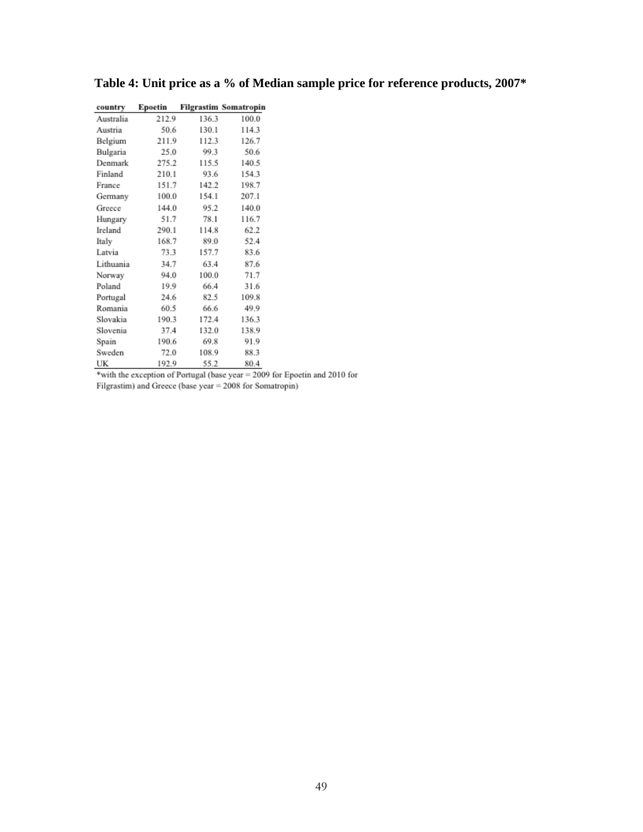| country   | Epoetin |       | <b>Filgrastim Somatropin</b> |
|-----------|---------|-------|------------------------------|
| Australia | 212.9   | 136.3 | 100.0                        |
| Austria   | 50.6    | 130.1 | 114.3                        |
| Belgium   | 211.9   | 112.3 | 126.7                        |
| Bulgaria  | 25.0    | 99.3  | 50.6                         |
| Denmark   | 275.2   | 115.5 | 140.5                        |
| Finland   | 210.1   | 93.6  | 154.3                        |
| France    | 151.7   | 142.2 | 198.7                        |
| Germany   | 100.0   | 154.1 | 207.1                        |
| Greece    | 144.0   | 95.2  | 140.0                        |
| Hungary   | 51.7    | 78.1  | 116.7                        |
| Ireland   | 290.1   | 114.8 | 62.2                         |
| Italy     | 168.7   | 89.0  | 52.4                         |
| Latvia    | 73.3    | 157.7 | 83.6                         |
| Lithuania | 34.7    | 63.4  | 87.6                         |
| Norway    | 94.0    | 100.0 | 71.7                         |
| Poland    | 19.9    | 66.4  | 31.6                         |
| Portugal  | 24.6    | 82.5  | 109.8                        |
| Romania   | 60.5    | 66.6  | 49.9                         |
| Slovakia  | 190.3   | 172.4 | 136.3                        |
| Slovenia  | 37.4    | 132.0 | 138.9                        |
| Spain     | 190.6   | 69.8  | 91.9                         |
| Sweden    | 72.0    | 108.9 | 88.3                         |
| UK        | 192.9   | 55.2  | 80.4                         |

| Table 4: Unit price as a % of Median sample price for reference products, 2007* |  |
|---------------------------------------------------------------------------------|--|
|---------------------------------------------------------------------------------|--|

with the exception of Portugal (base year = for Epoetin and 2010 for Filgrastim) and Greece (base year =  $2008$  for Somatropin)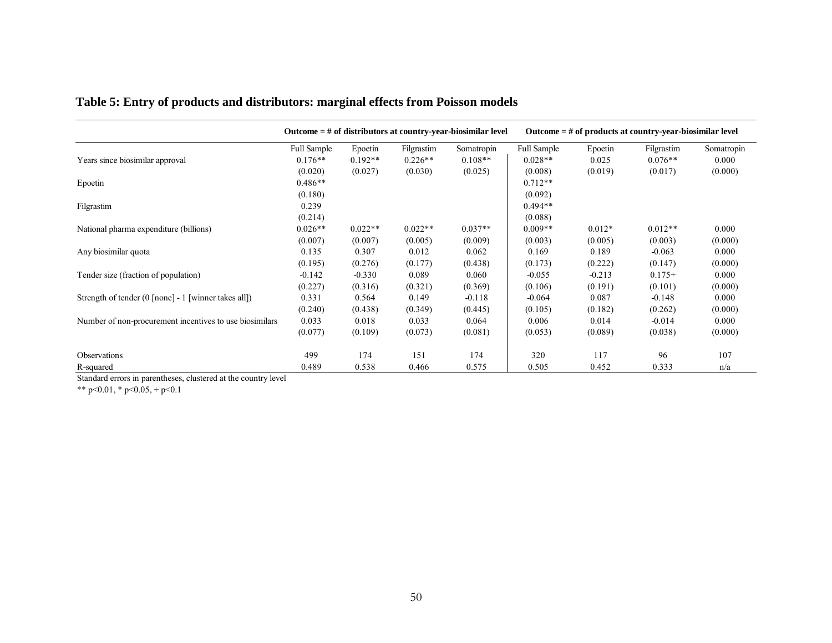|                                                         | Outcome $=$ # of distributors at country-year-biosimilar level |           |            | Outcome $=$ # of products at country-year-biosimilar level |             |          |            |            |
|---------------------------------------------------------|----------------------------------------------------------------|-----------|------------|------------------------------------------------------------|-------------|----------|------------|------------|
|                                                         | <b>Full Sample</b>                                             | Epoetin   | Filgrastim | Somatropin                                                 | Full Sample | Epoetin  | Filgrastim | Somatropin |
| Years since biosimilar approval                         | $0.176**$                                                      | $0.192**$ | $0.226**$  | $0.108**$                                                  | $0.028**$   | 0.025    | $0.076**$  | 0.000      |
|                                                         | (0.020)                                                        | (0.027)   | (0.030)    | (0.025)                                                    | (0.008)     | (0.019)  | (0.017)    | (0.000)    |
| Epoetin                                                 | $0.486**$                                                      |           |            |                                                            | $0.712**$   |          |            |            |
|                                                         | (0.180)                                                        |           |            |                                                            | (0.092)     |          |            |            |
| Filgrastim                                              | 0.239                                                          |           |            |                                                            | $0.494**$   |          |            |            |
|                                                         | (0.214)                                                        |           |            |                                                            | (0.088)     |          |            |            |
| National pharma expenditure (billions)                  | $0.026**$                                                      | $0.022**$ | $0.022**$  | $0.037**$                                                  | $0.009**$   | $0.012*$ | $0.012**$  | 0.000      |
|                                                         | (0.007)                                                        | (0.007)   | (0.005)    | (0.009)                                                    | (0.003)     | (0.005)  | (0.003)    | (0.000)    |
| Any biosimilar quota                                    | 0.135                                                          | 0.307     | 0.012      | 0.062                                                      | 0.169       | 0.189    | $-0.063$   | 0.000      |
|                                                         | (0.195)                                                        | (0.276)   | (0.177)    | (0.438)                                                    | (0.173)     | (0.222)  | (0.147)    | (0.000)    |
| Tender size (fraction of population)                    | $-0.142$                                                       | $-0.330$  | 0.089      | 0.060                                                      | $-0.055$    | $-0.213$ | $0.175+$   | 0.000      |
|                                                         | (0.227)                                                        | (0.316)   | (0.321)    | (0.369)                                                    | (0.106)     | (0.191)  | (0.101)    | (0.000)    |
| Strength of tender (0 [none] - 1 [winner takes all])    | 0.331                                                          | 0.564     | 0.149      | $-0.118$                                                   | $-0.064$    | 0.087    | $-0.148$   | 0.000      |
|                                                         | (0.240)                                                        | (0.438)   | (0.349)    | (0.445)                                                    | (0.105)     | (0.182)  | (0.262)    | (0.000)    |
| Number of non-procurement incentives to use biosimilars | 0.033                                                          | 0.018     | 0.033      | 0.064                                                      | 0.006       | 0.014    | $-0.014$   | 0.000      |
|                                                         | (0.077)                                                        | (0.109)   | (0.073)    | (0.081)                                                    | (0.053)     | (0.089)  | (0.038)    | (0.000)    |
| Observations                                            | 499                                                            | 174       | 151        | 174                                                        | 320         | 117      | 96         | 107        |
| R-squared                                               | 0.489                                                          | 0.538     | 0.466      | 0.575                                                      | 0.505       | 0.452    | 0.333      | n/a        |

## **Table 5: Entry of products and distributors: marginal effects from Poisson models**

Standard errors in parentheses, clustered at the country level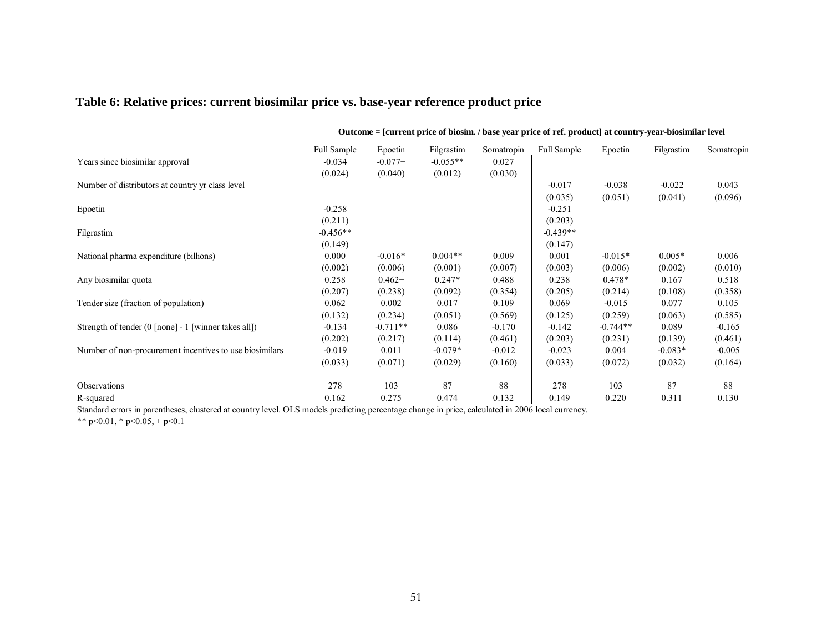|                                                         |                    |            |            |            | Outcome = [current price of biosim. / base year price of ref. product] at country-year-biosimilar level |            |            |            |
|---------------------------------------------------------|--------------------|------------|------------|------------|---------------------------------------------------------------------------------------------------------|------------|------------|------------|
|                                                         | <b>Full Sample</b> | Epoetin    | Filgrastim | Somatropin | <b>Full Sample</b>                                                                                      | Epoetin    | Filgrastim | Somatropin |
| Years since biosimilar approval                         | $-0.034$           | $-0.077+$  | $-0.055**$ | 0.027      |                                                                                                         |            |            |            |
|                                                         | (0.024)            | (0.040)    | (0.012)    | (0.030)    |                                                                                                         |            |            |            |
| Number of distributors at country yr class level        |                    |            |            |            | $-0.017$                                                                                                | $-0.038$   | $-0.022$   | 0.043      |
|                                                         |                    |            |            |            | (0.035)                                                                                                 | (0.051)    | (0.041)    | (0.096)    |
| Epoetin                                                 | $-0.258$           |            |            |            | $-0.251$                                                                                                |            |            |            |
|                                                         | (0.211)            |            |            |            | (0.203)                                                                                                 |            |            |            |
| Filgrastim                                              | $-0.456**$         |            |            |            | $-0.439**$                                                                                              |            |            |            |
|                                                         | (0.149)            |            |            |            | (0.147)                                                                                                 |            |            |            |
| National pharma expenditure (billions)                  | 0.000              | $-0.016*$  | $0.004**$  | 0.009      | 0.001                                                                                                   | $-0.015*$  | $0.005*$   | 0.006      |
|                                                         | (0.002)            | (0.006)    | (0.001)    | (0.007)    | (0.003)                                                                                                 | (0.006)    | (0.002)    | (0.010)    |
| Any biosimilar quota                                    | 0.258              | $0.462+$   | $0.247*$   | 0.488      | 0.238                                                                                                   | $0.478*$   | 0.167      | 0.518      |
|                                                         | (0.207)            | (0.238)    | (0.092)    | (0.354)    | (0.205)                                                                                                 | (0.214)    | (0.108)    | (0.358)    |
| Tender size (fraction of population)                    | 0.062              | 0.002      | 0.017      | 0.109      | 0.069                                                                                                   | $-0.015$   | 0.077      | 0.105      |
|                                                         | (0.132)            | (0.234)    | (0.051)    | (0.569)    | (0.125)                                                                                                 | (0.259)    | (0.063)    | (0.585)    |
| Strength of tender (0 [none] - 1 [winner takes all])    | $-0.134$           | $-0.711**$ | 0.086      | $-0.170$   | $-0.142$                                                                                                | $-0.744**$ | 0.089      | $-0.165$   |
|                                                         | (0.202)            | (0.217)    | (0.114)    | (0.461)    | (0.203)                                                                                                 | (0.231)    | (0.139)    | (0.461)    |
| Number of non-procurement incentives to use biosimilars | $-0.019$           | 0.011      | $-0.079*$  | $-0.012$   | $-0.023$                                                                                                | 0.004      | $-0.083*$  | $-0.005$   |
|                                                         | (0.033)            | (0.071)    | (0.029)    | (0.160)    | (0.033)                                                                                                 | (0.072)    | (0.032)    | (0.164)    |
| Observations                                            | 278                | 103        | 87         | 88         | 278                                                                                                     | 103        | 87         | 88         |
| R-squared                                               | 0.162              | 0.275      | 0.474      | 0.132      | 0.149                                                                                                   | 0.220      | 0.311      | 0.130      |

### **Table 6: Relative prices: current biosimilar price vs. base-year reference product price**

Standard errors in parentheses, clustered at country level. OLS models predicting percentage change in price, calculated in 2006 local currency.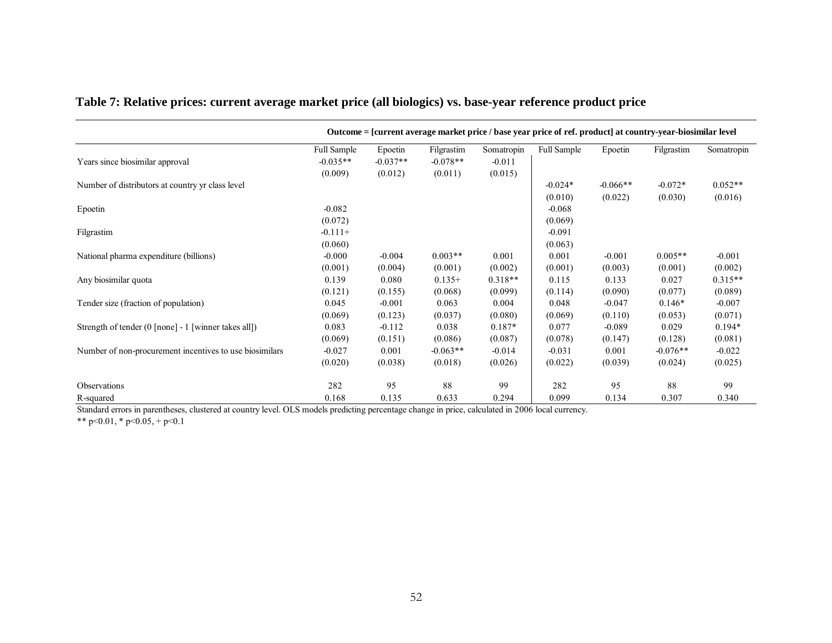|                                                         | Outcome = [current average market price / base year price of ref. product] at country-year-biosimilar level |            |            |            |                    |            |            |            |
|---------------------------------------------------------|-------------------------------------------------------------------------------------------------------------|------------|------------|------------|--------------------|------------|------------|------------|
|                                                         | <b>Full Sample</b>                                                                                          | Epoetin    | Filgrastim | Somatropin | <b>Full Sample</b> | Epoetin    | Filgrastim | Somatropin |
| Years since biosimilar approval                         | $-0.035**$                                                                                                  | $-0.037**$ | $-0.078**$ | $-0.011$   |                    |            |            |            |
|                                                         | (0.009)                                                                                                     | (0.012)    | (0.011)    | (0.015)    |                    |            |            |            |
| Number of distributors at country yr class level        |                                                                                                             |            |            |            | $-0.024*$          | $-0.066**$ | $-0.072*$  | $0.052**$  |
|                                                         |                                                                                                             |            |            |            | (0.010)            | (0.022)    | (0.030)    | (0.016)    |
| Epoetin                                                 | $-0.082$                                                                                                    |            |            |            | $-0.068$           |            |            |            |
|                                                         | (0.072)                                                                                                     |            |            |            | (0.069)            |            |            |            |
| Filgrastim                                              | $-0.111+$                                                                                                   |            |            |            | $-0.091$           |            |            |            |
|                                                         | (0.060)                                                                                                     |            |            |            | (0.063)            |            |            |            |
| National pharma expenditure (billions)                  | $-0.000$                                                                                                    | $-0.004$   | $0.003**$  | 0.001      | 0.001              | $-0.001$   | $0.005**$  | $-0.001$   |
|                                                         | (0.001)                                                                                                     | (0.004)    | (0.001)    | (0.002)    | (0.001)            | (0.003)    | (0.001)    | (0.002)    |
| Any biosimilar quota                                    | 0.139                                                                                                       | 0.080      | $0.135+$   | $0.318**$  | 0.115              | 0.133      | 0.027      | $0.315**$  |
|                                                         | (0.121)                                                                                                     | (0.155)    | (0.068)    | (0.099)    | (0.114)            | (0.090)    | (0.077)    | (0.089)    |
| Tender size (fraction of population)                    | 0.045                                                                                                       | $-0.001$   | 0.063      | 0.004      | 0.048              | $-0.047$   | $0.146*$   | $-0.007$   |
|                                                         | (0.069)                                                                                                     | (0.123)    | (0.037)    | (0.080)    | (0.069)            | (0.110)    | (0.053)    | (0.071)    |
| Strength of tender (0 [none] - 1 [winner takes all])    | 0.083                                                                                                       | $-0.112$   | 0.038      | $0.187*$   | 0.077              | $-0.089$   | 0.029      | $0.194*$   |
|                                                         | (0.069)                                                                                                     | (0.151)    | (0.086)    | (0.087)    | (0.078)            | (0.147)    | (0.128)    | (0.081)    |
| Number of non-procurement incentives to use biosimilars | $-0.027$                                                                                                    | 0.001      | $-0.063**$ | $-0.014$   | $-0.031$           | 0.001      | $-0.076**$ | $-0.022$   |
|                                                         | (0.020)                                                                                                     | (0.038)    | (0.018)    | (0.026)    | (0.022)            | (0.039)    | (0.024)    | (0.025)    |
| <b>Observations</b>                                     | 282                                                                                                         | 95         | 88         | 99         | 282                | 95         | 88         | 99         |
| R-squared                                               | 0.168                                                                                                       | 0.135      | 0.633      | 0.294      | 0.099              | 0.134      | 0.307      | 0.340      |

#### **Table 7: Relative prices: current average market price (all biologics) vs. base-year reference product price**

Standard errors in parentheses, clustered at country level. OLS models predicting percentage change in price, calculated in 2006 local currency.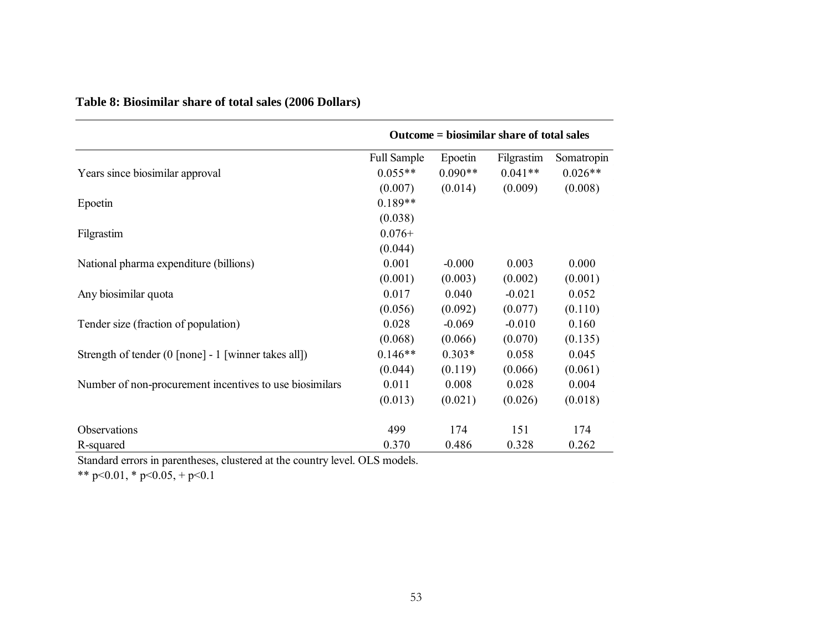|                                                         |                    |           | Outcome = biosimilar share of total sales |            |
|---------------------------------------------------------|--------------------|-----------|-------------------------------------------|------------|
|                                                         | <b>Full Sample</b> | Epoetin   | Filgrastim                                | Somatropin |
| Years since biosimilar approval                         | $0.055**$          | $0.090**$ | $0.041**$                                 | $0.026**$  |
|                                                         | (0.007)            | (0.014)   | (0.009)                                   | (0.008)    |
| Epoetin                                                 | $0.189**$          |           |                                           |            |
|                                                         | (0.038)            |           |                                           |            |
| Filgrastim                                              | $0.076+$           |           |                                           |            |
|                                                         | (0.044)            |           |                                           |            |
| National pharma expenditure (billions)                  | 0.001              | $-0.000$  | 0.003                                     | 0.000      |
|                                                         | (0.001)            | (0.003)   | (0.002)                                   | (0.001)    |
| Any biosimilar quota                                    | 0.017              | 0.040     | $-0.021$                                  | 0.052      |
|                                                         | (0.056)            | (0.092)   | (0.077)                                   | (0.110)    |
| Tender size (fraction of population)                    | 0.028              | $-0.069$  | $-0.010$                                  | 0.160      |
|                                                         | (0.068)            | (0.066)   | (0.070)                                   | (0.135)    |
| Strength of tender (0 [none] - 1 [winner takes all])    | $0.146**$          | $0.303*$  | 0.058                                     | 0.045      |
|                                                         | (0.044)            | (0.119)   | (0.066)                                   | (0.061)    |
| Number of non-procurement incentives to use biosimilars | 0.011              | 0.008     | 0.028                                     | 0.004      |
|                                                         | (0.013)            | (0.021)   | (0.026)                                   | (0.018)    |
| Observations                                            | 499                | 174       | 151                                       | 174        |
| R-squared                                               | 0.370              | 0.486     | 0.328                                     | 0.262      |

**Table 8: Biosimilar share of total sales (2006 Dollars)** 

Standard errors in parentheses, clustered at the country level. OLS models.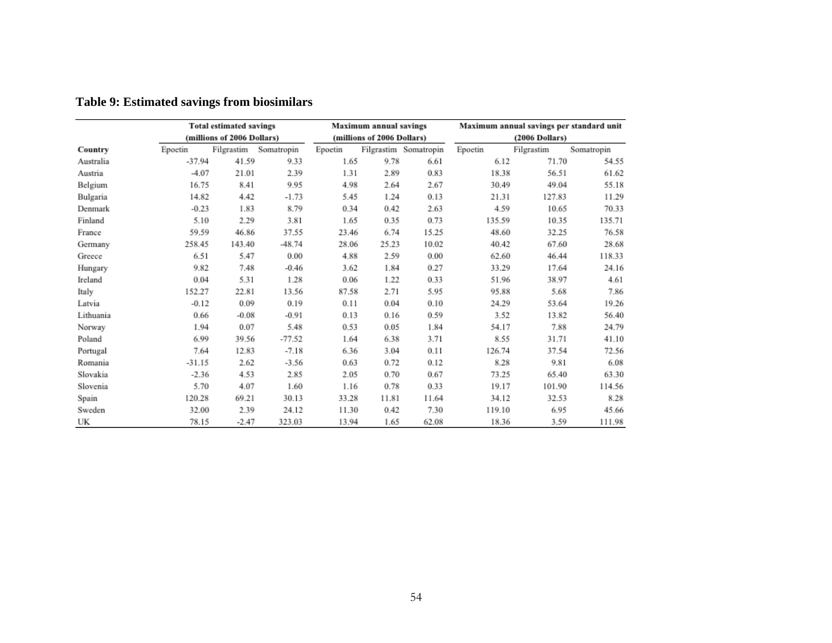| <b>Total estimated savings</b> |          |                            |            | <b>Maximum annual savings</b> |                            |                       | Maximum annual savings per standard unit |                         |            |  |
|--------------------------------|----------|----------------------------|------------|-------------------------------|----------------------------|-----------------------|------------------------------------------|-------------------------|------------|--|
|                                |          | (millions of 2006 Dollars) |            |                               | (millions of 2006 Dollars) |                       |                                          | $(2006\text{ Dollars})$ |            |  |
| Country                        | Epoetin  | Filgrastim                 | Somatropin | Epoetin                       |                            | Filgrastim Somatropin | Epoetin                                  | Filgrastim              | Somatropin |  |
| Australia                      | $-37.94$ | 41.59                      | 9.33       | 1.65                          | 9.78                       | 6.61                  | 6.12                                     | 71.70                   | 54.55      |  |
| Austria                        | $-4.07$  | 21.01                      | 2.39       | 1.31                          | 2.89                       | 0.83                  | 18.38                                    | 56.51                   | 61.62      |  |
| Belgium                        | 16.75    | 8.41                       | 9.95       | 4.98                          | 2.64                       | 2.67                  | 30.49                                    | 49.04                   | 55.18      |  |
| Bulgaria                       | 14.82    | 4.42                       | $-1.73$    | 5.45                          | 1.24                       | 0.13                  | 21.31                                    | 127.83                  | 11.29      |  |
| Denmark                        | $-0.23$  | 1.83                       | 8.79       | 0.34                          | 0.42                       | 2.63                  | 4.59                                     | 10.65                   | 70.33      |  |
| Finland                        | 5.10     | 2.29                       | 3.81       | 1.65                          | 0.35                       | 0.73                  | 135.59                                   | 10.35                   | 135.71     |  |
| France                         | 59.59    | 46.86                      | 37.55      | 23.46                         | 6.74                       | 15.25                 | 48.60                                    | 32.25                   | 76.58      |  |
| Germany                        | 258.45   | 143.40                     | $-48.74$   | 28.06                         | 25.23                      | 10.02                 | 40.42                                    | 67.60                   | 28.68      |  |
| Greece                         | 6.51     | 5.47                       | 0.00       | 4.88                          | 2.59                       | 0.00                  | 62.60                                    | 46.44                   | 118.33     |  |
| Hungary                        | 9.82     | 7.48                       | $-0.46$    | 3.62                          | 1.84                       | 0.27                  | 33.29                                    | 17.64                   | 24.16      |  |
| Ireland                        | 0.04     | 5.31                       | 1.28       | 0.06                          | 1.22                       | 0.33                  | 51.96                                    | 38.97                   | 4.61       |  |
| Italy                          | 152.27   | 22.81                      | 13.56      | 87.58                         | 2.71                       | 5.95                  | 95.88                                    | 5.68                    | 7.86       |  |
| Latvia                         | $-0.12$  | 0.09                       | 0.19       | 0.11                          | 0.04                       | 0.10                  | 24.29                                    | 53.64                   | 19.26      |  |
| Lithuania                      | 0.66     | $-0.08$                    | $-0.91$    | 0.13                          | 0.16                       | 0.59                  | 3.52                                     | 13.82                   | 56.40      |  |
| Norway                         | 1.94     | 0.07                       | 5.48       | 0.53                          | 0.05                       | 1.84                  | 54.17                                    | 7.88                    | 24.79      |  |
| Poland                         | 6.99     | 39.56                      | $-77.52$   | 1.64                          | 6.38                       | 3.71                  | 8.55                                     | 31.71                   | 41.10      |  |
| Portugal                       | 7.64     | 12.83                      | $-7.18$    | 6.36                          | 3.04                       | 0.11                  | 126.74                                   | 37.54                   | 72.56      |  |
| Romania                        | $-31.15$ | 2.62                       | $-3.56$    | 0.63                          | 0.72                       | 0.12                  | 8.28                                     | 9.81                    | 6.08       |  |
| Slovakia                       | $-2.36$  | 4.53                       | 2.85       | 2.05                          | 0.70                       | 0.67                  | 73.25                                    | 65.40                   | 63.30      |  |
| Slovenia                       | 5.70     | 4.07                       | 1.60       | 1.16                          | 0.78                       | 0.33                  | 19.17                                    | 101.90                  | 114.56     |  |
| Spain                          | 120.28   | 69.21                      | 30.13      | 33.28                         | 11.81                      | 11.64                 | 34.12                                    | 32.53                   | 8.28       |  |
| Sweden                         | 32.00    | 2.39                       | 24.12      | 11.30                         | 0.42                       | 7.30                  | 119.10                                   | 6.95                    | 45.66      |  |
| UK                             | 78.15    | $-2.47$                    | 323.03     | 13.94                         | 1.65                       | 62.08                 | 18.36                                    | 3.59                    | 111.98     |  |

## **Table 9: Estimated savings from biosimilars**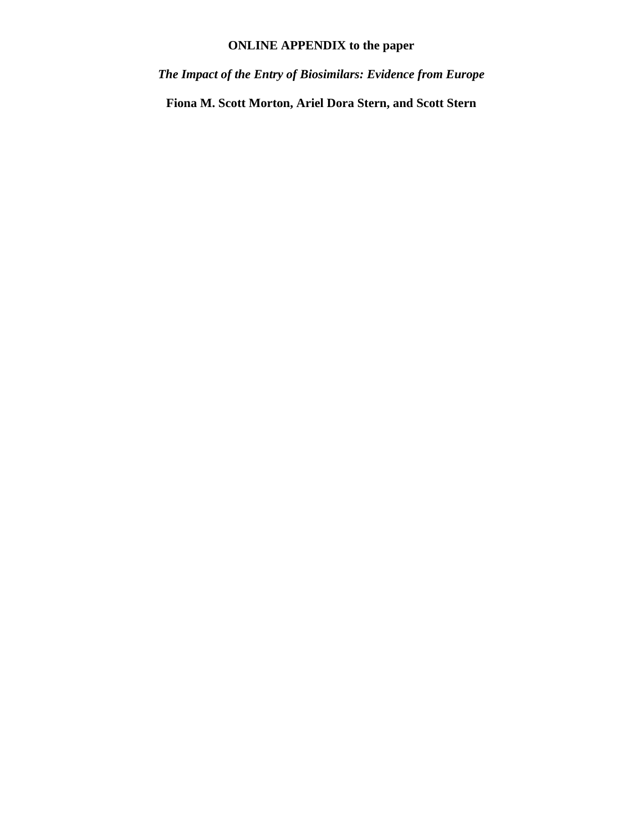## **ONLINE APPENDIX to the paper**

*The Impact of the Entry of Biosimilars: Evidence from Europe* 

**Fiona M. Scott Morton, Ariel Dora Stern, and Scott Stern**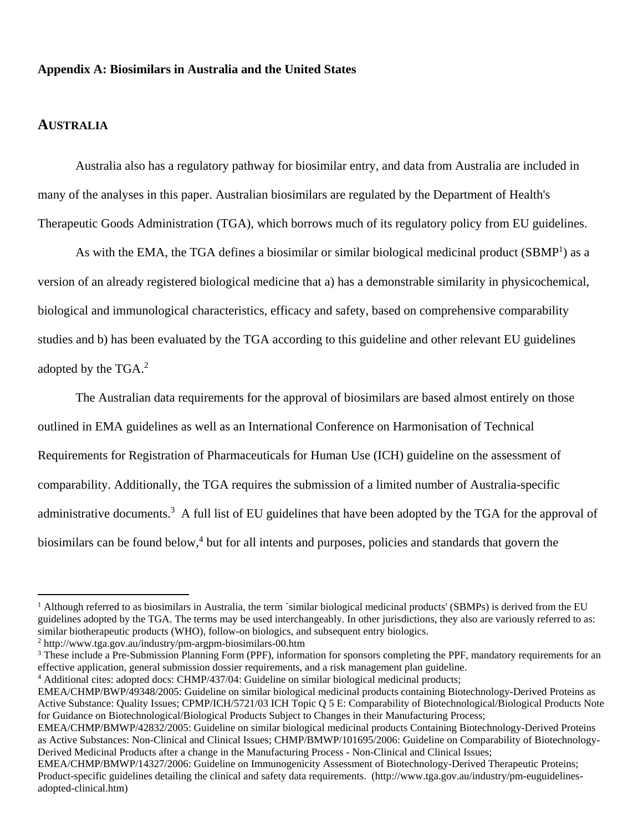#### **Appendix A: Biosimilars in Australia and the United States**

#### **AUSTRALIA**

Australia also has a regulatory pathway for biosimilar entry, and data from Australia are included in many of the analyses in this paper. Australian biosimilars are regulated by the Department of Health's Therapeutic Goods Administration (TGA), which borrows much of its regulatory policy from EU guidelines.

As with the EMA, the TGA defines a biosimilar or similar biological medicinal product (SBMP<sup>1</sup>) as a version of an already registered biological medicine that a) has a demonstrable similarity in physicochemical, biological and immunological characteristics, efficacy and safety, based on comprehensive comparability studies and b) has been evaluated by the TGA according to this guideline and other relevant EU guidelines adopted by the TGA.<sup>2</sup>

The Australian data requirements for the approval of biosimilars are based almost entirely on those outlined in EMA guidelines as well as an International Conference on Harmonisation of Technical Requirements for Registration of Pharmaceuticals for Human Use (ICH) guideline on the assessment of comparability. Additionally, the TGA requires the submission of a limited number of Australia-specific administrative documents.<sup>3</sup> A full list of EU guidelines that have been adopted by the TGA for the approval of biosimilars can be found below,<sup>4</sup> but for all intents and purposes, policies and standards that govern the

<sup>&</sup>lt;sup>1</sup> Although referred to as biosimilars in Australia, the term `similar biological medicinal products' (SBMPs) is derived from the EU guidelines adopted by the TGA. The terms may be used interchangeably. In other jurisdictions, they also are variously referred to as: similar biotherapeutic products (WHO), follow-on biologics, and subsequent entry biologics.

<sup>2</sup> http://www.tga.gov.au/industry/pm-argpm-biosimilars-00.htm

<sup>&</sup>lt;sup>3</sup> These include a Pre-Submission Planning Form (PPF), information for sponsors completing the PPF, mandatory requirements for an effective application, general submission dossier requirements, and a risk management plan guideline.

<sup>&</sup>lt;sup>4</sup> Additional cites: adopted docs: CHMP/437/04: Guideline on similar biological medicinal products;

EMEA/CHMP/BWP/49348/2005: Guideline on similar biological medicinal products containing Biotechnology-Derived Proteins as Active Substance: Quality Issues; CPMP/ICH/5721/03 ICH Topic Q 5 E: Comparability of Biotechnological/Biological Products Note for Guidance on Biotechnological/Biological Products Subject to Changes in their Manufacturing Process;

EMEA/CHMP/BMWP/42832/2005: Guideline on similar biological medicinal products Containing Biotechnology-Derived Proteins as Active Substances: Non-Clinical and Clinical Issues; CHMP/BMWP/101695/2006: Guideline on Comparability of Biotechnology-Derived Medicinal Products after a change in the Manufacturing Process - Non-Clinical and Clinical Issues;

EMEA/CHMP/BMWP/14327/2006: Guideline on Immunogenicity Assessment of Biotechnology-Derived Therapeutic Proteins; Product-specific guidelines detailing the clinical and safety data requirements. (http://www.tga.gov.au/industry/pm-euguidelinesadopted-clinical.htm)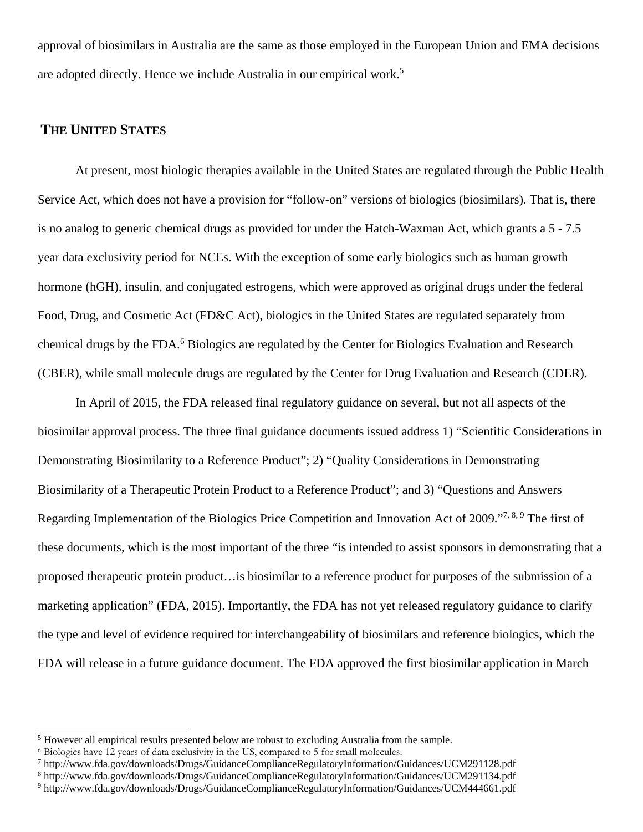approval of biosimilars in Australia are the same as those employed in the European Union and EMA decisions are adopted directly. Hence we include Australia in our empirical work.5

#### **THE UNITED STATES**

At present, most biologic therapies available in the United States are regulated through the Public Health Service Act, which does not have a provision for "follow-on" versions of biologics (biosimilars). That is, there is no analog to generic chemical drugs as provided for under the Hatch-Waxman Act, which grants a 5 - 7.5 year data exclusivity period for NCEs. With the exception of some early biologics such as human growth hormone (hGH), insulin, and conjugated estrogens, which were approved as original drugs under the federal Food, Drug, and Cosmetic Act (FD&C Act), biologics in the United States are regulated separately from chemical drugs by the FDA.<sup>6</sup> Biologics are regulated by the Center for Biologics Evaluation and Research (CBER), while small molecule drugs are regulated by the Center for Drug Evaluation and Research (CDER).

In April of 2015, the FDA released final regulatory guidance on several, but not all aspects of the biosimilar approval process. The three final guidance documents issued address 1) "Scientific Considerations in Demonstrating Biosimilarity to a Reference Product"; 2) "Quality Considerations in Demonstrating Biosimilarity of a Therapeutic Protein Product to a Reference Product"; and 3) "Questions and Answers Regarding Implementation of the Biologics Price Competition and Innovation Act of 2009."7, 8, 9 The first of these documents, which is the most important of the three "is intended to assist sponsors in demonstrating that a proposed therapeutic protein product…is biosimilar to a reference product for purposes of the submission of a marketing application" (FDA, 2015). Importantly, the FDA has not yet released regulatory guidance to clarify the type and level of evidence required for interchangeability of biosimilars and reference biologics, which the FDA will release in a future guidance document. The FDA approved the first biosimilar application in March

<sup>&</sup>lt;sup>5</sup> However all empirical results presented below are robust to excluding Australia from the sample.

<sup>6</sup> Biologics have 12 years of data exclusivity in the US, compared to 5 for small molecules.

<sup>&</sup>lt;sup>7</sup> http://www.fda.gov/downloads/Drugs/GuidanceComplianceRegulatoryInformation/Guidances/UCM291128.pdf<br><sup>8</sup> http://www.fda.gov/downloads/Drugs/GuidanceComplianceRegulatoryInformation/Guidances/UCM291134.pdf

http://www.fda.gov/downloads/Drugs/GuidanceComplianceRegulatoryInformation/Guidances/UCM291134.pdf 9

http://www.fda.gov/downloads/Drugs/GuidanceComplianceRegulatoryInformation/Guidances/UCM444661.pdf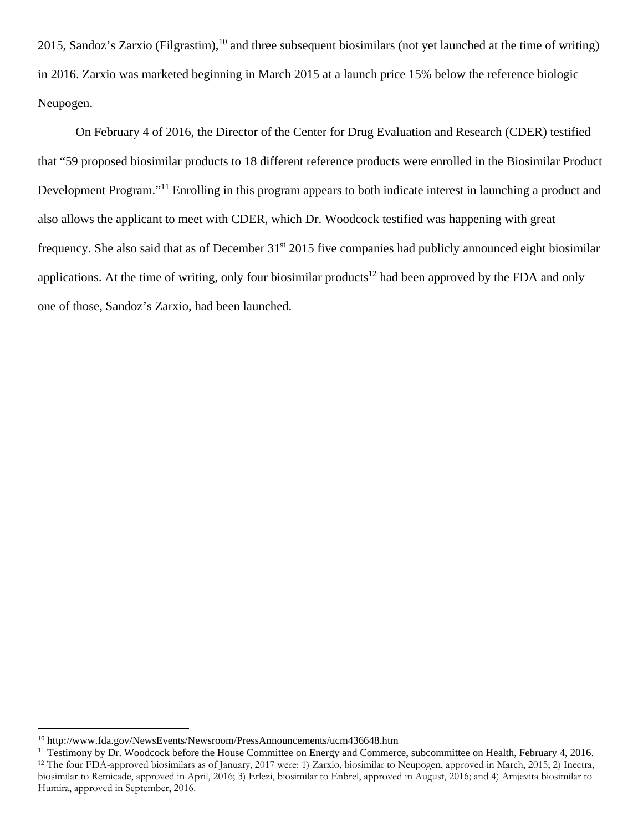2015, Sandoz's Zarxio (Filgrastim), $^{10}$  and three subsequent biosimilars (not yet launched at the time of writing) in 2016. Zarxio was marketed beginning in March 2015 at a launch price 15% below the reference biologic Neupogen.

On February 4 of 2016, the Director of the Center for Drug Evaluation and Research (CDER) testified that "59 proposed biosimilar products to 18 different reference products were enrolled in the Biosimilar Product Development Program."11 Enrolling in this program appears to both indicate interest in launching a product and also allows the applicant to meet with CDER, which Dr. Woodcock testified was happening with great frequency. She also said that as of December 31<sup>st</sup> 2015 five companies had publicly announced eight biosimilar applications. At the time of writing, only four biosimilar products<sup>12</sup> had been approved by the FDA and only one of those, Sandoz's Zarxio, had been launched.

<sup>10</sup> http://www.fda.gov/NewsEvents/Newsroom/PressAnnouncements/ucm436648.htm

<sup>&</sup>lt;sup>11</sup> Testimony by Dr. Woodcock before the House Committee on Energy and Commerce, subcommittee on Health, February 4, 2016. 12 The four FDA-approved biosimilars as of January, 2017 were: 1) Zarxio, biosimilar to Neupogen, approved in March, 2015; 2) Inectra, biosimilar to Remicade, approved in April, 2016; 3) Erlezi, biosimilar to Enbrel, approved in August, 2016; and 4) Amjevita biosimilar to Humira, approved in September, 2016.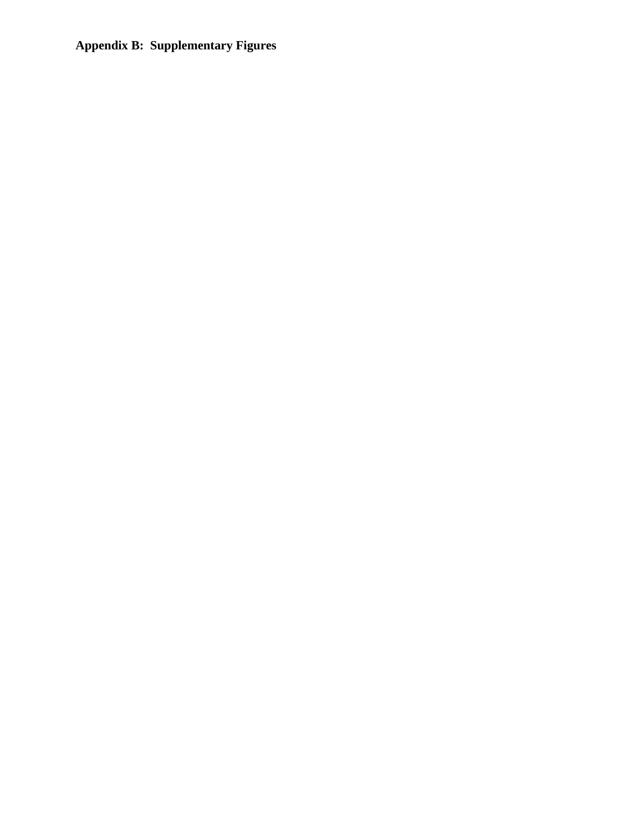## **Appendix B: Supplementary Figures**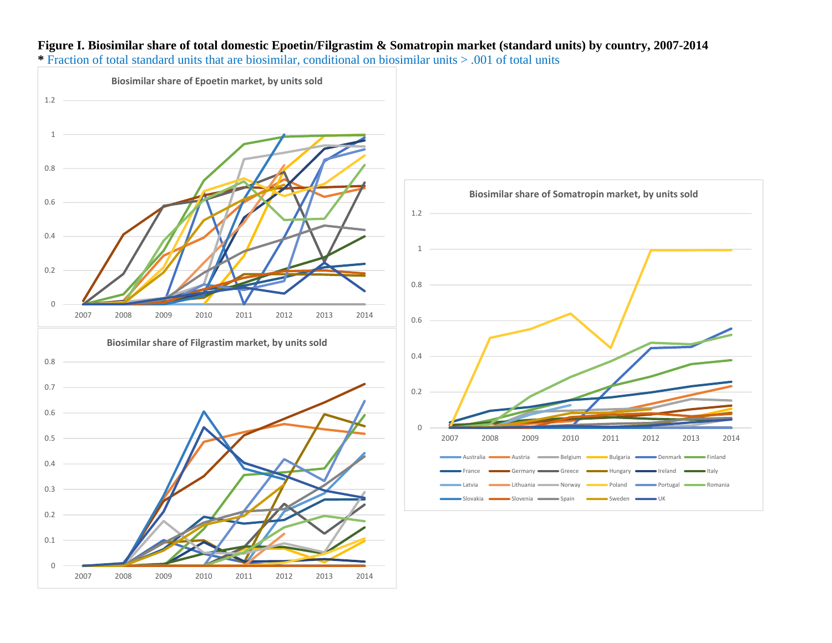# **Figure I. Biosimilar share of total domestic Epoetin/Filgrastim & Somatropin market (standard units) by country, 2007-2014**

**\*** Fraction of total standard units that are biosimilar, conditional on biosimilar units > .001 of total units

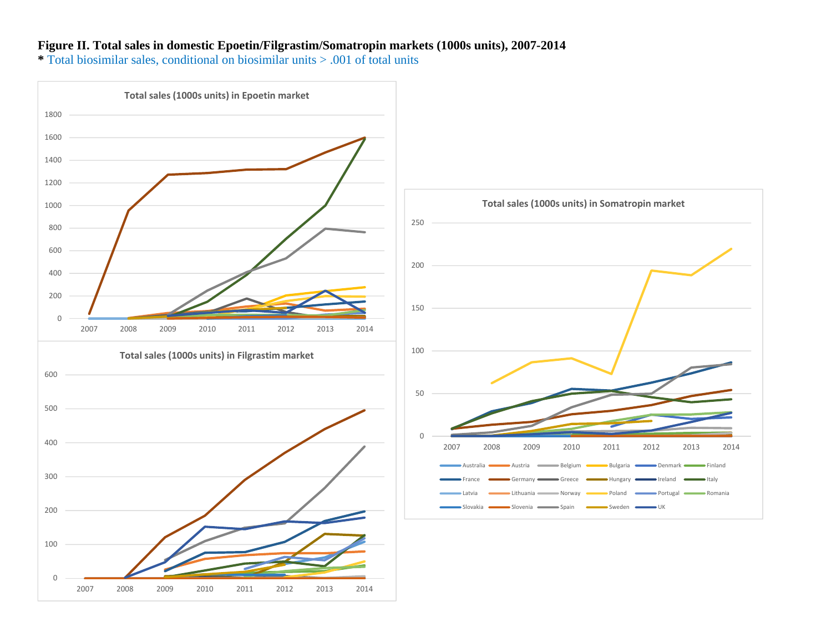#### **Figure II. Total sales in domestic Epoetin/Filgrastim/Somatropin markets (1000s units), 2007-2014**

**\*** Total biosimilar sales, conditional on biosimilar units > .001 of total units

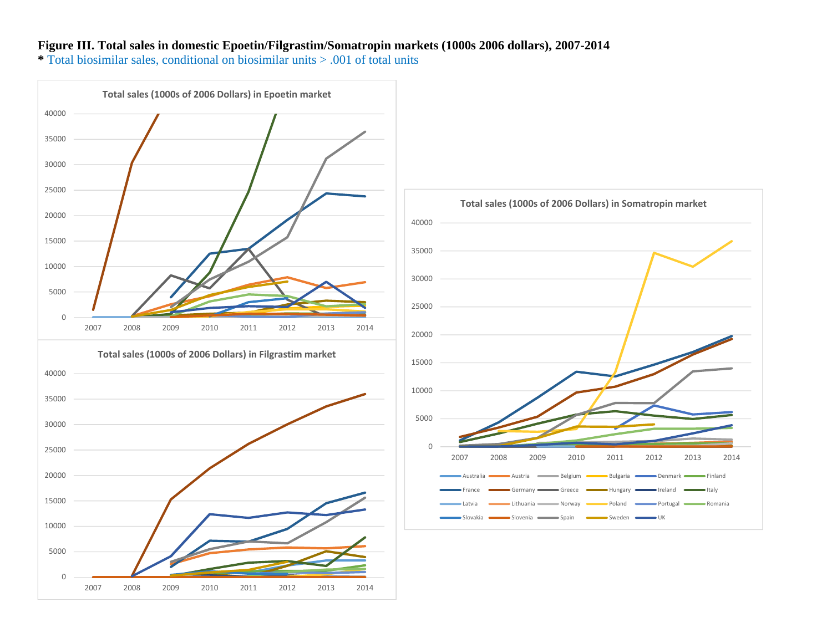#### **Figure III. Total sales in domestic Epoetin/Filgrastim/Somatropin markets (1000s 2006 dollars), 2007-2014**

**\*** Total biosimilar sales, conditional on biosimilar units > .001 of total units

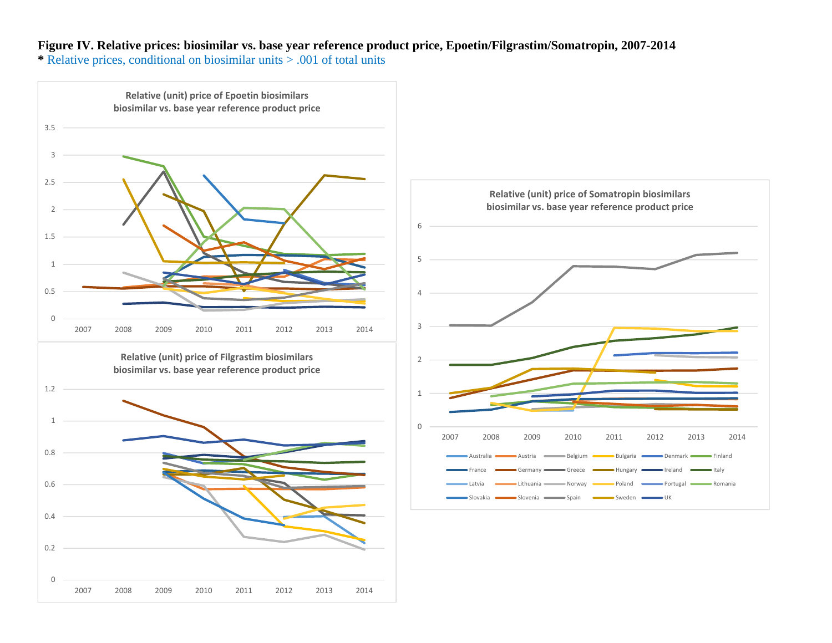## **Figure IV. Relative prices: biosimilar vs. base year reference product price, Epoetin/Filgrastim/Somatropin, 2007-2014**

**\*** Relative prices, conditional on biosimilar units > .001 of total units

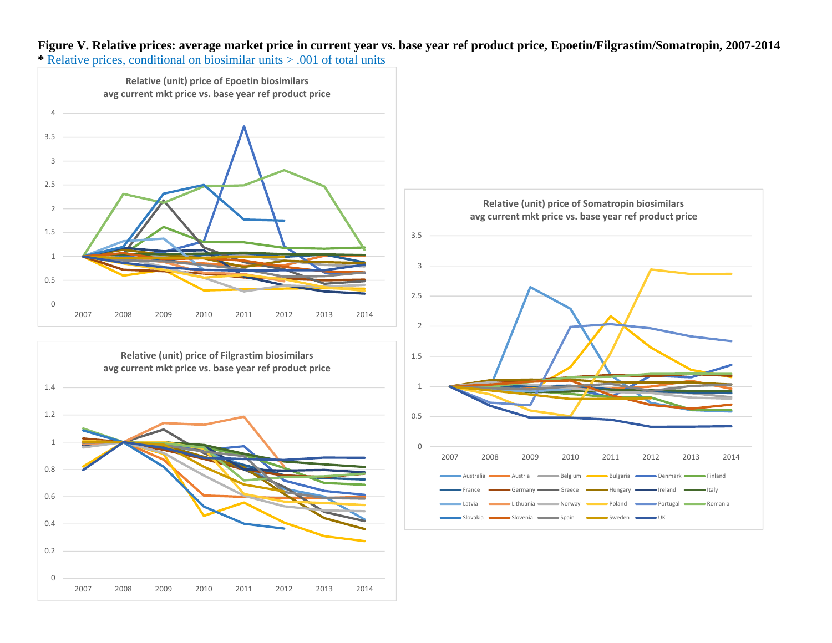**Figure V. Relative prices: average market price in current year vs. base year ref product price, Epoetin/Filgrastim/Somatropin, 2007-2014 \*** Relative prices, conditional on biosimilar units > .001 of total units





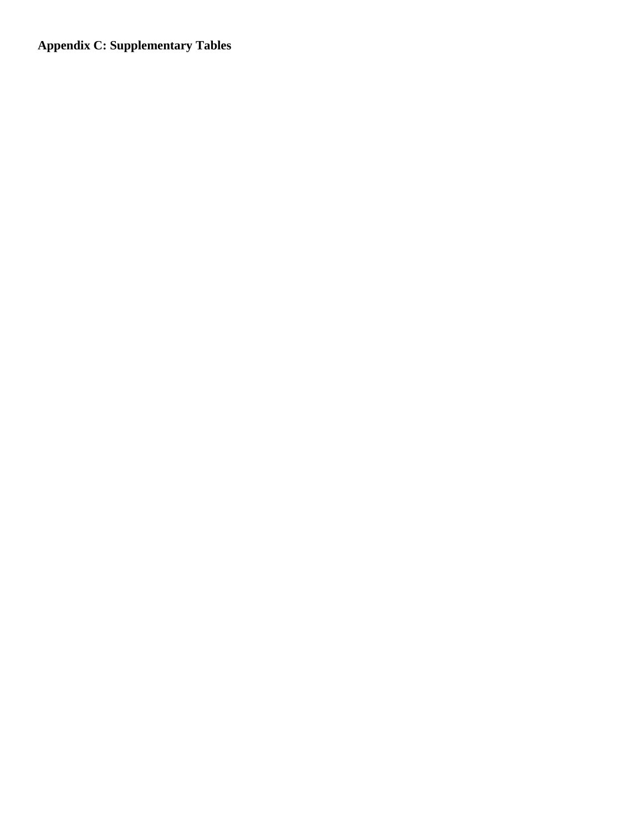**Appendix C: Supplementary Tables**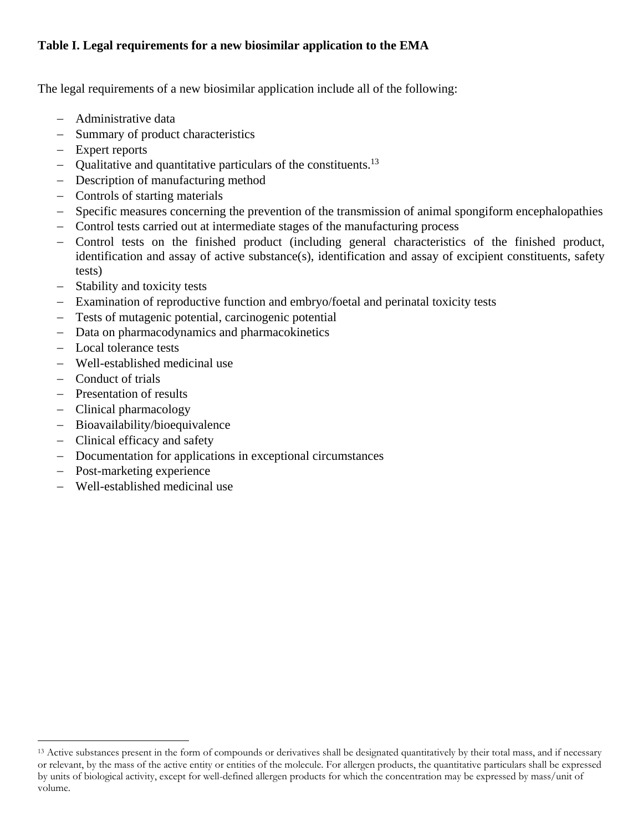## **Table I. Legal requirements for a new biosimilar application to the EMA**

The legal requirements of a new biosimilar application include all of the following:

- Administrative data
- Summary of product characteristics
- Expert reports
- Qualitative and quantitative particulars of the constituents.<sup>13</sup>
- Description of manufacturing method
- Controls of starting materials
- Specific measures concerning the prevention of the transmission of animal spongiform encephalopathies
- Control tests carried out at intermediate stages of the manufacturing process
- Control tests on the finished product (including general characteristics of the finished product, identification and assay of active substance(s), identification and assay of excipient constituents, safety tests)
- Stability and toxicity tests
- Examination of reproductive function and embryo/foetal and perinatal toxicity tests
- Tests of mutagenic potential, carcinogenic potential
- Data on pharmacodynamics and pharmacokinetics
- Local tolerance tests
- Well-established medicinal use
- Conduct of trials
- Presentation of results
- Clinical pharmacology
- Bioavailability/bioequivalence
- Clinical efficacy and safety
- Documentation for applications in exceptional circumstances
- Post-marketing experience

Well-established medicinal use

<sup>&</sup>lt;sup>13</sup> Active substances present in the form of compounds or derivatives shall be designated quantitatively by their total mass, and if necessary or relevant, by the mass of the active entity or entities of the molecule. For allergen products, the quantitative particulars shall be expressed by units of biological activity, except for well-defined allergen products for which the concentration may be expressed by mass/unit of volume.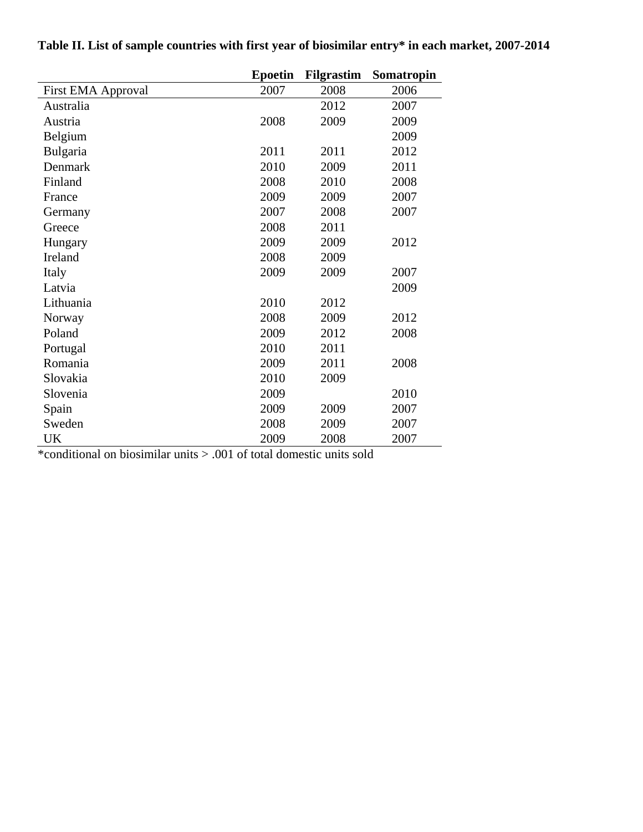|                    | <b>Epoetin</b> | <b>Filgrastim</b> | Somatropin |
|--------------------|----------------|-------------------|------------|
| First EMA Approval | 2007           | 2008              | 2006       |
| Australia          |                | 2012              | 2007       |
| Austria            | 2008           | 2009              | 2009       |
| Belgium            |                |                   | 2009       |
| Bulgaria           | 2011           | 2011              | 2012       |
| Denmark            | 2010           | 2009              | 2011       |
| Finland            | 2008           | 2010              | 2008       |
| France             | 2009           | 2009              | 2007       |
| Germany            | 2007           | 2008              | 2007       |
| Greece             | 2008           | 2011              |            |
| Hungary            | 2009           | 2009              | 2012       |
| Ireland            | 2008           | 2009              |            |
| Italy              | 2009           | 2009              | 2007       |
| Latvia             |                |                   | 2009       |
| Lithuania          | 2010           | 2012              |            |
| Norway             | 2008           | 2009              | 2012       |
| Poland             | 2009           | 2012              | 2008       |
| Portugal           | 2010           | 2011              |            |
| Romania            | 2009           | 2011              | 2008       |
| Slovakia           | 2010           | 2009              |            |
| Slovenia           | 2009           |                   | 2010       |
| Spain              | 2009           | 2009              | 2007       |
| Sweden             | 2008           | 2009              | 2007       |
| UK                 | 2009           | 2008              | 2007       |

**Table II. List of sample countries with first year of biosimilar entry\* in each market, 2007-2014** 

\*conditional on biosimilar units > .001 of total domestic units sold